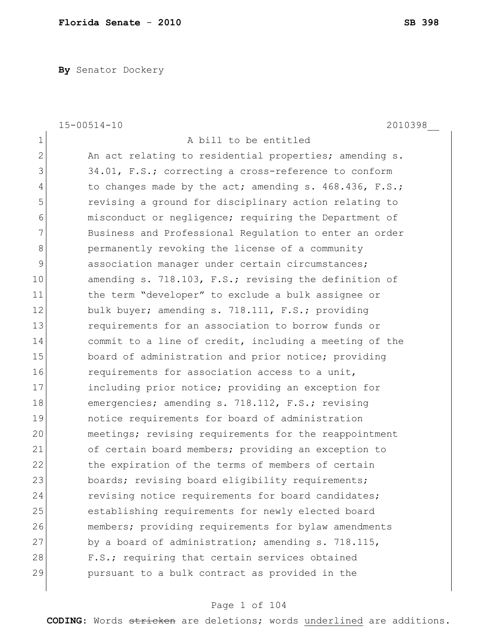**By** Senator Dockery

|                | $15 - 00514 - 10$<br>2010398                           |
|----------------|--------------------------------------------------------|
| 1              | A bill to be entitled                                  |
| $\overline{2}$ | An act relating to residential properties; amending s. |
| 3              | 34.01, F.S.; correcting a cross-reference to conform   |
| 4              | to changes made by the act; amending s. 468.436, F.S.; |
| 5              | revising a ground for disciplinary action relating to  |
| 6              | misconduct or negligence; requiring the Department of  |
| 7              | Business and Professional Regulation to enter an order |
| 8              | permanently revoking the license of a community        |
| 9              | association manager under certain circumstances;       |
| 10             | amending s. 718.103, F.S.; revising the definition of  |
| 11             | the term "developer" to exclude a bulk assignee or     |
| 12             | bulk buyer; amending s. 718.111, F.S.; providing       |
| 13             | requirements for an association to borrow funds or     |
| 14             | commit to a line of credit, including a meeting of the |
| 15             | board of administration and prior notice; providing    |
| 16             | requirements for association access to a unit,         |
| 17             | including prior notice; providing an exception for     |
| 18             | emergencies; amending s. 718.112, F.S.; revising       |
| 19             | notice requirements for board of administration        |
| 20             | meetings; revising requirements for the reappointment  |
| 21             | of certain board members; providing an exception to    |
| 22             | the expiration of the terms of members of certain      |
| 23             | boards; revising board eligibility requirements;       |
| 24             | revising notice requirements for board candidates;     |
| 25             | establishing requirements for newly elected board      |
| 26             | members; providing requirements for bylaw amendments   |
| 27             | by a board of administration; amending s. 718.115,     |
| 28             | F.S.; requiring that certain services obtained         |
| 29             | pursuant to a bulk contract as provided in the         |
|                |                                                        |

# Page 1 of 104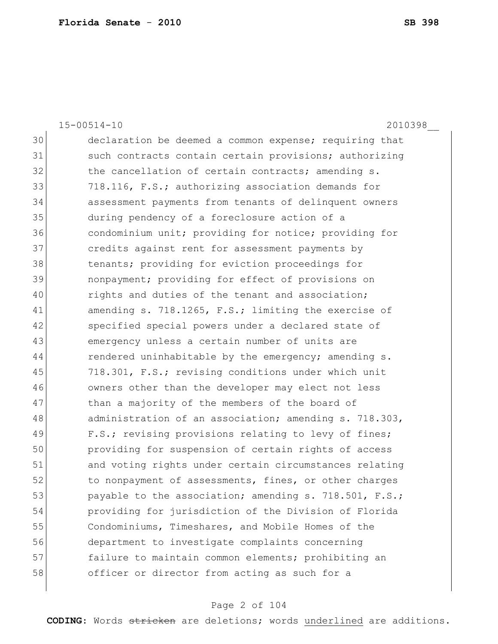15-00514-10 2010398\_\_ 30 declaration be deemed a common expense; requiring that 31 such contracts contain certain provisions; authorizing 32 the cancellation of certain contracts; amending s. 33 718.116, F.S.; authorizing association demands for 34 assessment payments from tenants of delinquent owners 35 during pendency of a foreclosure action of a 36 condominium unit; providing for notice; providing for 37 credits against rent for assessment payments by 38 tenants; providing for eviction proceedings for 39 nonpayment; providing for effect of provisions on 40 rights and duties of the tenant and association; 41 amending s. 718.1265, F.S.; limiting the exercise of 42 specified special powers under a declared state of 43 emergency unless a certain number of units are 44 rendered uninhabitable by the emergency; amending s. 45 718.301, F.S.; revising conditions under which unit 46 owners other than the developer may elect not less 47 bhan a majority of the members of the board of 48 administration of an association; amending s. 718.303, 49 F.S.; revising provisions relating to levy of fines; 50 providing for suspension of certain rights of access 51 and voting rights under certain circumstances relating 52 to nonpayment of assessments, fines, or other charges 53 payable to the association; amending s. 718.501, F.S.; 54 providing for jurisdiction of the Division of Florida 55 Condominiums, Timeshares, and Mobile Homes of the 56 department to investigate complaints concerning 57 failure to maintain common elements; prohibiting an 58 officer or director from acting as such for a

### Page 2 of 104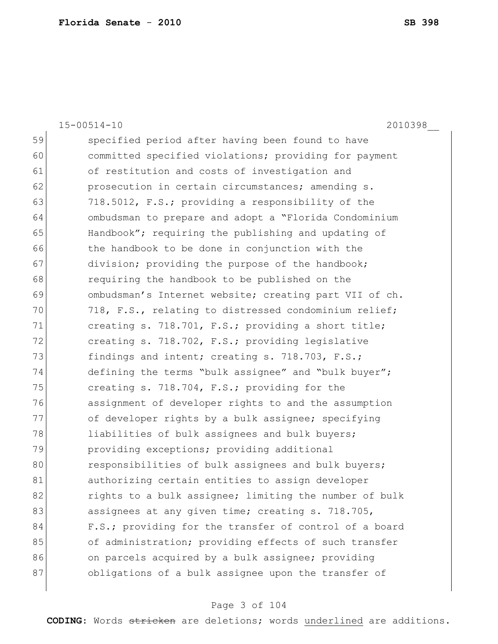|    | $15 - 00514 - 10$<br>2010398                           |
|----|--------------------------------------------------------|
| 59 | specified period after having been found to have       |
| 60 | committed specified violations; providing for payment  |
| 61 | of restitution and costs of investigation and          |
| 62 | prosecution in certain circumstances; amending s.      |
| 63 | 718.5012, F.S.; providing a responsibility of the      |
| 64 | ombudsman to prepare and adopt a "Florida Condominium  |
| 65 | Handbook"; requiring the publishing and updating of    |
| 66 | the handbook to be done in conjunction with the        |
| 67 | division; providing the purpose of the handbook;       |
| 68 | requiring the handbook to be published on the          |
| 69 | ombudsman's Internet website; creating part VII of ch. |
| 70 | 718, F.S., relating to distressed condominium relief;  |
| 71 | creating s. 718.701, F.S.; providing a short title;    |
| 72 | creating s. 718.702, F.S.; providing legislative       |
| 73 | findings and intent; creating s. 718.703, F.S.;        |
| 74 | defining the terms "bulk assignee" and "bulk buyer";   |
| 75 | creating s. 718.704, F.S.; providing for the           |
| 76 | assignment of developer rights to and the assumption   |
| 77 | of developer rights by a bulk assignee; specifying     |
| 78 | liabilities of bulk assignees and bulk buyers;         |
| 79 | providing exceptions; providing additional             |
| 80 | responsibilities of bulk assignees and bulk buyers;    |
| 81 | authorizing certain entities to assign developer       |
| 82 | rights to a bulk assignee; limiting the number of bulk |
| 83 | assignees at any given time; creating s. 718.705,      |
| 84 | F.S.; providing for the transfer of control of a board |
| 85 | of administration; providing effects of such transfer  |
| 86 | on parcels acquired by a bulk assignee; providing      |
| 87 | obligations of a bulk assignee upon the transfer of    |
|    |                                                        |

# Page 3 of 104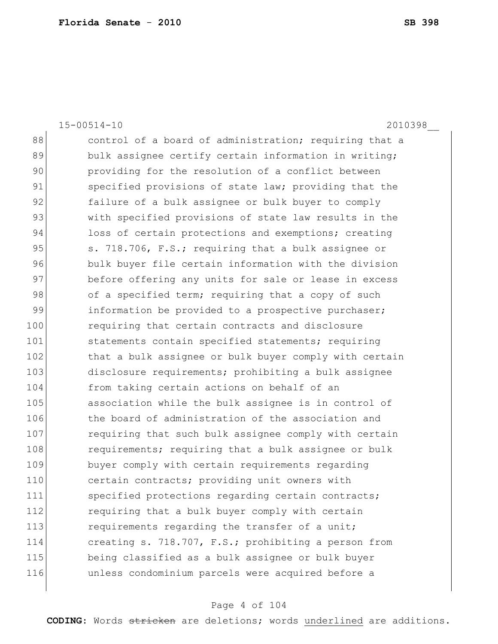15-00514-10 2010398\_\_ 88 control of a board of administration; requiring that a 89 bulk assignee certify certain information in writing; 90 providing for the resolution of a conflict between 91 specified provisions of state law; providing that the 92 failure of a bulk assignee or bulk buyer to comply 93 with specified provisions of state law results in the 94 loss of certain protections and exemptions; creating 95 S. 718.706, F.S.; requiring that a bulk assignee or 96 bulk buyer file certain information with the division 97 before offering any units for sale or lease in excess 98 of a specified term; requiring that a copy of such 99 information be provided to a prospective purchaser; 100 requiring that certain contracts and disclosure 101 statements contain specified statements; requiring 102 that a bulk assignee or bulk buyer comply with certain 103 disclosure requirements; prohibiting a bulk assignee 104 from taking certain actions on behalf of an 105 association while the bulk assignee is in control of 106 the board of administration of the association and 107 requiring that such bulk assignee comply with certain 108 requirements; requiring that a bulk assignee or bulk 109 buyer comply with certain requirements regarding 110 certain contracts; providing unit owners with 111 specified protections regarding certain contracts; 112 requiring that a bulk buyer comply with certain 113 requirements regarding the transfer of a unit; 114 **creating s. 718.707, F.S.;** prohibiting a person from 115 being classified as a bulk assignee or bulk buyer 116 unless condominium parcels were acquired before a

#### Page 4 of 104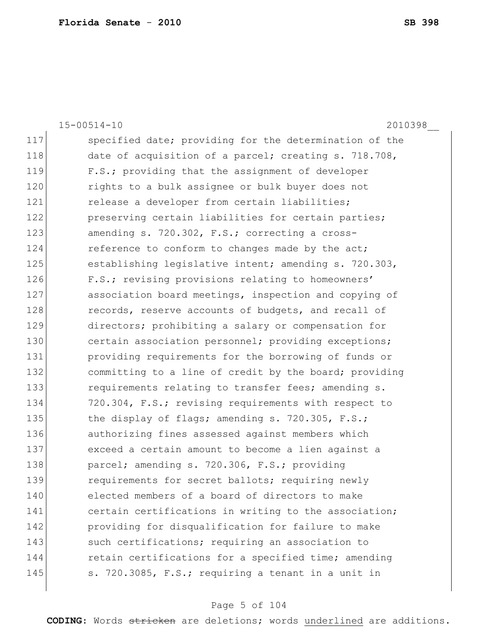15-00514-10 2010398\_\_ 117 Specified date; providing for the determination of the 118 date of acquisition of a parcel; creating s. 718.708, 119 F.S.; providing that the assignment of developer 120 rights to a bulk assignee or bulk buyer does not 121 **release a developer from certain liabilities;** 122 **preserving certain liabilities for certain parties;** 123 amending s. 720.302, F.S.; correcting a cross-124 reference to conform to changes made by the act; 125 establishing legislative intent; amending s. 720.303, 126 F.S.; revising provisions relating to homeowners' 127 association board meetings, inspection and copying of 128 records, reserve accounts of budgets, and recall of 129 directors; prohibiting a salary or compensation for 130 certain association personnel; providing exceptions; 131 providing requirements for the borrowing of funds or 132 committing to a line of credit by the board; providing 133 **requirements relating to transfer fees; amending s.** 134 720.304, F.S.; revising requirements with respect to 135 the display of flags; amending s. 720.305, F.S.; 136 authorizing fines assessed against members which 137 exceed a certain amount to become a lien against a 138 parcel; amending s. 720.306, F.S.; providing 139 requirements for secret ballots; requiring newly 140 elected members of a board of directors to make 141 certain certifications in writing to the association; 142 providing for disqualification for failure to make 143 such certifications; requiring an association to 144 retain certifications for a specified time; amending 145 s. 720.3085, F.S.; requiring a tenant in a unit in

#### Page 5 of 104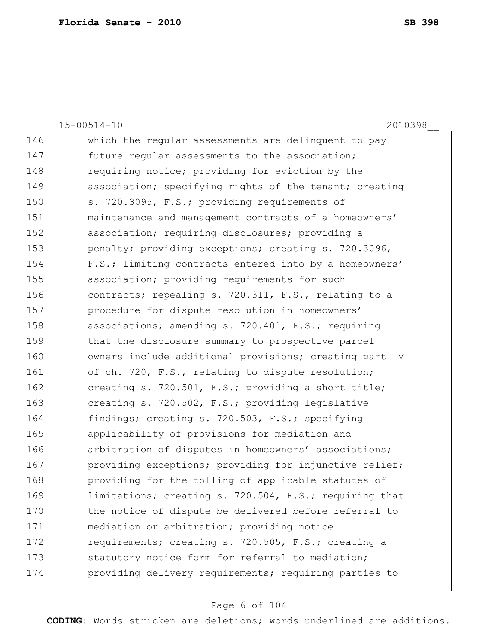|     | $15 - 00514 - 10$<br>2010398                           |
|-----|--------------------------------------------------------|
| 146 | which the regular assessments are delinquent to pay    |
| 147 | future regular assessments to the association;         |
| 148 | requiring notice; providing for eviction by the        |
| 149 | association; specifying rights of the tenant; creating |
| 150 | s. 720.3095, F.S.; providing requirements of           |
| 151 | maintenance and management contracts of a homeowners'  |
| 152 | association; requiring disclosures; providing a        |
| 153 | penalty; providing exceptions; creating s. 720.3096,   |
| 154 | F.S.; limiting contracts entered into by a homeowners' |
| 155 | association; providing requirements for such           |
| 156 | contracts; repealing s. 720.311, F.S., relating to a   |
| 157 | procedure for dispute resolution in homeowners'        |
| 158 | associations; amending s. 720.401, F.S.; requiring     |
| 159 | that the disclosure summary to prospective parcel      |
| 160 | owners include additional provisions; creating part IV |
| 161 | of ch. 720, F.S., relating to dispute resolution;      |
| 162 | creating s. 720.501, F.S.; providing a short title;    |
| 163 | creating s. 720.502, F.S.; providing legislative       |
| 164 | findings; creating s. 720.503, F.S.; specifying        |
| 165 | applicability of provisions for mediation and          |
| 166 | arbitration of disputes in homeowners' associations;   |
| 167 | providing exceptions; providing for injunctive relief; |
| 168 | providing for the tolling of applicable statutes of    |
| 169 | limitations; creating s. 720.504, F.S.; requiring that |
| 170 | the notice of dispute be delivered before referral to  |
| 171 | mediation or arbitration; providing notice             |
| 172 | requirements; creating s. 720.505, F.S.; creating a    |
| 173 | statutory notice form for referral to mediation;       |
| 174 | providing delivery requirements; requiring parties to  |
|     |                                                        |

# Page 6 of 104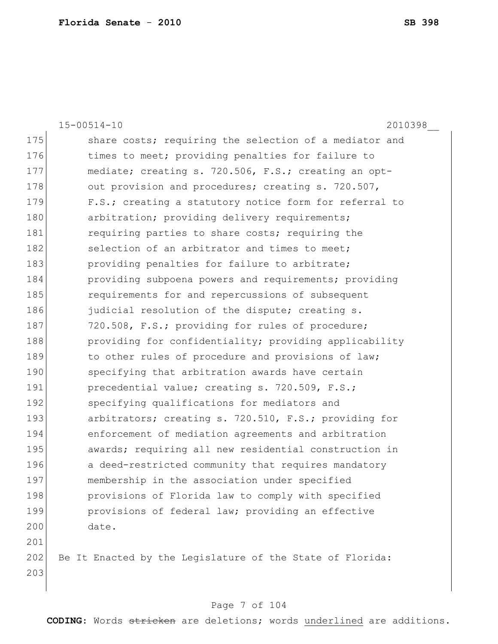|     | $15 - 00514 - 10$<br>2010398                              |
|-----|-----------------------------------------------------------|
| 175 | share costs; requiring the selection of a mediator and    |
| 176 | times to meet; providing penalties for failure to         |
| 177 | mediate; creating s. 720.506, F.S.; creating an opt-      |
| 178 | out provision and procedures; creating s. 720.507,        |
| 179 | F.S.; creating a statutory notice form for referral to    |
| 180 | arbitration; providing delivery requirements;             |
| 181 | requiring parties to share costs; requiring the           |
| 182 | selection of an arbitrator and times to meet;             |
| 183 | providing penalties for failure to arbitrate;             |
| 184 | providing subpoena powers and requirements; providing     |
| 185 | requirements for and repercussions of subsequent          |
| 186 | judicial resolution of the dispute; creating s.           |
| 187 | 720.508, F.S.; providing for rules of procedure;          |
| 188 | providing for confidentiality; providing applicability    |
| 189 | to other rules of procedure and provisions of law;        |
| 190 | specifying that arbitration awards have certain           |
| 191 | precedential value; creating s. 720.509, F.S.;            |
| 192 | specifying qualifications for mediators and               |
| 193 | arbitrators; creating s. 720.510, F.S.; providing for     |
| 194 | enforcement of mediation agreements and arbitration       |
| 195 | awards; requiring all new residential construction in     |
| 196 | a deed-restricted community that requires mandatory       |
| 197 | membership in the association under specified             |
| 198 | provisions of Florida law to comply with specified        |
| 199 | provisions of federal law; providing an effective         |
| 200 | date.                                                     |
| 201 |                                                           |
| 202 | Be It Enacted by the Legislature of the State of Florida: |
| 203 |                                                           |
|     |                                                           |

# Page 7 of 104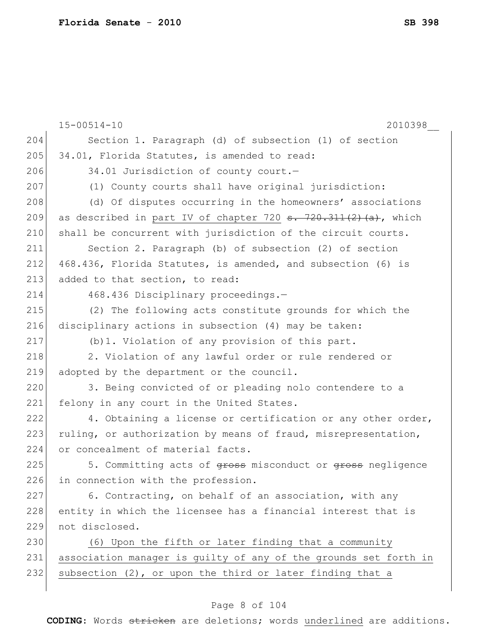|     | $15 - 00514 - 10$<br>2010398                                                                 |
|-----|----------------------------------------------------------------------------------------------|
| 204 | Section 1. Paragraph (d) of subsection (1) of section                                        |
| 205 | 34.01, Florida Statutes, is amended to read:                                                 |
| 206 | 34.01 Jurisdiction of county court.-                                                         |
| 207 | (1) County courts shall have original jurisdiction:                                          |
| 208 | (d) Of disputes occurring in the homeowners' associations                                    |
| 209 | as described in part IV of chapter 720 $\frac{1}{2}$ , $\frac{1}{2}$ , $\frac{1}{2}$ , which |
| 210 | shall be concurrent with jurisdiction of the circuit courts.                                 |
| 211 | Section 2. Paragraph (b) of subsection (2) of section                                        |
| 212 | 468.436, Florida Statutes, is amended, and subsection (6) is                                 |
| 213 | added to that section, to read:                                                              |
| 214 | 468.436 Disciplinary proceedings.-                                                           |
| 215 | (2) The following acts constitute grounds for which the                                      |
| 216 | disciplinary actions in subsection (4) may be taken:                                         |
| 217 | (b) 1. Violation of any provision of this part.                                              |
| 218 | 2. Violation of any lawful order or rule rendered or                                         |
| 219 | adopted by the department or the council.                                                    |
| 220 | 3. Being convicted of or pleading nolo contendere to a                                       |
| 221 | felony in any court in the United States.                                                    |
| 222 | 4. Obtaining a license or certification or any other order,                                  |
| 223 | ruling, or authorization by means of fraud, misrepresentation,                               |
| 224 | or concealment of material facts.                                                            |
| 225 | 5. Committing acts of gross misconduct or gross negligence                                   |
| 226 | in connection with the profession.                                                           |
| 227 | 6. Contracting, on behalf of an association, with any                                        |
| 228 | entity in which the licensee has a financial interest that is                                |
| 229 | not disclosed.                                                                               |
| 230 | (6) Upon the fifth or later finding that a community                                         |
| 231 | association manager is guilty of any of the grounds set forth in                             |
| 232 | subsection (2), or upon the third or later finding that a                                    |
|     |                                                                                              |

# Page 8 of 104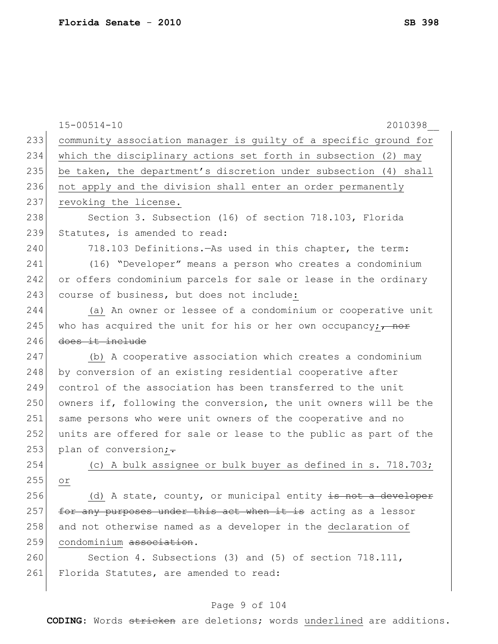|     | $15 - 00514 - 10$<br>2010398                                            |
|-----|-------------------------------------------------------------------------|
| 233 | community association manager is guilty of a specific ground for        |
| 234 | which the disciplinary actions set forth in subsection (2) may          |
| 235 | be taken, the department's discretion under subsection (4) shall        |
| 236 | not apply and the division shall enter an order permanently             |
| 237 | revoking the license.                                                   |
| 238 | Section 3. Subsection (16) of section 718.103, Florida                  |
| 239 | Statutes, is amended to read:                                           |
| 240 | 718.103 Definitions. - As used in this chapter, the term:               |
| 241 | (16) "Developer" means a person who creates a condominium               |
| 242 | or offers condominium parcels for sale or lease in the ordinary         |
| 243 | course of business, but does not include:                               |
| 244 | (a) An owner or lessee of a condominium or cooperative unit             |
| 245 | who has acquired the unit for his or her own occupancy; $\frac{1}{100}$ |
| 246 | does it include                                                         |
| 247 | (b) A cooperative association which creates a condominium               |
| 248 | by conversion of an existing residential cooperative after              |
| 249 | control of the association has been transferred to the unit             |
| 250 | owners if, following the conversion, the unit owners will be the        |
| 251 | same persons who were unit owners of the cooperative and no             |
| 252 | units are offered for sale or lease to the public as part of the        |
| 253 | plan of conversion;-                                                    |
| 254 | (c) A bulk assignee or bulk buyer as defined in s. 718.703;             |
| 255 | Οr.                                                                     |
| 256 | (d) A state, county, or municipal entity is not a developer             |
| 257 | for any purposes under this act when it is acting as a lessor           |
| 258 | and not otherwise named as a developer in the declaration of            |
| 259 | condominium association.                                                |
| 260 | Section 4. Subsections (3) and (5) of section 718.111,                  |
| 261 | Florida Statutes, are amended to read:                                  |
|     |                                                                         |

# Page 9 of 104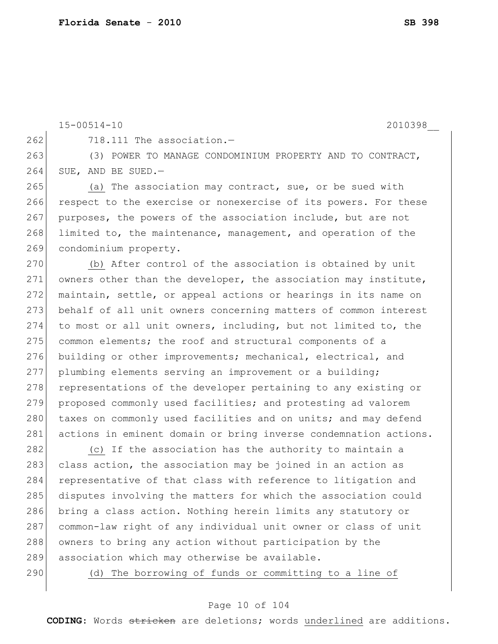$262$   $718.111$  The association.  $-$ 

```
15-00514-10 2010398__
```
263 (3) POWER TO MANAGE CONDOMINIUM PROPERTY AND TO CONTRACT, 264 SUE, AND BE SUED.-

265 (a) The association may contract, sue, or be sued with 266 respect to the exercise or nonexercise of its powers. For these 267 purposes, the powers of the association include, but are not 268 limited to, the maintenance, management, and operation of the 269 condominium property.

270 (b) After control of the association is obtained by unit 271 owners other than the developer, the association may institute, 272 maintain, settle, or appeal actions or hearings in its name on 273 behalf of all unit owners concerning matters of common interest 274 to most or all unit owners, including, but not limited to, the 275 common elements; the roof and structural components of a 276 building or other improvements; mechanical, electrical, and 277 plumbing elements serving an improvement or a building; 278 representations of the developer pertaining to any existing or 279 proposed commonly used facilities; and protesting ad valorem 280 taxes on commonly used facilities and on units; and may defend 281 actions in eminent domain or bring inverse condemnation actions.

282 (c) If the association has the authority to maintain a 283 class action, the association may be joined in an action as 284 representative of that class with reference to litigation and 285 disputes involving the matters for which the association could 286 bring a class action. Nothing herein limits any statutory or 287 common-law right of any individual unit owner or class of unit 288 owners to bring any action without participation by the 289 association which may otherwise be available.

290 (d) The borrowing of funds or committing to a line of

## Page 10 of 104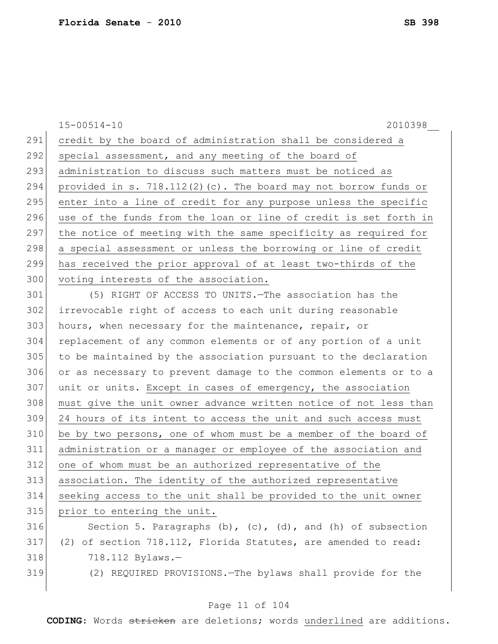|     | $15 - 00514 - 10$<br>2010398                                          |
|-----|-----------------------------------------------------------------------|
| 291 | credit by the board of administration shall be considered a           |
| 292 | special assessment, and any meeting of the board of                   |
| 293 | administration to discuss such matters must be noticed as             |
| 294 | provided in s. 718.112(2)(c). The board may not borrow funds or       |
| 295 | enter into a line of credit for any purpose unless the specific       |
| 296 | use of the funds from the loan or line of credit is set forth in      |
| 297 | the notice of meeting with the same specificity as required for       |
| 298 | a special assessment or unless the borrowing or line of credit        |
| 299 | has received the prior approval of at least two-thirds of the         |
| 300 | voting interests of the association.                                  |
| 301 | (5) RIGHT OF ACCESS TO UNITS. - The association has the               |
| 302 | irrevocable right of access to each unit during reasonable            |
| 303 | hours, when necessary for the maintenance, repair, or                 |
| 304 | replacement of any common elements or of any portion of a unit        |
| 305 | to be maintained by the association pursuant to the declaration       |
| 306 | or as necessary to prevent damage to the common elements or to a      |
| 307 | unit or units. Except in cases of emergency, the association          |
| 308 | must give the unit owner advance written notice of not less than      |
| 309 | 24 hours of its intent to access the unit and such access must        |
| 310 | be by two persons, one of whom must be a member of the board of       |
| 311 | administration or a manager or employee of the association and        |
| 312 | one of whom must be an authorized representative of the               |
| 313 | association. The identity of the authorized representative            |
| 314 | seeking access to the unit shall be provided to the unit owner        |
| 315 | prior to entering the unit.                                           |
| 316 | Section 5. Paragraphs $(b)$ , $(c)$ , $(d)$ , and $(h)$ of subsection |
| 317 | (2) of section 718.112, Florida Statutes, are amended to read:        |
| 318 | 718.112 Bylaws.-                                                      |
| 319 | (2) REQUIRED PROVISIONS. - The bylaws shall provide for the           |
|     |                                                                       |

# Page 11 of 104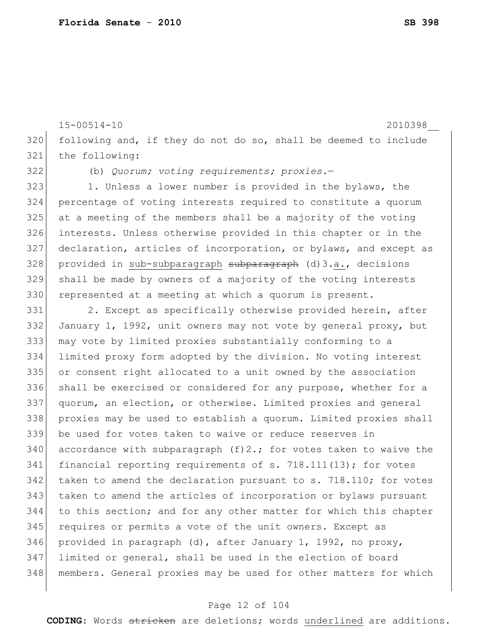15-00514-10 2010398\_\_ following and, if they do not do so, shall be deemed to include the following:

(b) *Quorum; voting requirements; proxies.*—

323 1. Unless a lower number is provided in the bylaws, the percentage of voting interests required to constitute a quorum at a meeting of the members shall be a majority of the voting interests. Unless otherwise provided in this chapter or in the declaration, articles of incorporation, or bylaws, and except as 328 provided in sub-subparagraph subparagraph (d)3.a., decisions shall be made by owners of a majority of the voting interests 330 represented at a meeting at which a quorum is present.

331 2. Except as specifically otherwise provided herein, after January 1, 1992, unit owners may not vote by general proxy, but may vote by limited proxies substantially conforming to a limited proxy form adopted by the division. No voting interest or consent right allocated to a unit owned by the association 336 shall be exercised or considered for any purpose, whether for a quorum, an election, or otherwise. Limited proxies and general proxies may be used to establish a quorum. Limited proxies shall be used for votes taken to waive or reduce reserves in 340 accordance with subparagraph  $(f)$  2.; for votes taken to waive the 341 financial reporting requirements of s. 718.111(13); for votes taken to amend the declaration pursuant to s. 718.110; for votes taken to amend the articles of incorporation or bylaws pursuant to this section; and for any other matter for which this chapter requires or permits a vote of the unit owners. Except as 346 provided in paragraph (d), after January 1, 1992, no proxy, limited or general, shall be used in the election of board members. General proxies may be used for other matters for which

#### Page 12 of 104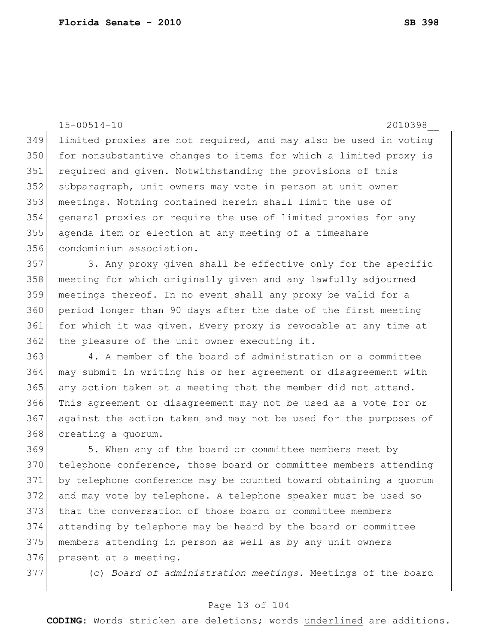15-00514-10 2010398\_\_ limited proxies are not required, and may also be used in voting 350 for nonsubstantive changes to items for which a limited proxy is 351 required and given. Notwithstanding the provisions of this 352 subparagraph, unit owners may vote in person at unit owner meetings. Nothing contained herein shall limit the use of general proxies or require the use of limited proxies for any agenda item or election at any meeting of a timeshare condominium association.

357 3. Any proxy given shall be effective only for the specific meeting for which originally given and any lawfully adjourned meetings thereof. In no event shall any proxy be valid for a 360 period longer than 90 days after the date of the first meeting for which it was given. Every proxy is revocable at any time at the pleasure of the unit owner executing it.

 4. A member of the board of administration or a committee may submit in writing his or her agreement or disagreement with any action taken at a meeting that the member did not attend. This agreement or disagreement may not be used as a vote for or against the action taken and may not be used for the purposes of creating a quorum.

 5. When any of the board or committee members meet by 370 telephone conference, those board or committee members attending by telephone conference may be counted toward obtaining a quorum and may vote by telephone. A telephone speaker must be used so that the conversation of those board or committee members attending by telephone may be heard by the board or committee members attending in person as well as by any unit owners present at a meeting.

(c) *Board of administration meetings.*—Meetings of the board

### Page 13 of 104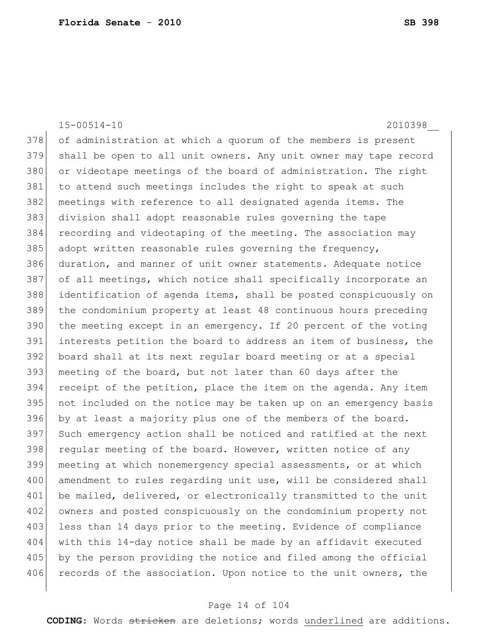15-00514-10 2010398\_\_ 378 of administration at which a quorum of the members is present 379 shall be open to all unit owners. Any unit owner may tape record 380 or videotape meetings of the board of administration. The right 381 to attend such meetings includes the right to speak at such 382 meetings with reference to all designated agenda items. The 383 division shall adopt reasonable rules governing the tape 384 recording and videotaping of the meeting. The association may 385 adopt written reasonable rules governing the frequency, 386 duration, and manner of unit owner statements. Adequate notice 387 of all meetings, which notice shall specifically incorporate an 388 identification of agenda items, shall be posted conspicuously on 389 the condominium property at least 48 continuous hours preceding 390 the meeting except in an emergency. If 20 percent of the voting 391 interests petition the board to address an item of business, the 392 board shall at its next regular board meeting or at a special 393 meeting of the board, but not later than 60 days after the 394 receipt of the petition, place the item on the agenda. Any item 395 not included on the notice may be taken up on an emergency basis 396 by at least a majority plus one of the members of the board. 397 Such emergency action shall be noticed and ratified at the next 398 regular meeting of the board. However, written notice of any 399 meeting at which nonemergency special assessments, or at which 400 amendment to rules regarding unit use, will be considered shall 401 be mailed, delivered, or electronically transmitted to the unit 402 owners and posted conspicuously on the condominium property not 403 less than 14 days prior to the meeting. Evidence of compliance 404 with this 14-day notice shall be made by an affidavit executed 405 by the person providing the notice and filed among the official 406 records of the association. Upon notice to the unit owners, the

#### Page 14 of 104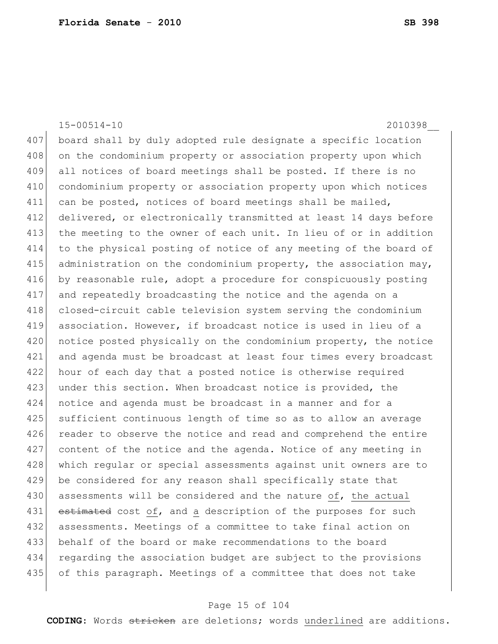15-00514-10 2010398\_\_ 407 board shall by duly adopted rule designate a specific location 408 on the condominium property or association property upon which all notices of board meetings shall be posted. If there is no condominium property or association property upon which notices 411 can be posted, notices of board meetings shall be mailed, delivered, or electronically transmitted at least 14 days before the meeting to the owner of each unit. In lieu of or in addition to the physical posting of notice of any meeting of the board of 415 administration on the condominium property, the association may, by reasonable rule, adopt a procedure for conspicuously posting and repeatedly broadcasting the notice and the agenda on a closed-circuit cable television system serving the condominium 419 association. However, if broadcast notice is used in lieu of a 420 notice posted physically on the condominium property, the notice and agenda must be broadcast at least four times every broadcast hour of each day that a posted notice is otherwise required 423 under this section. When broadcast notice is provided, the notice and agenda must be broadcast in a manner and for a sufficient continuous length of time so as to allow an average 426 reader to observe the notice and read and comprehend the entire content of the notice and the agenda. Notice of any meeting in 428 which regular or special assessments against unit owners are to be considered for any reason shall specifically state that assessments will be considered and the nature of, the actual 431 estimated cost of, and a description of the purposes for such assessments. Meetings of a committee to take final action on behalf of the board or make recommendations to the board regarding the association budget are subject to the provisions of this paragraph. Meetings of a committee that does not take

### Page 15 of 104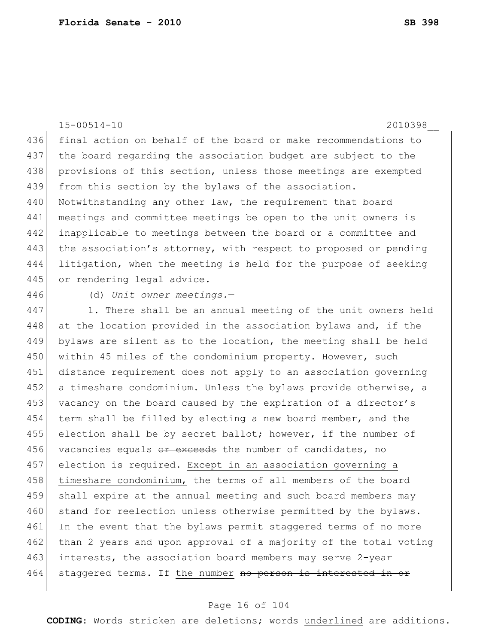15-00514-10 2010398\_\_ 436 final action on behalf of the board or make recommendations to 437 the board regarding the association budget are subject to the 438 provisions of this section, unless those meetings are exempted 439 from this section by the bylaws of the association. 440 Notwithstanding any other law, the requirement that board 441 meetings and committee meetings be open to the unit owners is 442 inapplicable to meetings between the board or a committee and 443 the association's attorney, with respect to proposed or pending 444 litigation, when the meeting is held for the purpose of seeking 445 or rendering legal advice. 446 (d) *Unit owner meetings.*— 447 1. There shall be an annual meeting of the unit owners held

448 at the location provided in the association bylaws and, if the 449 bylaws are silent as to the location, the meeting shall be held 450 within 45 miles of the condominium property. However, such 451 distance requirement does not apply to an association governing 452 a timeshare condominium. Unless the bylaws provide otherwise, a 453 vacancy on the board caused by the expiration of a director's 454 term shall be filled by electing a new board member, and the  $455$  election shall be by secret ballot; however, if the number of 456 vacancies equals or exceeds the number of candidates, no 457 election is required. Except in an association governing a 458 timeshare condominium, the terms of all members of the board 459 shall expire at the annual meeting and such board members may 460 stand for reelection unless otherwise permitted by the bylaws. 461 In the event that the bylaws permit staggered terms of no more 462 than 2 years and upon approval of a majority of the total voting 463 interests, the association board members may serve 2-year 464 staggered terms. If the number no person is interested in or

#### Page 16 of 104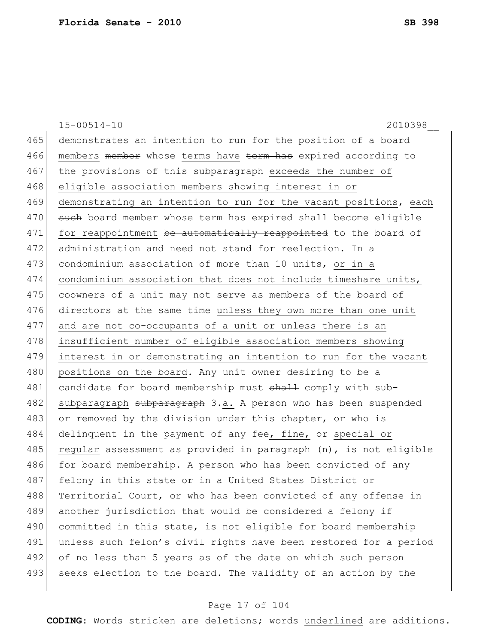15-00514-10 2010398\_\_ 465 demonstrates an intention to run for the position of a board 466 members member whose terms have term has expired according to 467 the provisions of this subparagraph exceeds the number of 468 eligible association members showing interest in or 469 demonstrating an intention to run for the vacant positions, each 470 such board member whose term has expired shall become eligible 471 for reappointment be automatically reappointed to the board of 472 administration and need not stand for reelection. In a 473 condominium association of more than 10 units, or in a 474 condominium association that does not include timeshare units, 475 coowners of a unit may not serve as members of the board of 476 directors at the same time unless they own more than one unit 477 and are not co-occupants of a unit or unless there is an 478 insufficient number of eligible association members showing 479 interest in or demonstrating an intention to run for the vacant 480 positions on the board. Any unit owner desiring to be a 481 candidate for board membership must shall comply with sub-482 subparagraph subparagraph 3.a. A person who has been suspended 483 or removed by the division under this chapter, or who is 484 delinquent in the payment of any fee, fine, or special or 485 regular assessment as provided in paragraph  $(n)$ , is not eligible 486 for board membership. A person who has been convicted of any 487 felony in this state or in a United States District or 488 Territorial Court, or who has been convicted of any offense in 489 another jurisdiction that would be considered a felony if 490 committed in this state, is not eligible for board membership 491 unless such felon's civil rights have been restored for a period 492 of no less than 5 years as of the date on which such person 493 seeks election to the board. The validity of an action by the

### Page 17 of 104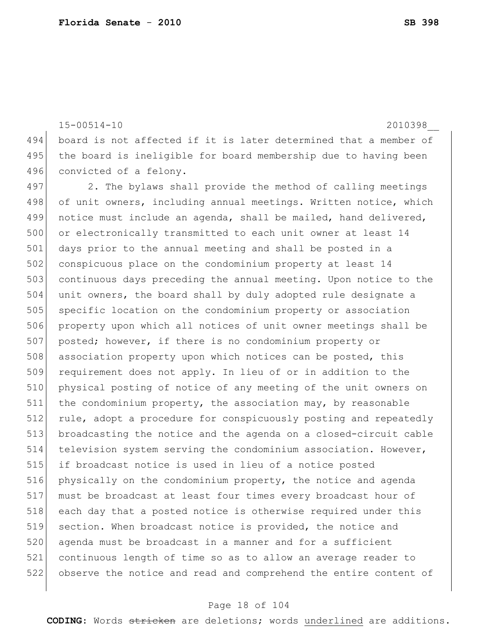15-00514-10 2010398\_\_

494 board is not affected if it is later determined that a member of 495 the board is ineligible for board membership due to having been 496 convicted of a felony.

497 2. The bylaws shall provide the method of calling meetings 498 of unit owners, including annual meetings. Written notice, which 499 notice must include an agenda, shall be mailed, hand delivered, 500 or electronically transmitted to each unit owner at least 14 501 days prior to the annual meeting and shall be posted in a 502 conspicuous place on the condominium property at least 14 503 continuous days preceding the annual meeting. Upon notice to the 504 unit owners, the board shall by duly adopted rule designate a 505 | specific location on the condominium property or association 506 property upon which all notices of unit owner meetings shall be 507 posted; however, if there is no condominium property or 508 association property upon which notices can be posted, this 509 requirement does not apply. In lieu of or in addition to the 510 physical posting of notice of any meeting of the unit owners on 511 the condominium property, the association may, by reasonable 512 rule, adopt a procedure for conspicuously posting and repeatedly 513 broadcasting the notice and the agenda on a closed-circuit cable 514 television system serving the condominium association. However, 515 if broadcast notice is used in lieu of a notice posted 516 physically on the condominium property, the notice and agenda 517 must be broadcast at least four times every broadcast hour of 518 each day that a posted notice is otherwise required under this 519 section. When broadcast notice is provided, the notice and 520 agenda must be broadcast in a manner and for a sufficient 521 continuous length of time so as to allow an average reader to 522 observe the notice and read and comprehend the entire content of

## Page 18 of 104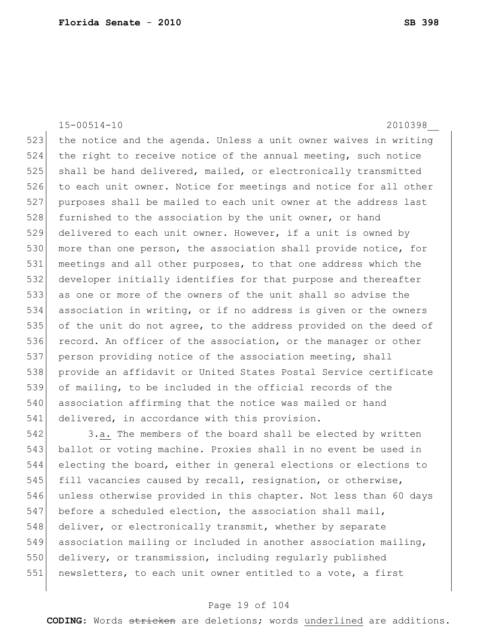15-00514-10 2010398\_\_ 523 the notice and the agenda. Unless a unit owner waives in writing 524 the right to receive notice of the annual meeting, such notice 525 shall be hand delivered, mailed, or electronically transmitted 526 to each unit owner. Notice for meetings and notice for all other 527 purposes shall be mailed to each unit owner at the address last 528 furnished to the association by the unit owner, or hand 529 delivered to each unit owner. However, if a unit is owned by 530 more than one person, the association shall provide notice, for 531 meetings and all other purposes, to that one address which the 532 developer initially identifies for that purpose and thereafter 533 as one or more of the owners of the unit shall so advise the 534 association in writing, or if no address is given or the owners 535 of the unit do not agree, to the address provided on the deed of 536 record. An officer of the association, or the manager or other 537 person providing notice of the association meeting, shall 538 provide an affidavit or United States Postal Service certificate 539 of mailing, to be included in the official records of the 540 association affirming that the notice was mailed or hand 541 delivered, in accordance with this provision.

542 3.a. The members of the board shall be elected by written 543 ballot or voting machine. Proxies shall in no event be used in 544 electing the board, either in general elections or elections to 545 fill vacancies caused by recall, resignation, or otherwise, 546 unless otherwise provided in this chapter. Not less than 60 days 547 before a scheduled election, the association shall mail, 548 deliver, or electronically transmit, whether by separate 549 association mailing or included in another association mailing, 550 delivery, or transmission, including regularly published 551 newsletters, to each unit owner entitled to a vote, a first

## Page 19 of 104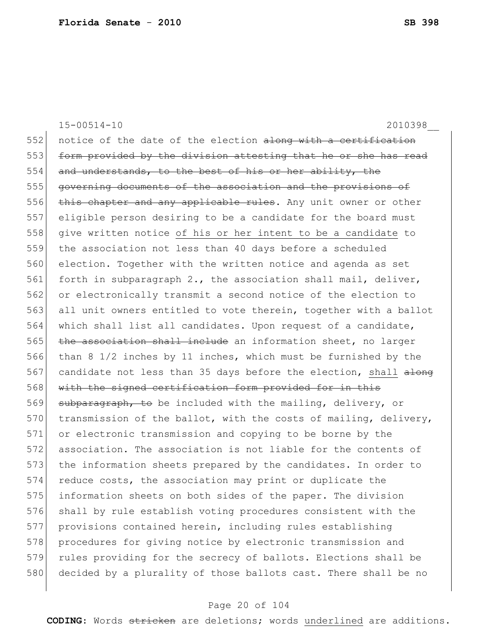15-00514-10 2010398\_\_ 552 notice of the date of the election along with a certification 553 form provided by the division attesting that he or she has read 554 and understands, to the best of his or her ability, the 555 governing documents of the association and the provisions of 556 this chapter and any applicable rules. Any unit owner or other 557 eligible person desiring to be a candidate for the board must 558 give written notice of his or her intent to be a candidate to 559 the association not less than 40 days before a scheduled 560 election. Together with the written notice and agenda as set 561 forth in subparagraph 2., the association shall mail, deliver, 562 or electronically transmit a second notice of the election to 563 all unit owners entitled to vote therein, together with a ballot 564 which shall list all candidates. Upon request of a candidate,  $565$  the association shall include an information sheet, no larger 566 than 8 1/2 inches by 11 inches, which must be furnished by the 567 candidate not less than 35 days before the election, shall along 568 with the signed certification form provided for in this 569 subparagraph, to be included with the mailing, delivery, or 570 transmission of the ballot, with the costs of mailing, delivery, 571 or electronic transmission and copying to be borne by the 572 association. The association is not liable for the contents of 573 the information sheets prepared by the candidates. In order to 574 reduce costs, the association may print or duplicate the 575 information sheets on both sides of the paper. The division 576 shall by rule establish voting procedures consistent with the 577 provisions contained herein, including rules establishing 578 procedures for giving notice by electronic transmission and 579 rules providing for the secrecy of ballots. Elections shall be 580 decided by a plurality of those ballots cast. There shall be no

#### Page 20 of 104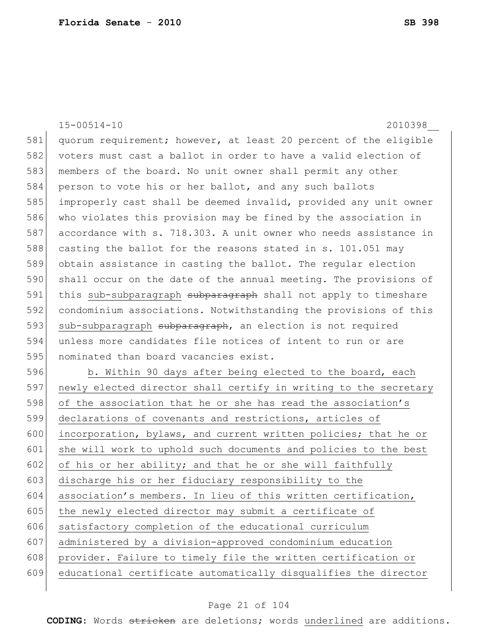15-00514-10 2010398\_\_ 581 quorum requirement; however, at least 20 percent of the eligible 582 voters must cast a ballot in order to have a valid election of 583 members of the board. No unit owner shall permit any other 584 person to vote his or her ballot, and any such ballots 585 improperly cast shall be deemed invalid, provided any unit owner 586 who violates this provision may be fined by the association in 587 accordance with s. 718.303. A unit owner who needs assistance in 588 casting the ballot for the reasons stated in s. 101.051 may 589 obtain assistance in casting the ballot. The regular election 590 shall occur on the date of the annual meeting. The provisions of 591 this sub-subparagraph subparagraph shall not apply to timeshare 592 condominium associations. Notwithstanding the provisions of this 593 sub-subparagraph subparagraph, an election is not required 594 unless more candidates file notices of intent to run or are 595 | nominated than board vacancies exist. 596 b. Within 90 days after being elected to the board, each 597 newly elected director shall certify in writing to the secretary 598 of the association that he or she has read the association's 599 declarations of covenants and restrictions, articles of 600 incorporation, bylaws, and current written policies; that he or 601 she will work to uphold such documents and policies to the best 602 of his or her ability; and that he or she will faithfully 603 discharge his or her fiduciary responsibility to the 604 association's members. In lieu of this written certification, 605 the newly elected director may submit a certificate of 606 satisfactory completion of the educational curriculum 607 administered by a division-approved condominium education 608 provider. Failure to timely file the written certification or 609 educational certificate automatically disqualifies the director

## Page 21 of 104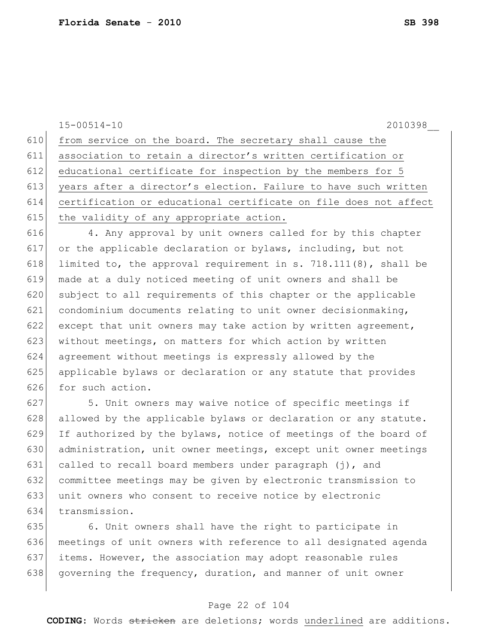15-00514-10 2010398\_\_ 610 from service on the board. The secretary shall cause the 611 association to retain a director's written certification or 612 educational certificate for inspection by the members for 5 613 years after a director's election. Failure to have such written 614 certification or educational certificate on file does not affect 615 the validity of any appropriate action.

616 4. Any approval by unit owners called for by this chapter 617 or the applicable declaration or bylaws, including, but not 618 limited to, the approval requirement in s. 718.111(8), shall be 619 made at a duly noticed meeting of unit owners and shall be 620 subject to all requirements of this chapter or the applicable 621 condominium documents relating to unit owner decisionmaking, 622 except that unit owners may take action by written agreement, 623 without meetings, on matters for which action by written 624 agreement without meetings is expressly allowed by the 625 applicable bylaws or declaration or any statute that provides 626 for such action.

627 5. Unit owners may waive notice of specific meetings if 628 allowed by the applicable bylaws or declaration or any statute. 629 If authorized by the bylaws, notice of meetings of the board of 630 administration, unit owner meetings, except unit owner meetings 631 called to recall board members under paragraph  $(j)$ , and 632 committee meetings may be given by electronic transmission to 633 unit owners who consent to receive notice by electronic 634 transmission.

 6. Unit owners shall have the right to participate in meetings of unit owners with reference to all designated agenda items. However, the association may adopt reasonable rules 638 governing the frequency, duration, and manner of unit owner

## Page 22 of 104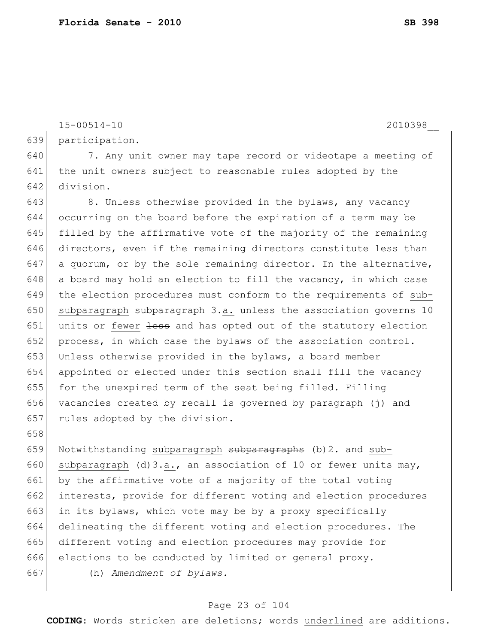15-00514-10 2010398\_\_

639 participation.

640 7. Any unit owner may tape record or videotape a meeting of 641 the unit owners subject to reasonable rules adopted by the 642 division.

643 8. Unless otherwise provided in the bylaws, any vacancy 644 occurring on the board before the expiration of a term may be 645 filled by the affirmative vote of the majority of the remaining 646 directors, even if the remaining directors constitute less than 647 a quorum, or by the sole remaining director. In the alternative,  $648$  a board may hold an election to fill the vacancy, in which case 649 the election procedures must conform to the requirements of sub-650 subparagraph subparagraph 3.a. unless the association governs 10 651 units or fewer less and has opted out of the statutory election 652 process, in which case the bylaws of the association control. 653 Unless otherwise provided in the bylaws, a board member 654 appointed or elected under this section shall fill the vacancy 655 for the unexpired term of the seat being filled. Filling 656 vacancies created by recall is governed by paragraph (j) and 657 rules adopted by the division.

659 Notwithstanding subparagraph  $\frac{1}{2}$  subparagraphs (b) 2. and sub-660 subparagraph (d)3.a., an association of 10 or fewer units may, 661 by the affirmative vote of a majority of the total voting 662 interests, provide for different voting and election procedures 663 in its bylaws, which vote may be by a proxy specifically 664 delineating the different voting and election procedures. The 665 different voting and election procedures may provide for 666 elections to be conducted by limited or general proxy.

658

667 (h) *Amendment of bylaws.*—

### Page 23 of 104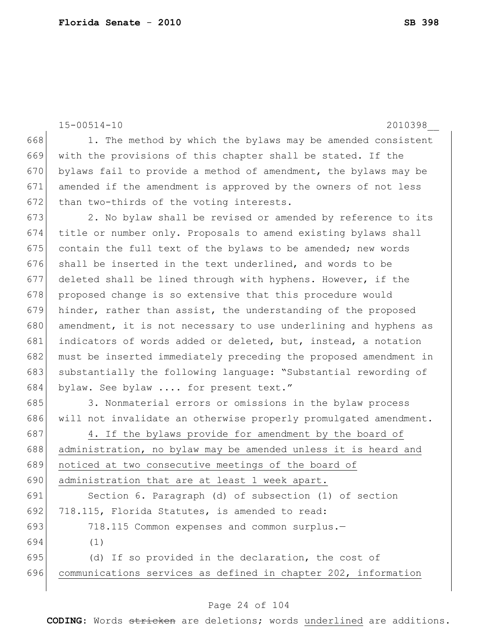```
15-00514-10 2010398__
668 1. The method by which the bylaws may be amended consistent
669 with the provisions of this chapter shall be stated. If the 
670 bylaws fail to provide a method of amendment, the bylaws may be
671 amended if the amendment is approved by the owners of not less 
672 than two-thirds of the voting interests.
673 2. No bylaw shall be revised or amended by reference to its
```
 title or number only. Proposals to amend existing bylaws shall 675 contain the full text of the bylaws to be amended; new words shall be inserted in the text underlined, and words to be deleted shall be lined through with hyphens. However, if the 678 proposed change is so extensive that this procedure would hinder, rather than assist, the understanding of the proposed 680 amendment, it is not necessary to use underlining and hyphens as indicators of words added or deleted, but, instead, a notation must be inserted immediately preceding the proposed amendment in substantially the following language: "Substantial rewording of 684 bylaw. See bylaw .... for present text."

685 3. Nonmaterial errors or omissions in the bylaw process 686 will not invalidate an otherwise properly promulgated amendment.

687 4. If the bylaws provide for amendment by the board of 688 administration, no bylaw may be amended unless it is heard and 689 noticed at two consecutive meetings of the board of 690 administration that are at least 1 week apart. 691 Section 6. Paragraph (d) of subsection (1) of section 692 718.115, Florida Statutes, is amended to read: 693 718.115 Common expenses and common surplus.— 694 (1) 695 (d) If so provided in the declaration, the cost of 696 communications services as defined in chapter 202, information

### Page 24 of 104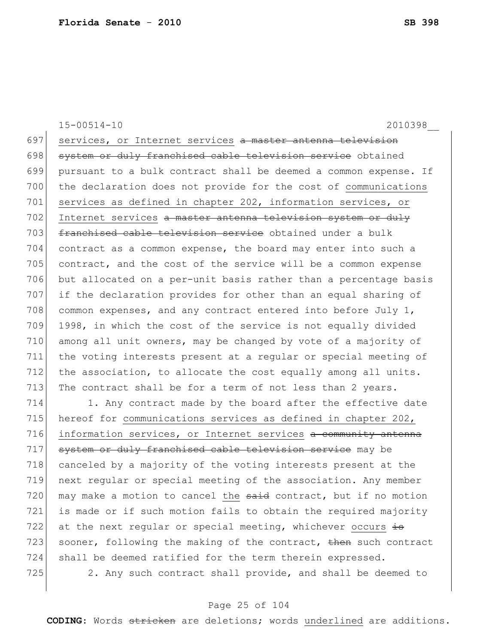15-00514-10 2010398\_\_ 697 services, or Internet services a master antenna television 698 system or duly franchised cable television service obtained 699 pursuant to a bulk contract shall be deemed a common expense. If 700 the declaration does not provide for the cost of communications 701 services as defined in chapter 202, information services, or 702 Internet services a master antenna television system or duly 703 franchised cable television service obtained under a bulk 704 contract as a common expense, the board may enter into such a 705 contract, and the cost of the service will be a common expense 706 but allocated on a per-unit basis rather than a percentage basis 707 if the declaration provides for other than an equal sharing of 708 common expenses, and any contract entered into before July  $1$ , 709 1998, in which the cost of the service is not equally divided 710 among all unit owners, may be changed by vote of a majority of 711 the voting interests present at a regular or special meeting of 712 the association, to allocate the cost equally among all units. 713 The contract shall be for a term of not less than 2 years.

714 1. Any contract made by the board after the effective date 715 hereof for communications services as defined in chapter 202, 716 information services, or Internet services a community antenna 717 system or duly franchised cable television service may be 718 canceled by a majority of the voting interests present at the 719 next regular or special meeting of the association. Any member 720 may make a motion to cancel the said contract, but if no motion 721 is made or if such motion fails to obtain the required majority 722 at the next regular or special meeting, whichever occurs  $\pm$ 723 sooner, following the making of the contract,  $\frac{1}{2}$  such contract 724 shall be deemed ratified for the term therein expressed.  $725$  2. Any such contract shall provide, and shall be deemed to

### Page 25 of 104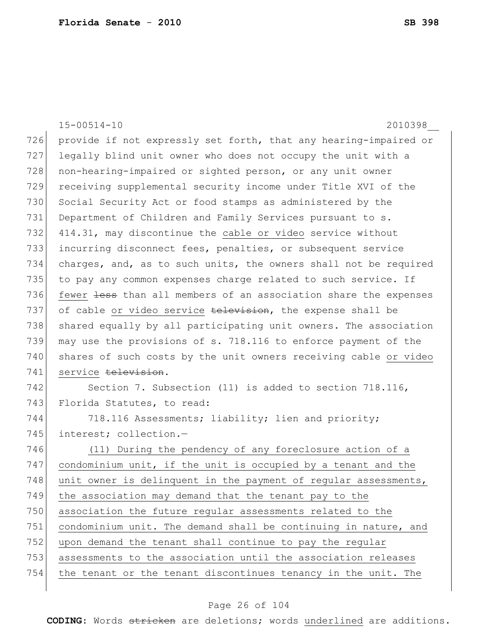|     | $15 - 00514 - 10$<br>2010398                                     |
|-----|------------------------------------------------------------------|
| 726 | provide if not expressly set forth, that any hearing-impaired or |
| 727 | legally blind unit owner who does not occupy the unit with a     |
| 728 | non-hearing-impaired or sighted person, or any unit owner        |
| 729 | receiving supplemental security income under Title XVI of the    |
| 730 | Social Security Act or food stamps as administered by the        |
| 731 | Department of Children and Family Services pursuant to s.        |
| 732 | 414.31, may discontinue the cable or video service without       |
| 733 | incurring disconnect fees, penalties, or subsequent service      |
| 734 | charges, and, as to such units, the owners shall not be required |
| 735 | to pay any common expenses charge related to such service. If    |
| 736 | fewer less than all members of an association share the expenses |
| 737 | of cable or video service television, the expense shall be       |
| 738 | shared equally by all participating unit owners. The association |
| 739 | may use the provisions of s. 718.116 to enforce payment of the   |
| 740 | shares of such costs by the unit owners receiving cable or video |
| 741 | service television.                                              |
| 742 | Section 7. Subsection (11) is added to section 718.116,          |
| 743 | Florida Statutes, to read:                                       |
| 744 | 718.116 Assessments; liability; lien and priority;               |
| 745 | interest; collection.-                                           |
| 746 | (11) During the pendency of any foreclosure action of a          |
| 747 | condominium unit, if the unit is occupied by a tenant and the    |
| 748 | unit owner is delinquent in the payment of regular assessments,  |
| 749 | the association may demand that the tenant pay to the            |
| 750 | association the future regular assessments related to the        |
| 751 | condominium unit. The demand shall be continuing in nature, and  |
| 752 | upon demand the tenant shall continue to pay the regular         |
| 753 | assessments to the association until the association releases    |
| 754 | the tenant or the tenant discontinues tenancy in the unit. The   |
|     |                                                                  |

# Page 26 of 104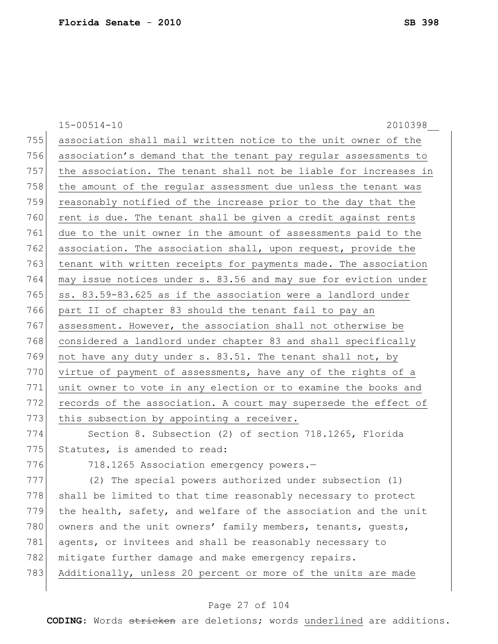15-00514-10 2010398\_\_ 755 association shall mail written notice to the unit owner of the 756 association's demand that the tenant pay regular assessments to 757 the association. The tenant shall not be liable for increases in 758 the amount of the regular assessment due unless the tenant was 759 reasonably notified of the increase prior to the day that the 760 rent is due. The tenant shall be given a credit against rents 761 due to the unit owner in the amount of assessments paid to the 762 association. The association shall, upon request, provide the 763 tenant with written receipts for payments made. The association 764 may issue notices under s. 83.56 and may sue for eviction under 765  $\vert$  ss. 83.59-83.625 as if the association were a landlord under 766 part II of chapter 83 should the tenant fail to pay an 767 assessment. However, the association shall not otherwise be 768 considered a landlord under chapter 83 and shall specifically 769 not have any duty under  $s. 83.51$ . The tenant shall not, by 770 virtue of payment of assessments, have any of the rights of a 771 unit owner to vote in any election or to examine the books and 772 records of the association. A court may supersede the effect of 773 this subsection by appointing a receiver. 774 Section 8. Subsection (2) of section 718.1265, Florida 775 Statutes, is amended to read: 776 718.1265 Association emergency powers.-777 (2) The special powers authorized under subsection (1) 778 shall be limited to that time reasonably necessary to protect  $779$  the health, safety, and welfare of the association and the unit 780 owners and the unit owners' family members, tenants, guests, 781 agents, or invitees and shall be reasonably necessary to 782 mitigate further damage and make emergency repairs. 783 Additionally, unless 20 percent or more of the units are made

## Page 27 of 104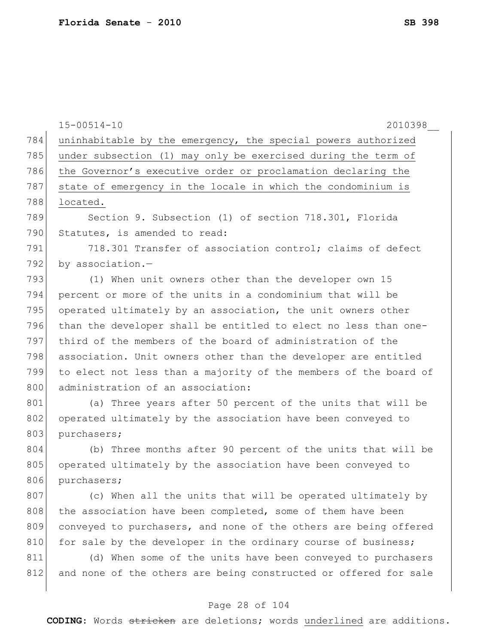|     | $15 - 00514 - 10$<br>2010398                                     |
|-----|------------------------------------------------------------------|
| 784 | uninhabitable by the emergency, the special powers authorized    |
| 785 | under subsection (1) may only be exercised during the term of    |
| 786 | the Governor's executive order or proclamation declaring the     |
| 787 | state of emergency in the locale in which the condominium is     |
| 788 | located.                                                         |
| 789 | Section 9. Subsection (1) of section 718.301, Florida            |
| 790 | Statutes, is amended to read:                                    |
| 791 | 718.301 Transfer of association control; claims of defect        |
| 792 | by association.-                                                 |
| 793 | (1) When unit owners other than the developer own 15             |
| 794 | percent or more of the units in a condominium that will be       |
| 795 | operated ultimately by an association, the unit owners other     |
| 796 | than the developer shall be entitled to elect no less than one-  |
| 797 | third of the members of the board of administration of the       |
| 798 | association. Unit owners other than the developer are entitled   |
| 799 | to elect not less than a majority of the members of the board of |
| 800 | administration of an association:                                |
| 801 | (a) Three years after 50 percent of the units that will be       |
| 802 | operated ultimately by the association have been conveyed to     |
| 803 | purchasers;                                                      |
| 804 | (b) Three months after 90 percent of the units that will be      |
| 805 | operated ultimately by the association have been conveyed to     |
| 806 | purchasers;                                                      |
| 807 | (c) When all the units that will be operated ultimately by       |
| 808 | the association have been completed, some of them have been      |
| 809 | conveyed to purchasers, and none of the others are being offered |
| 810 | for sale by the developer in the ordinary course of business;    |
| 811 | (d) When some of the units have been conveyed to purchasers      |
| 812 | and none of the others are being constructed or offered for sale |
|     |                                                                  |

# Page 28 of 104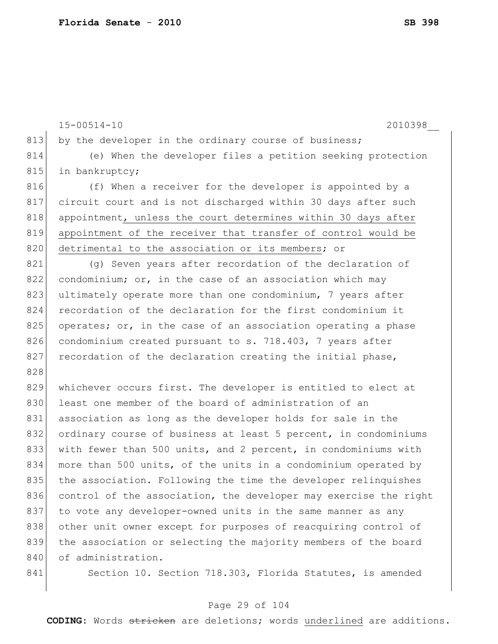15-00514-10 2010398\_\_ 813 by the developer in the ordinary course of business; 814 (e) When the developer files a petition seeking protection 815 in bankruptcy; 816 (f) When a receiver for the developer is appointed by a 817 circuit court and is not discharged within 30 days after such 818 appointment, unless the court determines within 30 days after 819 appointment of the receiver that transfer of control would be 820 detrimental to the association or its members; or 821 (g) Seven years after recordation of the declaration of  $822$  condominium; or, in the case of an association which may 823 ultimately operate more than one condominium, 7 years after 824 recordation of the declaration for the first condominium it 825 operates; or, in the case of an association operating a phase 826 condominium created pursuant to s. 718.403, 7 years after  $827$  recordation of the declaration creating the initial phase, 828 829 whichever occurs first. The developer is entitled to elect at 830 least one member of the board of administration of an 831 association as long as the developer holds for sale in the 832 ordinary course of business at least 5 percent, in condominiums 833 with fewer than 500 units, and 2 percent, in condominiums with 834 more than 500 units, of the units in a condominium operated by 835 the association. Following the time the developer relinquishes 836 control of the association, the developer may exercise the right 837 to vote any developer-owned units in the same manner as any 838 other unit owner except for purposes of reacquiring control of 839 the association or selecting the majority members of the board 840 of administration. 841 Section 10. Section 718.303, Florida Statutes, is amended

## Page 29 of 104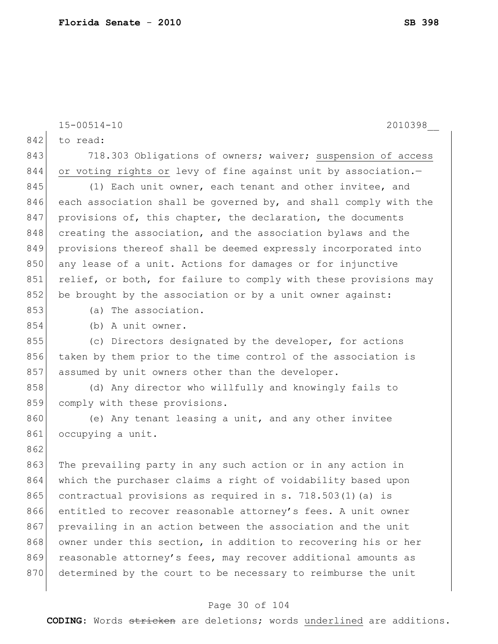15-00514-10 2010398\_\_ 842 to read: 843 718.303 Obligations of owners; waiver; suspension of access 844 or voting rights or levy of fine against unit by association.-845 (1) Each unit owner, each tenant and other invitee, and 846 each association shall be governed by, and shall comply with the 847 provisions of, this chapter, the declaration, the documents 848 creating the association, and the association bylaws and the 849 provisions thereof shall be deemed expressly incorporated into 850 any lease of a unit. Actions for damages or for injunctive 851 relief, or both, for failure to comply with these provisions may 852 be brought by the association or by a unit owner against: 853 (a) The association. 854 (b) A unit owner. 855 (c) Directors designated by the developer, for actions 856 taken by them prior to the time control of the association is 857 assumed by unit owners other than the developer. 858 (d) Any director who willfully and knowingly fails to 859 comply with these provisions. 860 (e) Any tenant leasing a unit, and any other invitee 861 occupying a unit. 862 863 The prevailing party in any such action or in any action in 864 which the purchaser claims a right of voidability based upon 865 contractual provisions as required in s. 718.503(1) (a) is 866 entitled to recover reasonable attorney's fees. A unit owner 867 prevailing in an action between the association and the unit 868 owner under this section, in addition to recovering his or her 869 reasonable attorney's fees, may recover additional amounts as 870 determined by the court to be necessary to reimburse the unit

#### Page 30 of 104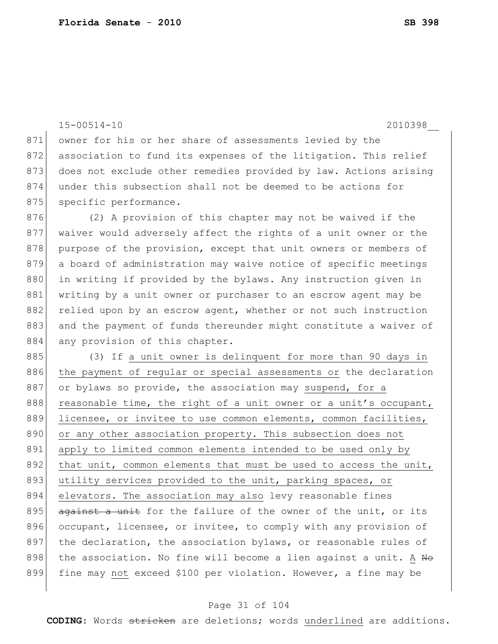15-00514-10 2010398\_\_ 871 owner for his or her share of assessments levied by the 872 association to fund its expenses of the litigation. This relief 873 does not exclude other remedies provided by law. Actions arising 874 under this subsection shall not be deemed to be actions for 875 specific performance. 876 (2) A provision of this chapter may not be waived if the 877 waiver would adversely affect the rights of a unit owner or the

878 purpose of the provision, except that unit owners or members of 879 a board of administration may waive notice of specific meetings 880 in writing if provided by the bylaws. Any instruction given in 881 writing by a unit owner or purchaser to an escrow agent may be 882 relied upon by an escrow agent, whether or not such instruction 883 and the payment of funds thereunder might constitute a waiver of 884 any provision of this chapter.

885 (3) If a unit owner is delinquent for more than 90 days in 886 | the payment of regular or special assessments or the declaration 887 or bylaws so provide, the association may suspend, for a 888 reasonable time, the right of a unit owner or a unit's occupant, 889 licensee, or invitee to use common elements, common facilities, 890 or any other association property. This subsection does not 891 apply to limited common elements intended to be used only by 892 that unit, common elements that must be used to access the unit, 893 utility services provided to the unit, parking spaces, or 894 elevators. The association may also levy reasonable fines 895  $\frac{1}{\sqrt{2}}$  against a unit for the failure of the owner of the unit, or its 896 occupant, licensee, or invitee, to comply with any provision of 897 the declaration, the association bylaws, or reasonable rules of 898 the association. No fine will become a lien against a unit. A  $N\Theta$ 899 fine may not exceed \$100 per violation. However, a fine may be

#### Page 31 of 104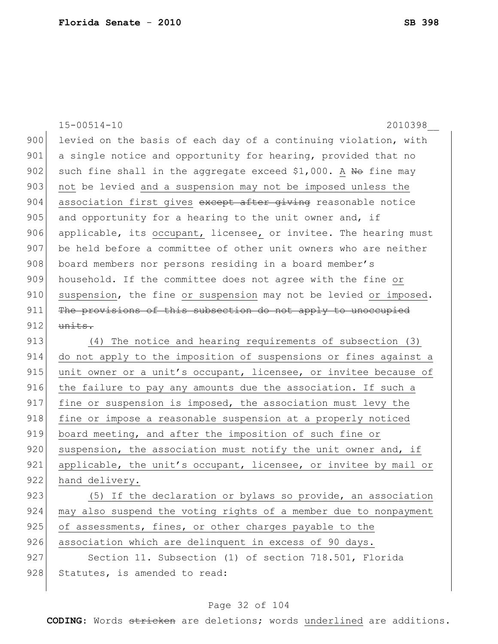|     | $15 - 00514 - 10$<br>2010398                                     |
|-----|------------------------------------------------------------------|
| 900 | levied on the basis of each day of a continuing violation, with  |
| 901 | a single notice and opportunity for hearing, provided that no    |
| 902 | such fine shall in the aggregate exceed \$1,000. A No fine may   |
| 903 | not be levied and a suspension may not be imposed unless the     |
| 904 | association first gives except after giving reasonable notice    |
| 905 | and opportunity for a hearing to the unit owner and, if          |
| 906 | applicable, its occupant, licensee, or invitee. The hearing must |
| 907 | be held before a committee of other unit owners who are neither  |
| 908 | board members nor persons residing in a board member's           |
| 909 | household. If the committee does not agree with the fine or      |
| 910 | suspension, the fine or suspension may not be levied or imposed. |
| 911 | The provisions of this subsection do not apply to unoccupied     |
| 912 | units.                                                           |
| 913 | (4) The notice and hearing requirements of subsection (3)        |
| 914 | do not apply to the imposition of suspensions or fines against a |
| 915 | unit owner or a unit's occupant, licensee, or invitee because of |
| 916 | the failure to pay any amounts due the association. If such a    |
| 917 | fine or suspension is imposed, the association must levy the     |
| 918 | fine or impose a reasonable suspension at a properly noticed     |
| 919 | board meeting, and after the imposition of such fine or          |
| 920 | suspension, the association must notify the unit owner and, if   |
| 921 | applicable, the unit's occupant, licensee, or invitee by mail or |
| 922 | hand delivery.                                                   |
| 923 | (5) If the declaration or bylaws so provide, an association      |
| 924 | may also suspend the voting rights of a member due to nonpayment |
| 925 | of assessments, fines, or other charges payable to the           |
| 926 | association which are delinquent in excess of 90 days.           |
| 927 | Section 11. Subsection (1) of section 718.501, Florida           |
| 928 | Statutes, is amended to read:                                    |
|     |                                                                  |

# Page 32 of 104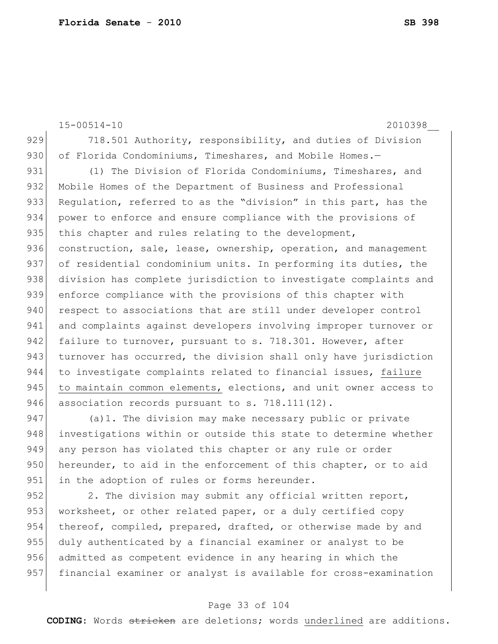15-00514-10 2010398\_\_ 929 718.501 Authority, responsibility, and duties of Division 930 of Florida Condominiums, Timeshares, and Mobile Homes.-931 (1) The Division of Florida Condominiums, Timeshares, and 932 Mobile Homes of the Department of Business and Professional 933 Requlation, referred to as the "division" in this part, has the 934 power to enforce and ensure compliance with the provisions of 935 this chapter and rules relating to the development, 936 construction, sale, lease, ownership, operation, and management 937 of residential condominium units. In performing its duties, the 938 division has complete jurisdiction to investigate complaints and 939 enforce compliance with the provisions of this chapter with 940 respect to associations that are still under developer control 941 and complaints against developers involving improper turnover or 942 failure to turnover, pursuant to s. 718.301. However, after 943 turnover has occurred, the division shall only have jurisdiction 944 to investigate complaints related to financial issues, failure 945 to maintain common elements, elections, and unit owner access to 946 association records pursuant to s. 718.111(12). 947 (a)1. The division may make necessary public or private

948 investigations within or outside this state to determine whether 949 any person has violated this chapter or any rule or order 950 hereunder, to aid in the enforcement of this chapter, or to aid 951 in the adoption of rules or forms hereunder.

952 2. The division may submit any official written report, 953 worksheet, or other related paper, or a duly certified copy 954 thereof, compiled, prepared, drafted, or otherwise made by and 955 duly authenticated by a financial examiner or analyst to be 956 admitted as competent evidence in any hearing in which the 957 financial examiner or analyst is available for cross-examination

### Page 33 of 104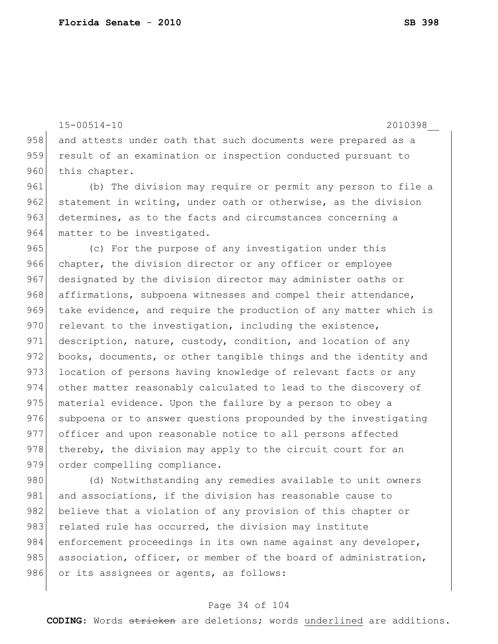15-00514-10 2010398\_\_

958 and attests under oath that such documents were prepared as a 959 result of an examination or inspection conducted pursuant to 960 this chapter.

961 (b) The division may require or permit any person to file a 962 statement in writing, under oath or otherwise, as the division 963 determines, as to the facts and circumstances concerning a 964 matter to be investigated.

965 (c) For the purpose of any investigation under this 966 chapter, the division director or any officer or employee 967 designated by the division director may administer oaths or 968 affirmations, subpoena witnesses and compel their attendance, 969 take evidence, and require the production of any matter which is  $970$  relevant to the investigation, including the existence, 971 description, nature, custody, condition, and location of any 972 books, documents, or other tangible things and the identity and 973 location of persons having knowledge of relevant facts or any 974 other matter reasonably calculated to lead to the discovery of 975 material evidence. Upon the failure by a person to obey a 976 subpoena or to answer questions propounded by the investigating 977 officer and upon reasonable notice to all persons affected 978 thereby, the division may apply to the circuit court for an 979 order compelling compliance.

980 (d) Notwithstanding any remedies available to unit owners 981 and associations, if the division has reasonable cause to 982 believe that a violation of any provision of this chapter or 983 related rule has occurred, the division may institute 984 enforcement proceedings in its own name against any developer, 985 association, officer, or member of the board of administration, 986 or its assignees or agents, as follows:

#### Page 34 of 104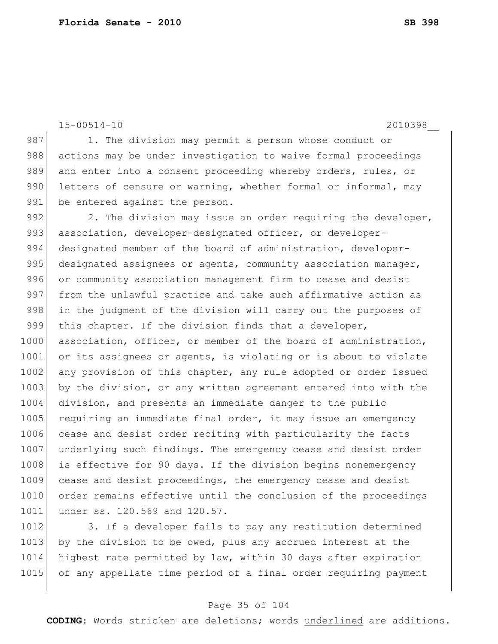```
15-00514-10 2010398__
```
987 1. The division may permit a person whose conduct or 988 actions may be under investigation to waive formal proceedings 989 and enter into a consent proceeding whereby orders, rules, or 990 letters of censure or warning, whether formal or informal, may 991 be entered against the person.

992 2. The division may issue an order requiring the developer, 993 association, developer-designated officer, or developer-994 designated member of the board of administration, developer-995 designated assignees or agents, community association manager, 996 or community association management firm to cease and desist 997 from the unlawful practice and take such affirmative action as 998 in the judgment of the division will carry out the purposes of 999 this chapter. If the division finds that a developer, 1000 association, officer, or member of the board of administration, 1001 or its assignees or agents, is violating or is about to violate 1002 any provision of this chapter, any rule adopted or order issued 1003 by the division, or any written agreement entered into with the 1004 division, and presents an immediate danger to the public 1005 requiring an immediate final order, it may issue an emergency 1006 cease and desist order reciting with particularity the facts 1007 underlying such findings. The emergency cease and desist order 1008 is effective for 90 days. If the division begins nonemergency 1009 cease and desist proceedings, the emergency cease and desist 1010 order remains effective until the conclusion of the proceedings 1011 under ss. 120.569 and 120.57.

1012 3. If a developer fails to pay any restitution determined 1013 by the division to be owed, plus any accrued interest at the 1014 highest rate permitted by law, within 30 days after expiration 1015 of any appellate time period of a final order requiring payment

#### Page 35 of 104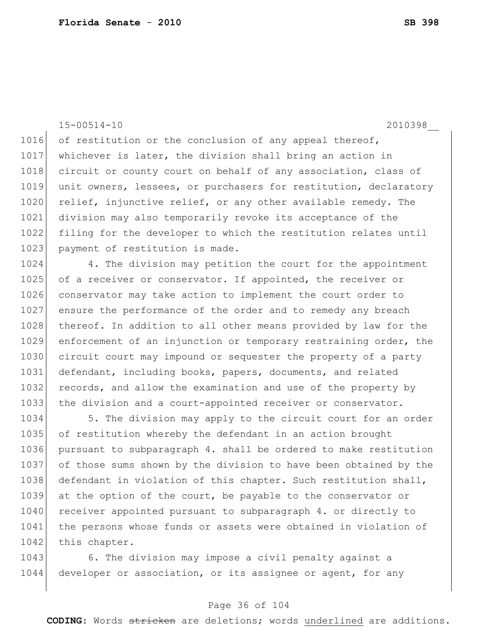15-00514-10 2010398\_\_

1016 of restitution or the conclusion of any appeal thereof, 1017 whichever is later, the division shall bring an action in 1018 circuit or county court on behalf of any association, class of 1019 unit owners, lessees, or purchasers for restitution, declaratory 1020 relief, injunctive relief, or any other available remedy. The 1021 division may also temporarily revoke its acceptance of the 1022 filing for the developer to which the restitution relates until 1023 payment of restitution is made.

1024 4. The division may petition the court for the appointment 1025 of a receiver or conservator. If appointed, the receiver or 1026 conservator may take action to implement the court order to 1027 ensure the performance of the order and to remedy any breach 1028 thereof. In addition to all other means provided by law for the 1029 enforcement of an injunction or temporary restraining order, the 1030 circuit court may impound or sequester the property of a party 1031 defendant, including books, papers, documents, and related 1032 records, and allow the examination and use of the property by 1033 the division and a court-appointed receiver or conservator.

1034 5. The division may apply to the circuit court for an order 1035 of restitution whereby the defendant in an action brought 1036 pursuant to subparagraph 4. shall be ordered to make restitution 1037 of those sums shown by the division to have been obtained by the 1038 defendant in violation of this chapter. Such restitution shall, 1039 at the option of the court, be payable to the conservator or 1040 receiver appointed pursuant to subparagraph 4. or directly to 1041 the persons whose funds or assets were obtained in violation of 1042 this chapter.

1043 6. The division may impose a civil penalty against a 1044 developer or association, or its assignee or agent, for any

### Page 36 of 104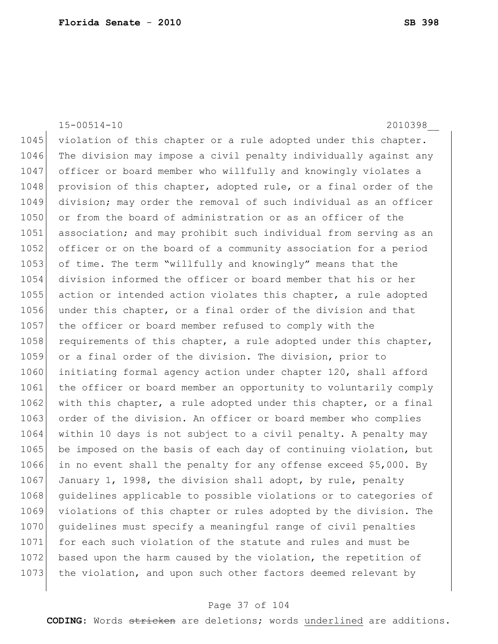15-00514-10 2010398\_\_ 1045 violation of this chapter or a rule adopted under this chapter. 1046 The division may impose a civil penalty individually against any 1047 officer or board member who willfully and knowingly violates a 1048 provision of this chapter, adopted rule, or a final order of the 1049 division; may order the removal of such individual as an officer 1050 or from the board of administration or as an officer of the 1051 association; and may prohibit such individual from serving as an 1052 officer or on the board of a community association for a period 1053 of time. The term "willfully and knowingly" means that the 1054 division informed the officer or board member that his or her 1055 action or intended action violates this chapter, a rule adopted 1056 under this chapter, or a final order of the division and that 1057 | the officer or board member refused to comply with the 1058 requirements of this chapter, a rule adopted under this chapter, 1059 or a final order of the division. The division, prior to 1060 initiating formal agency action under chapter 120, shall afford 1061 the officer or board member an opportunity to voluntarily comply 1062 with this chapter, a rule adopted under this chapter, or a final 1063 order of the division. An officer or board member who complies 1064 within 10 days is not subject to a civil penalty. A penalty may 1065 be imposed on the basis of each day of continuing violation, but 1066 in no event shall the penalty for any offense exceed \$5,000. By 1067 January 1, 1998, the division shall adopt, by rule, penalty 1068 guidelines applicable to possible violations or to categories of 1069 violations of this chapter or rules adopted by the division. The 1070 guidelines must specify a meaningful range of civil penalties 1071 for each such violation of the statute and rules and must be 1072 based upon the harm caused by the violation, the repetition of 1073 the violation, and upon such other factors deemed relevant by

#### Page 37 of 104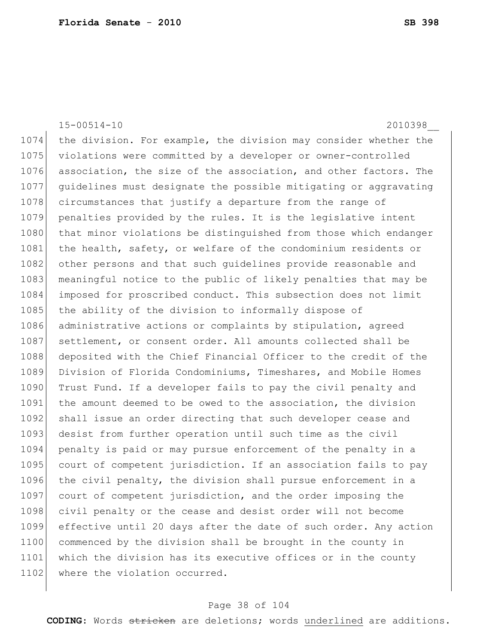15-00514-10 2010398\_\_ 1074 the division. For example, the division may consider whether the 1075 violations were committed by a developer or owner-controlled 1076 association, the size of the association, and other factors. The 1077 guidelines must designate the possible mitigating or aggravating 1078 circumstances that justify a departure from the range of 1079 penalties provided by the rules. It is the legislative intent 1080 that minor violations be distinguished from those which endanger 1081 the health, safety, or welfare of the condominium residents or 1082 other persons and that such guidelines provide reasonable and 1083 meaningful notice to the public of likely penalties that may be 1084 imposed for proscribed conduct. This subsection does not limit 1085 the ability of the division to informally dispose of 1086 administrative actions or complaints by stipulation, agreed 1087 settlement, or consent order. All amounts collected shall be 1088 deposited with the Chief Financial Officer to the credit of the 1089 Division of Florida Condominiums, Timeshares, and Mobile Homes 1090 Trust Fund. If a developer fails to pay the civil penalty and 1091 the amount deemed to be owed to the association, the division 1092 shall issue an order directing that such developer cease and 1093 desist from further operation until such time as the civil 1094 penalty is paid or may pursue enforcement of the penalty in a 1095 court of competent jurisdiction. If an association fails to pay 1096 the civil penalty, the division shall pursue enforcement in a 1097 court of competent jurisdiction, and the order imposing the 1098 civil penalty or the cease and desist order will not become 1099 effective until 20 days after the date of such order. Any action 1100 commenced by the division shall be brought in the county in 1101 which the division has its executive offices or in the county 1102 where the violation occurred.

#### Page 38 of 104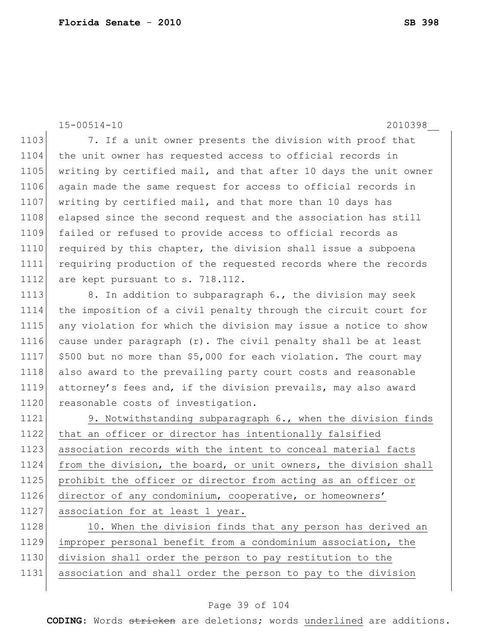```
15-00514-10 2010398__
```
1103 7. If a unit owner presents the division with proof that 1104 the unit owner has requested access to official records in 1105 writing by certified mail, and that after 10 days the unit owner 1106 again made the same request for access to official records in 1107 writing by certified mail, and that more than 10 days has 1108 elapsed since the second request and the association has still 1109 failed or refused to provide access to official records as 1110 required by this chapter, the division shall issue a subpoena 1111 requiring production of the requested records where the records 1112 are kept pursuant to s. 718.112.

1113 8. In addition to subparagraph 6., the division may seek 1114 the imposition of a civil penalty through the circuit court for 1115 any violation for which the division may issue a notice to show 1116 cause under paragraph  $(r)$ . The civil penalty shall be at least 1117 \$500 but no more than \$5,000 for each violation. The court may 1118 also award to the prevailing party court costs and reasonable 1119 attorney's fees and, if the division prevails, may also award 1120 reasonable costs of investigation.

 9. Notwithstanding subparagraph 6., when the division finds that an officer or director has intentionally falsified association records with the intent to conceal material facts from the division, the board, or unit owners, the division shall prohibit the officer or director from acting as an officer or director of any condominium, cooperative, or homeowners' 1127 association for at least 1 year.

1128 10. When the division finds that any person has derived an improper personal benefit from a condominium association, the division shall order the person to pay restitution to the association and shall order the person to pay to the division

#### Page 39 of 104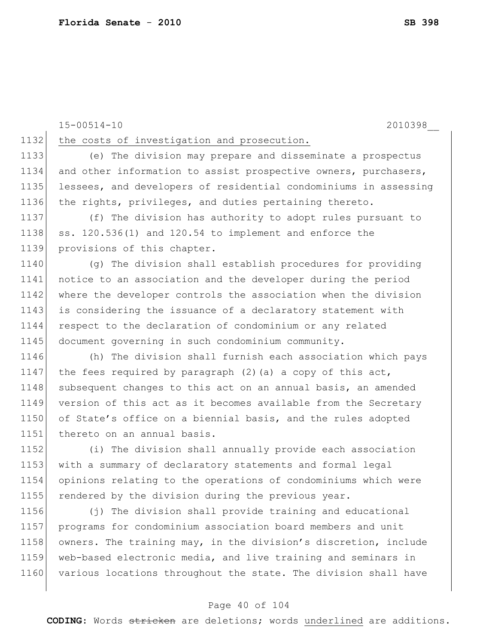15-00514-10 2010398\_\_

1132 the costs of investigation and prosecution.

 (e) The division may prepare and disseminate a prospectus 1134 and other information to assist prospective owners, purchasers, lessees, and developers of residential condominiums in assessing the rights, privileges, and duties pertaining thereto.

1137 (f) The division has authority to adopt rules pursuant to 1138 ss.  $120.536(1)$  and  $120.54$  to implement and enforce the 1139 provisions of this chapter.

 (g) The division shall establish procedures for providing notice to an association and the developer during the period where the developer controls the association when the division 1143 is considering the issuance of a declaratory statement with 1144 respect to the declaration of condominium or any related document governing in such condominium community.

1146 (h) The division shall furnish each association which pays 1147 the fees required by paragraph  $(2)$  (a) a copy of this act, 1148 subsequent changes to this act on an annual basis, an amended 1149 version of this act as it becomes available from the Secretary 1150 of State's office on a biennial basis, and the rules adopted 1151 thereto on an annual basis.

 (i) The division shall annually provide each association with a summary of declaratory statements and formal legal opinions relating to the operations of condominiums which were 1155 rendered by the division during the previous year.

1156 (j) The division shall provide training and educational 1157 programs for condominium association board members and unit 1158 owners. The training may, in the division's discretion, include 1159 web-based electronic media, and live training and seminars in 1160 various locations throughout the state. The division shall have

#### Page 40 of 104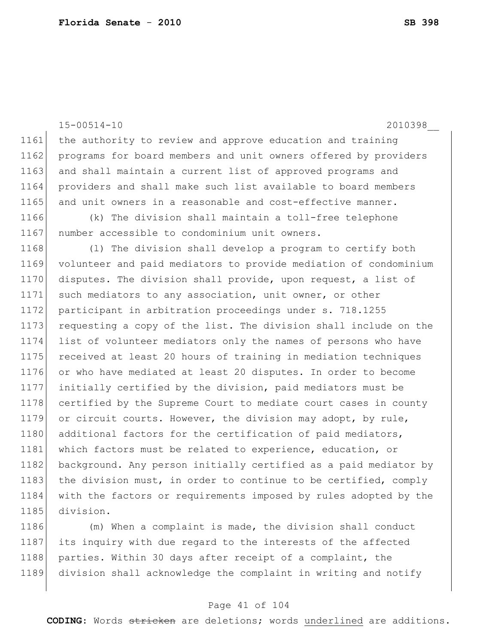15-00514-10 2010398\_\_ 1161 the authority to review and approve education and training 1162 programs for board members and unit owners offered by providers 1163 and shall maintain a current list of approved programs and 1164 providers and shall make such list available to board members 1165 and unit owners in a reasonable and cost-effective manner. 1166 (k) The division shall maintain a toll-free telephone 1167 number accessible to condominium unit owners. 1168 (1) The division shall develop a program to certify both 1169 volunteer and paid mediators to provide mediation of condominium 1170 disputes. The division shall provide, upon request, a list of 1171 such mediators to any association, unit owner, or other 1172 participant in arbitration proceedings under s. 718.1255 1173 requesting a copy of the list. The division shall include on the 1174 list of volunteer mediators only the names of persons who have 1175 received at least 20 hours of training in mediation techniques 1176 or who have mediated at least 20 disputes. In order to become 1177 initially certified by the division, paid mediators must be 1178 certified by the Supreme Court to mediate court cases in county 1179 or circuit courts. However, the division may adopt, by rule, 1180 additional factors for the certification of paid mediators, 1181 which factors must be related to experience, education, or 1182 background. Any person initially certified as a paid mediator by 1183 the division must, in order to continue to be certified, comply 1184 with the factors or requirements imposed by rules adopted by the 1185 division.

1186 (m) When a complaint is made, the division shall conduct 1187 its inquiry with due regard to the interests of the affected 1188 parties. Within 30 days after receipt of a complaint, the 1189 division shall acknowledge the complaint in writing and notify

#### Page 41 of 104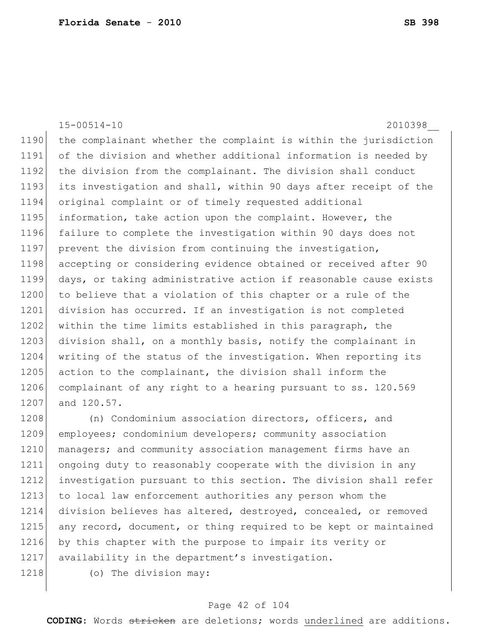15-00514-10 2010398\_\_ 1190 the complainant whether the complaint is within the jurisdiction 1191 of the division and whether additional information is needed by 1192 the division from the complainant. The division shall conduct 1193 its investigation and shall, within 90 days after receipt of the 1194 original complaint or of timely requested additional 1195 information, take action upon the complaint. However, the 1196 failure to complete the investigation within 90 days does not 1197 prevent the division from continuing the investigation, 1198 accepting or considering evidence obtained or received after 90 1199 days, or taking administrative action if reasonable cause exists 1200 to believe that a violation of this chapter or a rule of the 1201 division has occurred. If an investigation is not completed 1202 within the time limits established in this paragraph, the 1203 division shall, on a monthly basis, notify the complainant in 1204 writing of the status of the investigation. When reporting its 1205 action to the complainant, the division shall inform the 1206 complainant of any right to a hearing pursuant to ss. 120.569 1207 and 120.57. 1208 (n) Condominium association directors, officers, and 1209 employees; condominium developers; community association

1210 managers; and community association management firms have an 1211 ongoing duty to reasonably cooperate with the division in any 1212 investigation pursuant to this section. The division shall refer 1213 to local law enforcement authorities any person whom the 1214 division believes has altered, destroyed, concealed, or removed 1215 any record, document, or thing required to be kept or maintained 1216 by this chapter with the purpose to impair its verity or 1217 availability in the department's investigation.

1218 (o) The division may:

#### Page 42 of 104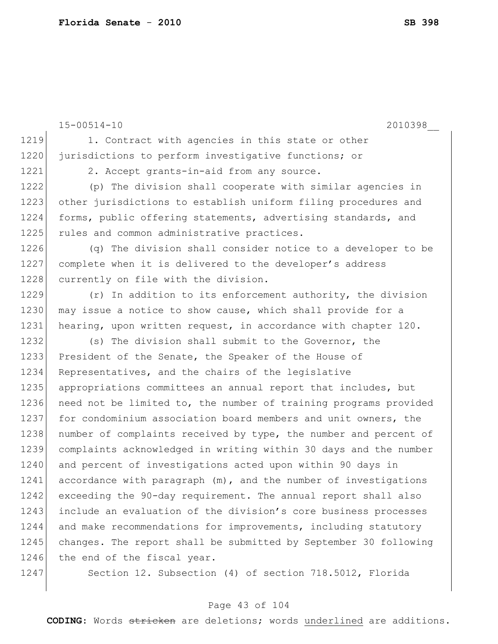15-00514-10 2010398\_\_

1219 1. Contract with agencies in this state or other 1220 jurisdictions to perform investigative functions; or

1221 2. Accept grants-in-aid from any source.

1222 (p) The division shall cooperate with similar agencies in 1223 other jurisdictions to establish uniform filing procedures and 1224 forms, public offering statements, advertising standards, and 1225 rules and common administrative practices.

1226 (q) The division shall consider notice to a developer to be 1227 complete when it is delivered to the developer's address 1228 currently on file with the division.

1229 (r) In addition to its enforcement authority, the division 1230 may issue a notice to show cause, which shall provide for a 1231 hearing, upon written request, in accordance with chapter 120.

1232 (s) The division shall submit to the Governor, the 1233 President of the Senate, the Speaker of the House of 1234 Representatives, and the chairs of the legislative 1235 | appropriations committees an annual report that includes, but 1236 need not be limited to, the number of training programs provided 1237 for condominium association board members and unit owners, the 1238 number of complaints received by type, the number and percent of 1239 complaints acknowledged in writing within 30 days and the number 1240 and percent of investigations acted upon within 90 days in 1241 accordance with paragraph (m), and the number of investigations 1242 exceeding the 90-day requirement. The annual report shall also 1243 include an evaluation of the division's core business processes 1244 and make recommendations for improvements, including statutory 1245 changes. The report shall be submitted by September 30 following 1246 the end of the fiscal year.

1247 Section 12. Subsection (4) of section 718.5012, Florida

#### Page 43 of 104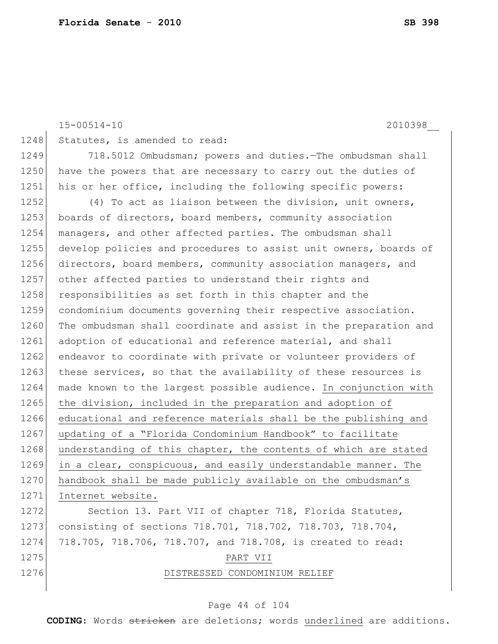15-00514-10 2010398\_\_ 1248 Statutes, is amended to read: 1249 718.5012 Ombudsman; powers and duties.—The ombudsman shall 1250 have the powers that are necessary to carry out the duties of 1251 his or her office, including the following specific powers: 1252 (4) To act as liaison between the division, unit owners, 1253 boards of directors, board members, community association 1254 managers, and other affected parties. The ombudsman shall 1255 develop policies and procedures to assist unit owners, boards of 1256 directors, board members, community association managers, and 1257 other affected parties to understand their rights and 1258 responsibilities as set forth in this chapter and the 1259 condominium documents governing their respective association. 1260 The ombudsman shall coordinate and assist in the preparation and 1261 adoption of educational and reference material, and shall 1262 endeavor to coordinate with private or volunteer providers of 1263 these services, so that the availability of these resources is 1264 made known to the largest possible audience. In conjunction with 1265 the division, included in the preparation and adoption of 1266 educational and reference materials shall be the publishing and 1267 updating of a "Florida Condominium Handbook" to facilitate 1268 understanding of this chapter, the contents of which are stated 1269 in a clear, conspicuous, and easily understandable manner. The 1270 handbook shall be made publicly available on the ombudsman's 1271 Internet website. 1272 Section 13. Part VII of chapter 718, Florida Statutes, 1273 consisting of sections 718.701, 718.702, 718.703, 718.704, 1274 718.705, 718.706, 718.707, and 718.708, is created to read: 1275 PART VII 1276 **DISTRESSED CONDOMINIUM RELIEF** 

#### Page 44 of 104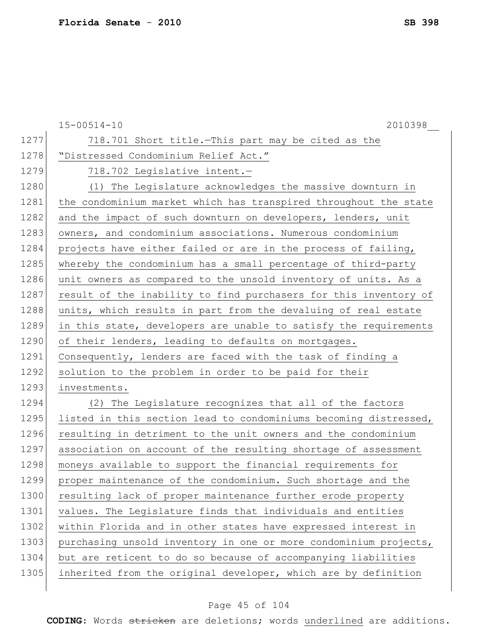|      | $15 - 00514 - 10$<br>2010398                                     |
|------|------------------------------------------------------------------|
| 1277 | 718.701 Short title. This part may be cited as the               |
| 1278 | "Distressed Condominium Relief Act."                             |
| 1279 | 718.702 Legislative intent.-                                     |
| 1280 | (1) The Legislature acknowledges the massive downturn in         |
| 1281 | the condominium market which has transpired throughout the state |
| 1282 | and the impact of such downturn on developers, lenders, unit     |
| 1283 | owners, and condominium associations. Numerous condominium       |
| 1284 | projects have either failed or are in the process of failing,    |
| 1285 | whereby the condominium has a small percentage of third-party    |
| 1286 | unit owners as compared to the unsold inventory of units. As a   |
| 1287 | result of the inability to find purchasers for this inventory of |
| 1288 | units, which results in part from the devaluing of real estate   |
| 1289 | in this state, developers are unable to satisfy the requirements |
| 1290 | of their lenders, leading to defaults on mortgages.              |
| 1291 | Consequently, lenders are faced with the task of finding a       |
| 1292 | solution to the problem in order to be paid for their            |
| 1293 | investments.                                                     |
| 1294 | (2) The Legislature recognizes that all of the factors           |
| 1295 | listed in this section lead to condominiums becoming distressed, |
| 1296 | resulting in detriment to the unit owners and the condominium    |
| 1297 | association on account of the resulting shortage of assessment   |
| 1298 | moneys available to support the financial requirements for       |
| 1299 | proper maintenance of the condominium. Such shortage and the     |
| 1300 | resulting lack of proper maintenance further erode property      |
| 1301 | values. The Legislature finds that individuals and entities      |
| 1302 | within Florida and in other states have expressed interest in    |
| 1303 | purchasing unsold inventory in one or more condominium projects, |
| 1304 | but are reticent to do so because of accompanying liabilities    |
| 1305 | inherited from the original developer, which are by definition   |
|      |                                                                  |

# Page 45 of 104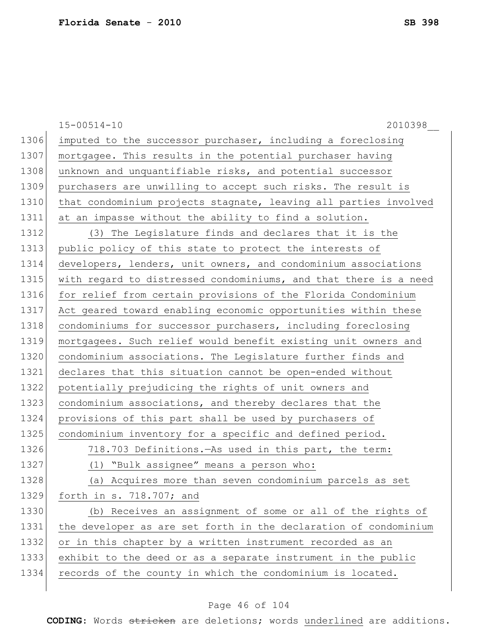|      | $15 - 00514 - 10$<br>2010398                                     |
|------|------------------------------------------------------------------|
| 1306 | imputed to the successor purchaser, including a foreclosing      |
| 1307 | mortgagee. This results in the potential purchaser having        |
| 1308 | unknown and unquantifiable risks, and potential successor        |
| 1309 | purchasers are unwilling to accept such risks. The result is     |
| 1310 | that condominium projects stagnate, leaving all parties involved |
| 1311 | at an impasse without the ability to find a solution.            |
| 1312 | (3) The Legislature finds and declares that it is the            |
| 1313 | public policy of this state to protect the interests of          |
| 1314 | developers, lenders, unit owners, and condominium associations   |
| 1315 | with regard to distressed condominiums, and that there is a need |
| 1316 | for relief from certain provisions of the Florida Condominium    |
| 1317 | Act geared toward enabling economic opportunities within these   |
| 1318 | condominiums for successor purchasers, including foreclosing     |
| 1319 | mortgagees. Such relief would benefit existing unit owners and   |
| 1320 | condominium associations. The Legislature further finds and      |
| 1321 | declares that this situation cannot be open-ended without        |
| 1322 | potentially prejudicing the rights of unit owners and            |
| 1323 | condominium associations, and thereby declares that the          |
| 1324 | provisions of this part shall be used by purchasers of           |
| 1325 | condominium inventory for a specific and defined period.         |
| 1326 | 718.703 Definitions. As used in this part, the term:             |
| 1327 | (1) "Bulk assignee" means a person who:                          |
| 1328 | (a) Acquires more than seven condominium parcels as set          |
| 1329 | forth in $s. 718.707$ ; and                                      |
| 1330 | (b) Receives an assignment of some or all of the rights of       |
| 1331 | the developer as are set forth in the declaration of condominium |
| 1332 | or in this chapter by a written instrument recorded as an        |
| 1333 | exhibit to the deed or as a separate instrument in the public    |
| 1334 | records of the county in which the condominium is located.       |
|      |                                                                  |

# Page 46 of 104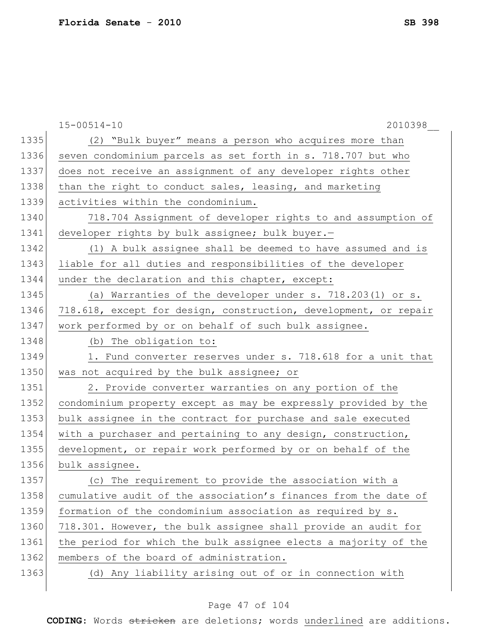|      | $15 - 00514 - 10$<br>2010398                                     |
|------|------------------------------------------------------------------|
| 1335 | (2) "Bulk buyer" means a person who acquires more than           |
| 1336 | seven condominium parcels as set forth in s. 718.707 but who     |
| 1337 | does not receive an assignment of any developer rights other     |
| 1338 | than the right to conduct sales, leasing, and marketing          |
| 1339 | activities within the condominium.                               |
| 1340 | 718.704 Assignment of developer rights to and assumption of      |
| 1341 | developer rights by bulk assignee; bulk buyer.-                  |
| 1342 | (1) A bulk assignee shall be deemed to have assumed and is       |
| 1343 | liable for all duties and responsibilities of the developer      |
| 1344 | under the declaration and this chapter, except:                  |
| 1345 | (a) Warranties of the developer under s. 718.203(1) or s.        |
| 1346 | 718.618, except for design, construction, development, or repair |
| 1347 | work performed by or on behalf of such bulk assignee.            |
| 1348 | (b) The obligation to:                                           |
| 1349 | 1. Fund converter reserves under s. 718.618 for a unit that      |
| 1350 | was not acquired by the bulk assignee; or                        |
| 1351 | 2. Provide converter warranties on any portion of the            |
| 1352 | condominium property except as may be expressly provided by the  |
| 1353 | bulk assignee in the contract for purchase and sale executed     |
| 1354 | with a purchaser and pertaining to any design, construction,     |
| 1355 | development, or repair work performed by or on behalf of the     |
| 1356 | bulk assignee.                                                   |
| 1357 | (c) The requirement to provide the association with a            |
| 1358 | cumulative audit of the association's finances from the date of  |
| 1359 | formation of the condominium association as required by s.       |
| 1360 | 718.301. However, the bulk assignee shall provide an audit for   |
| 1361 | the period for which the bulk assignee elects a majority of the  |
| 1362 | members of the board of administration.                          |
| 1363 | (d) Any liability arising out of or in connection with           |
|      |                                                                  |

# Page 47 of 104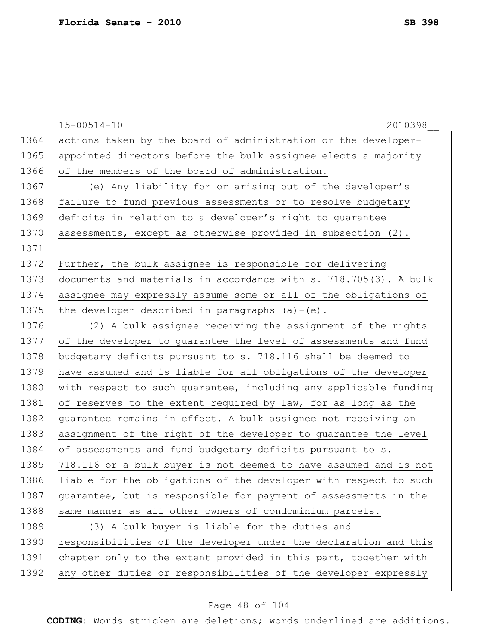|      | $15 - 00514 - 10$<br>2010398                                     |
|------|------------------------------------------------------------------|
| 1364 | actions taken by the board of administration or the developer-   |
| 1365 | appointed directors before the bulk assignee elects a majority   |
| 1366 | of the members of the board of administration.                   |
| 1367 | (e) Any liability for or arising out of the developer's          |
| 1368 | failure to fund previous assessments or to resolve budgetary     |
| 1369 | deficits in relation to a developer's right to guarantee         |
| 1370 | assessments, except as otherwise provided in subsection (2).     |
| 1371 |                                                                  |
| 1372 | Further, the bulk assignee is responsible for delivering         |
| 1373 | documents and materials in accordance with s. 718.705(3). A bulk |
| 1374 | assignee may expressly assume some or all of the obligations of  |
| 1375 | the developer described in paragraphs $(a) - (e)$ .              |
| 1376 | (2) A bulk assignee receiving the assignment of the rights       |
| 1377 | of the developer to guarantee the level of assessments and fund  |
| 1378 | budgetary deficits pursuant to s. 718.116 shall be deemed to     |
| 1379 | have assumed and is liable for all obligations of the developer  |
| 1380 | with respect to such guarantee, including any applicable funding |
| 1381 | of reserves to the extent required by law, for as long as the    |
| 1382 | guarantee remains in effect. A bulk assignee not receiving an    |
| 1383 | assignment of the right of the developer to guarantee the level  |
| 1384 | of assessments and fund budgetary deficits pursuant to s.        |
| 1385 | 718.116 or a bulk buyer is not deemed to have assumed and is not |
| 1386 | liable for the obligations of the developer with respect to such |
| 1387 | guarantee, but is responsible for payment of assessments in the  |
| 1388 | same manner as all other owners of condominium parcels.          |
| 1389 | (3) A bulk buyer is liable for the duties and                    |
| 1390 | responsibilities of the developer under the declaration and this |
| 1391 | chapter only to the extent provided in this part, together with  |
| 1392 | any other duties or responsibilities of the developer expressly  |
|      |                                                                  |

# Page 48 of 104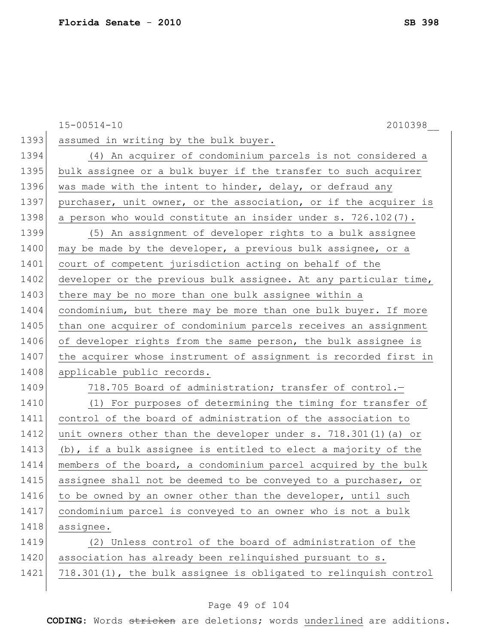|      | $15 - 00514 - 10$<br>2010398                                     |
|------|------------------------------------------------------------------|
| 1393 | assumed in writing by the bulk buyer.                            |
| 1394 | (4) An acquirer of condominium parcels is not considered a       |
| 1395 | bulk assignee or a bulk buyer if the transfer to such acquirer   |
| 1396 | was made with the intent to hinder, delay, or defraud any        |
| 1397 | purchaser, unit owner, or the association, or if the acquirer is |
| 1398 | a person who would constitute an insider under s. 726.102(7).    |
| 1399 | (5) An assignment of developer rights to a bulk assignee         |
| 1400 | may be made by the developer, a previous bulk assignee, or a     |
| 1401 | court of competent jurisdiction acting on behalf of the          |
| 1402 | developer or the previous bulk assignee. At any particular time, |
| 1403 | there may be no more than one bulk assignee within a             |
| 1404 | condominium, but there may be more than one bulk buyer. If more  |
| 1405 | than one acquirer of condominium parcels receives an assignment  |
| 1406 | of developer rights from the same person, the bulk assignee is   |
| 1407 | the acquirer whose instrument of assignment is recorded first in |
| 1408 | applicable public records.                                       |
| 1409 | 718.705 Board of administration; transfer of control.-           |
| 1410 | (1) For purposes of determining the timing for transfer of       |
| 1411 | control of the board of administration of the association to     |
| 1412 | unit owners other than the developer under s. 718.301(1) (a) or  |
| 1413 | (b), if a bulk assignee is entitled to elect a majority of the   |
| 1414 | members of the board, a condominium parcel acquired by the bulk  |
| 1415 | assignee shall not be deemed to be conveyed to a purchaser, or   |
| 1416 | to be owned by an owner other than the developer, until such     |
| 1417 | condominium parcel is conveyed to an owner who is not a bulk     |
| 1418 | assignee.                                                        |
| 1419 | (2) Unless control of the board of administration of the         |
| 1420 | association has already been relinquished pursuant to s.         |
| 1421 | 718.301(1), the bulk assignee is obligated to relinquish control |

# Page 49 of 104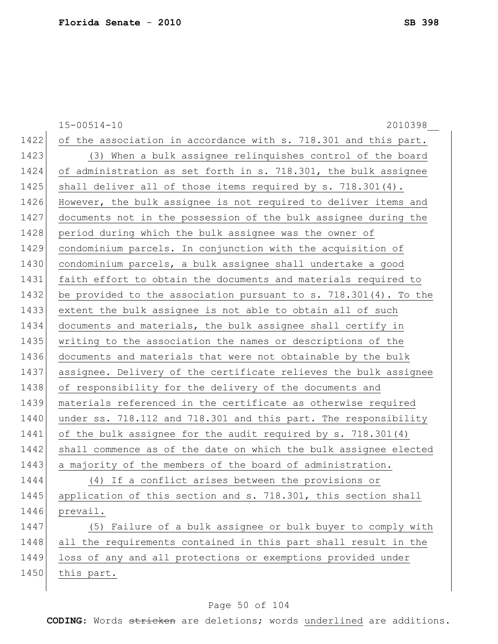15-00514-10 2010398\_\_ 1422 of the association in accordance with s. 718.301 and this part. 1423 (3) When a bulk assignee relinquishes control of the board 1424 of administration as set forth in s. 718.301, the bulk assignee 1425 | shall deliver all of those items required by s. 718.301(4). 1426 However, the bulk assignee is not required to deliver items and 1427 documents not in the possession of the bulk assignee during the 1428 period during which the bulk assignee was the owner of 1429 condominium parcels. In conjunction with the acquisition of 1430 condominium parcels, a bulk assignee shall undertake a good 1431 faith effort to obtain the documents and materials required to 1432 be provided to the association pursuant to s. 718.301(4). To the 1433 extent the bulk assignee is not able to obtain all of such 1434 documents and materials, the bulk assignee shall certify in 1435 writing to the association the names or descriptions of the 1436 documents and materials that were not obtainable by the bulk 1437 assignee. Delivery of the certificate relieves the bulk assignee 1438 of responsibility for the delivery of the documents and 1439 materials referenced in the certificate as otherwise required 1440 under ss. 718.112 and 718.301 and this part. The responsibility 1441 of the bulk assignee for the audit required by s. 718.301(4) 1442 shall commence as of the date on which the bulk assignee elected 1443 a majority of the members of the board of administration. 1444 (4) If a conflict arises between the provisions or 1445 | application of this section and s. 718.301, this section shall 1446 prevail. 1447 (5) Failure of a bulk assignee or bulk buyer to comply with 1448 all the requirements contained in this part shall result in the 1449 loss of any and all protections or exemptions provided under 1450 this part.

#### Page 50 of 104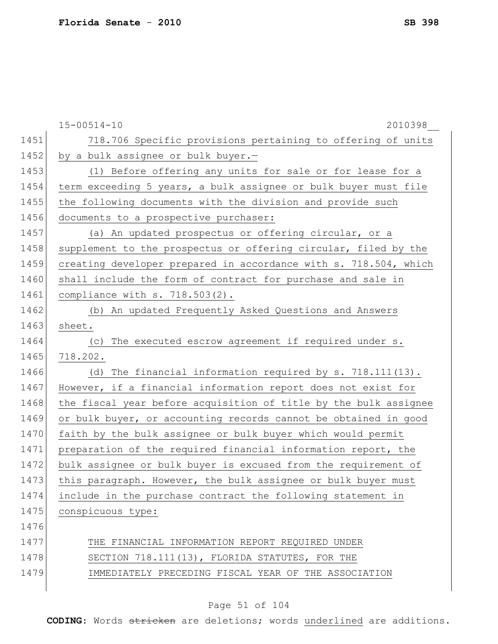|      | $15 - 00514 - 10$<br>2010398                                     |
|------|------------------------------------------------------------------|
| 1451 | 718.706 Specific provisions pertaining to offering of units      |
| 1452 | by a bulk assignee or bulk buyer.-                               |
| 1453 | (1) Before offering any units for sale or for lease for a        |
| 1454 | term exceeding 5 years, a bulk assignee or bulk buyer must file  |
| 1455 | the following documents with the division and provide such       |
| 1456 | documents to a prospective purchaser:                            |
| 1457 | (a) An updated prospectus or offering circular, or a             |
| 1458 | supplement to the prospectus or offering circular, filed by the  |
| 1459 | creating developer prepared in accordance with s. 718.504, which |
| 1460 | shall include the form of contract for purchase and sale in      |
| 1461 | compliance with s. 718.503(2).                                   |
| 1462 | (b) An updated Frequently Asked Questions and Answers            |
| 1463 | sheet.                                                           |
| 1464 | The executed escrow agreement if required under s.<br>(C)        |
| 1465 | 718.202.                                                         |
| 1466 | The financial information required by s. 718.111(13).<br>(d)     |
| 1467 | However, if a financial information report does not exist for    |
| 1468 | the fiscal year before acquisition of title by the bulk assignee |
| 1469 | or bulk buyer, or accounting records cannot be obtained in good  |
| 1470 | faith by the bulk assignee or bulk buyer which would permit      |
| 1471 | preparation of the required financial information report, the    |
| 1472 | bulk assignee or bulk buyer is excused from the requirement of   |
| 1473 | this paragraph. However, the bulk assignee or bulk buyer must    |
| 1474 | include in the purchase contract the following statement in      |
| 1475 | conspicuous type:                                                |
| 1476 |                                                                  |
| 1477 | THE FINANCIAL INFORMATION REPORT REQUIRED UNDER                  |
| 1478 | SECTION 718.111(13), FLORIDA STATUTES, FOR THE                   |
| 1479 | IMMEDIATELY PRECEDING FISCAL YEAR OF THE ASSOCIATION             |
|      |                                                                  |

# Page 51 of 104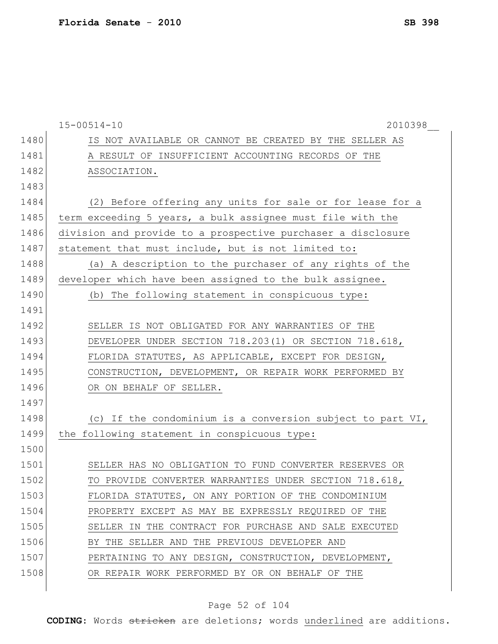|      | $15 - 00514 - 10$<br>2010398                                 |
|------|--------------------------------------------------------------|
| 1480 | IS NOT AVAILABLE OR CANNOT BE CREATED BY THE SELLER AS       |
| 1481 | A RESULT OF INSUFFICIENT ACCOUNTING RECORDS OF THE           |
| 1482 | ASSOCIATION.                                                 |
| 1483 |                                                              |
| 1484 | (2) Before offering any units for sale or for lease for a    |
| 1485 | term exceeding 5 years, a bulk assignee must file with the   |
| 1486 | division and provide to a prospective purchaser a disclosure |
| 1487 | statement that must include, but is not limited to:          |
| 1488 | (a) A description to the purchaser of any rights of the      |
| 1489 | developer which have been assigned to the bulk assignee.     |
| 1490 | The following statement in conspicuous type:<br>(b)          |
| 1491 |                                                              |
| 1492 | SELLER IS NOT OBLIGATED FOR ANY WARRANTIES OF THE            |
| 1493 | DEVELOPER UNDER SECTION 718.203(1) OR SECTION 718.618,       |
| 1494 | FLORIDA STATUTES, AS APPLICABLE, EXCEPT FOR DESIGN,          |
| 1495 | CONSTRUCTION, DEVELOPMENT, OR REPAIR WORK PERFORMED BY       |
| 1496 | OR ON BEHALF OF SELLER.                                      |
| 1497 |                                                              |
| 1498 | (c) If the condominium is a conversion subject to part VI,   |
| 1499 | the following statement in conspicuous type:                 |
| 1500 |                                                              |
| 1501 | SELLER HAS NO OBLIGATION TO FUND CONVERTER RESERVES OR       |
| 1502 | TO PROVIDE CONVERTER WARRANTIES UNDER SECTION 718.618,       |
| 1503 | FLORIDA STATUTES, ON ANY PORTION OF THE CONDOMINIUM          |
| 1504 | PROPERTY EXCEPT AS MAY BE EXPRESSLY REQUIRED OF THE          |
| 1505 | SELLER IN THE CONTRACT FOR PURCHASE AND SALE EXECUTED        |
| 1506 | BY THE SELLER AND THE PREVIOUS DEVELOPER AND                 |
| 1507 | PERTAINING TO ANY DESIGN, CONSTRUCTION, DEVELOPMENT,         |
| 1508 | OR REPAIR WORK PERFORMED BY OR ON BEHALF OF THE              |
|      |                                                              |

# Page 52 of 104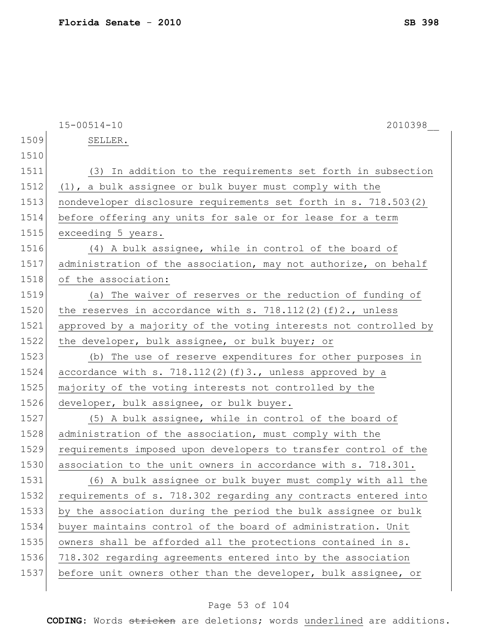|      | $15 - 00514 - 10$<br>2010398                                     |
|------|------------------------------------------------------------------|
| 1509 | SELLER.                                                          |
| 1510 |                                                                  |
| 1511 | (3) In addition to the requirements set forth in subsection      |
| 1512 | (1), a bulk assignee or bulk buyer must comply with the          |
| 1513 | nondeveloper disclosure requirements set forth in s. 718.503(2)  |
| 1514 | before offering any units for sale or for lease for a term       |
| 1515 | exceeding 5 years.                                               |
| 1516 | (4) A bulk assignee, while in control of the board of            |
| 1517 | administration of the association, may not authorize, on behalf  |
| 1518 | of the association:                                              |
| 1519 | (a) The waiver of reserves or the reduction of funding of        |
| 1520 | the reserves in accordance with s. $718.112(2)(f)2.,$ unless     |
| 1521 | approved by a majority of the voting interests not controlled by |
| 1522 | the developer, bulk assignee, or bulk buyer; or                  |
| 1523 | (b) The use of reserve expenditures for other purposes in        |
| 1524 | accordance with s. $718.112(2)(f)3.$ , unless approved by a      |
| 1525 | majority of the voting interests not controlled by the           |
| 1526 | developer, bulk assignee, or bulk buyer.                         |
| 1527 | (5) A bulk assignee, while in control of the board of            |
| 1528 | administration of the association, must comply with the          |
| 1529 | requirements imposed upon developers to transfer control of the  |
| 1530 | association to the unit owners in accordance with s. 718.301.    |
| 1531 | (6) A bulk assignee or bulk buyer must comply with all the       |
| 1532 | requirements of s. 718.302 regarding any contracts entered into  |
| 1533 | by the association during the period the bulk assignee or bulk   |
| 1534 | buyer maintains control of the board of administration. Unit     |
| 1535 | owners shall be afforded all the protections contained in s.     |
| 1536 | 718.302 regarding agreements entered into by the association     |
| 1537 | before unit owners other than the developer, bulk assignee, or   |
|      |                                                                  |

# Page 53 of 104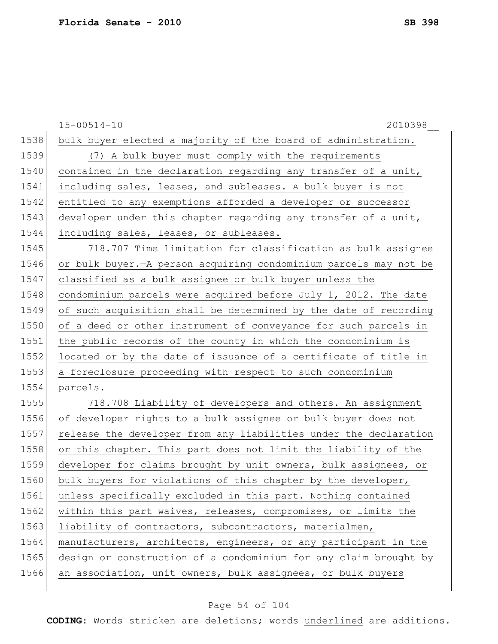|      | $15 - 00514 - 10$<br>2010398                                       |
|------|--------------------------------------------------------------------|
| 1538 | bulk buyer elected a majority of the board of administration.      |
| 1539 | (7) A bulk buyer must comply with the requirements                 |
| 1540 | contained in the declaration regarding any transfer of a unit,     |
| 1541 | including sales, leases, and subleases. A bulk buyer is not        |
| 1542 | entitled to any exemptions afforded a developer or successor       |
| 1543 | developer under this chapter regarding any transfer of a unit,     |
| 1544 | including sales, leases, or subleases.                             |
| 1545 | 718.707 Time limitation for classification as bulk assignee        |
| 1546 | or bulk buyer. - A person acquiring condominium parcels may not be |
| 1547 | classified as a bulk assignee or bulk buyer unless the             |
| 1548 | condominium parcels were acquired before July 1, 2012. The date    |
| 1549 | of such acquisition shall be determined by the date of recording   |
| 1550 | of a deed or other instrument of conveyance for such parcels in    |
| 1551 | the public records of the county in which the condominium is       |
| 1552 | located or by the date of issuance of a certificate of title in    |
| 1553 | a foreclosure proceeding with respect to such condominium          |
| 1554 | parcels.                                                           |
| 1555 | 718.708 Liability of developers and others. An assignment          |
| 1556 | of developer rights to a bulk assignee or bulk buyer does not      |
| 1557 | release the developer from any liabilities under the declaration   |
| 1558 | or this chapter. This part does not limit the liability of the     |
| 1559 | developer for claims brought by unit owners, bulk assignees, or    |
| 1560 | bulk buyers for violations of this chapter by the developer,       |
| 1561 | unless specifically excluded in this part. Nothing contained       |
| 1562 | within this part waives, releases, compromises, or limits the      |
| 1563 | liability of contractors, subcontractors, materialmen,             |
| 1564 | manufacturers, architects, engineers, or any participant in the    |
| 1565 | design or construction of a condominium for any claim brought by   |
| 1566 | an association, unit owners, bulk assignees, or bulk buyers        |
|      |                                                                    |

# Page 54 of 104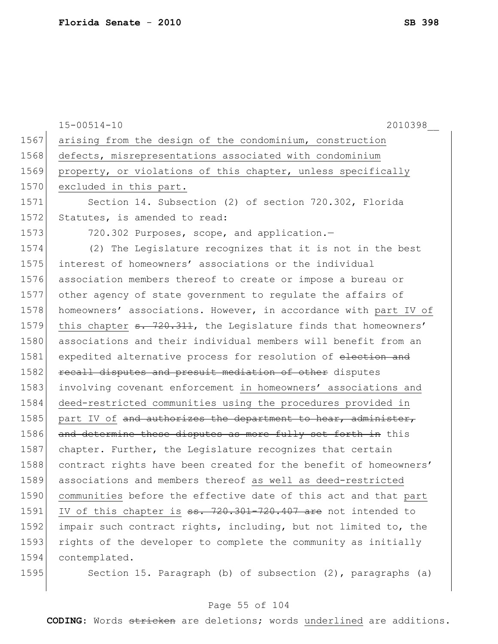|      | $15 - 00514 - 10$<br>2010398                                                |
|------|-----------------------------------------------------------------------------|
| 1567 | arising from the design of the condominium, construction                    |
| 1568 | defects, misrepresentations associated with condominium                     |
| 1569 | property, or violations of this chapter, unless specifically                |
| 1570 | excluded in this part.                                                      |
| 1571 | Section 14. Subsection (2) of section 720.302, Florida                      |
| 1572 | Statutes, is amended to read:                                               |
| 1573 | 720.302 Purposes, scope, and application.-                                  |
| 1574 | (2) The Legislature recognizes that it is not in the best                   |
| 1575 | interest of homeowners' associations or the individual                      |
| 1576 | association members thereof to create or impose a bureau or                 |
| 1577 | other agency of state government to regulate the affairs of                 |
| 1578 | homeowners' associations. However, in accordance with part IV of            |
| 1579 | this chapter <del>s. 720.311</del> , the Legislature finds that homeowners' |
| 1580 | associations and their individual members will benefit from an              |
| 1581 | expedited alternative process for resolution of election and                |
| 1582 | recall disputes and presuit mediation of other disputes                     |
| 1583 | involving covenant enforcement in homeowners' associations and              |
| 1584 | deed-restricted communities using the procedures provided in                |
| 1585 | part IV of and authorizes the department to hear, administer,               |
| 1586 | and determine these disputes as more fully set forth in this                |
| 1587 | chapter. Further, the Legislature recognizes that certain                   |
| 1588 | contract rights have been created for the benefit of homeowners'            |
| 1589 | associations and members thereof as well as deed-restricted                 |
| 1590 | communities before the effective date of this act and that part             |
| 1591 | IV of this chapter is ss. 720.301-720.407 are not intended to               |
| 1592 | impair such contract rights, including, but not limited to, the             |
| 1593 | rights of the developer to complete the community as initially              |
| 1594 | contemplated.                                                               |
| 1595 | Section 15. Paragraph (b) of subsection (2), paragraphs (a)                 |

# Page 55 of 104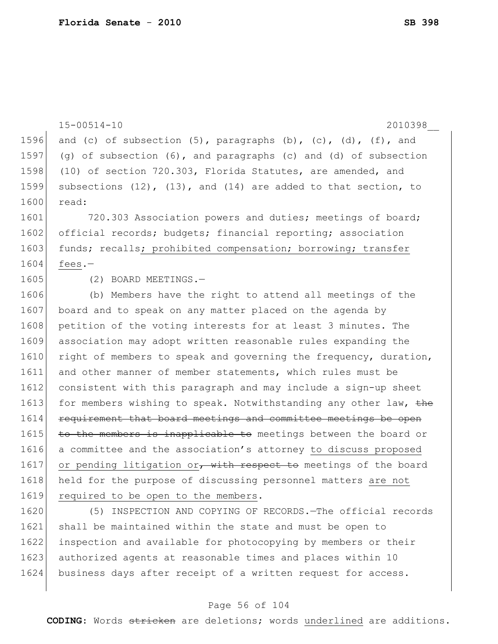|      | $15 - 00514 - 10$<br>2010398                                                 |
|------|------------------------------------------------------------------------------|
| 1596 | and (c) of subsection $(5)$ , paragraphs $(b)$ , $(c)$ , $(d)$ , $(f)$ , and |
| 1597 | (g) of subsection $(6)$ , and paragraphs $(c)$ and $(d)$ of subsection       |
| 1598 | (10) of section 720.303, Florida Statutes, are amended, and                  |
| 1599 | subsections $(12)$ , $(13)$ , and $(14)$ are added to that section, to       |
| 1600 | read:                                                                        |
| 1601 |                                                                              |
|      | 720.303 Association powers and duties; meetings of board;                    |
| 1602 | official records; budgets; financial reporting; association                  |
| 1603 | funds; recalls; prohibited compensation; borrowing; transfer                 |
| 1604 | fees. $-$                                                                    |
| 1605 | (2) BOARD MEETINGS.-                                                         |
| 1606 | (b) Members have the right to attend all meetings of the                     |
| 1607 | board and to speak on any matter placed on the agenda by                     |
| 1608 | petition of the voting interests for at least 3 minutes. The                 |
| 1609 | association may adopt written reasonable rules expanding the                 |
| 1610 | right of members to speak and governing the frequency, duration,             |
| 1611 | and other manner of member statements, which rules must be                   |
| 1612 | consistent with this paragraph and may include a sign-up sheet               |
| 1613 | for members wishing to speak. Notwithstanding any other law, the             |
| 1614 | requirement that board meetings and committee meetings be open               |
| 1615 | to the members is inapplicable to meetings between the board or              |
| 1616 | a committee and the association's attorney to discuss proposed               |
| 1617 | or pending litigation or, with respect to meetings of the board              |
| 1618 | held for the purpose of discussing personnel matters are not                 |
| 1619 | required to be open to the members.                                          |
| 1620 | (5) INSPECTION AND COPYING OF RECORDS. The official records                  |
| 1621 | shall be maintained within the state and must be open to                     |
| 1622 | inspection and available for photocopying by members or their                |
| 1623 | authorized agents at reasonable times and places within 10                   |

# 1624 business days after receipt of a written request for access.

# Page 56 of 104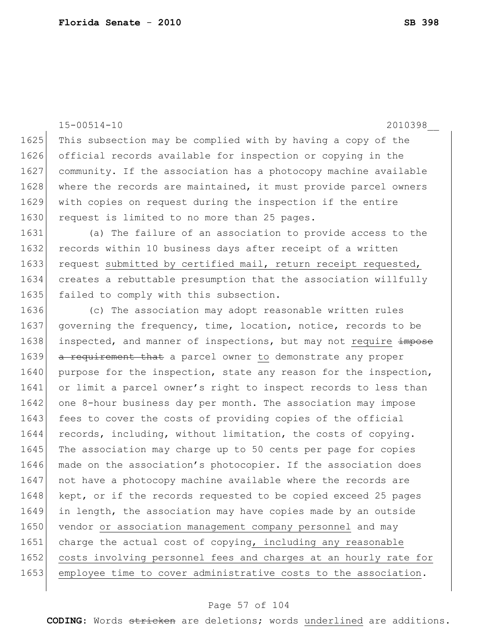15-00514-10 2010398\_\_ 1625 This subsection may be complied with by having a copy of the 1626 official records available for inspection or copying in the 1627 community. If the association has a photocopy machine available 1628 where the records are maintained, it must provide parcel owners 1629 with copies on request during the inspection if the entire 1630 request is limited to no more than 25 pages. 1631 (a) The failure of an association to provide access to the 1632 records within 10 business days after receipt of a written 1633 request submitted by certified mail, return receipt requested, 1634 creates a rebuttable presumption that the association willfully 1635 failed to comply with this subsection. 1636 (c) The association may adopt reasonable written rules 1637 governing the frequency, time, location, notice, records to be 1638 inspected, and manner of inspections, but may not require impose 1639 a requirement that a parcel owner to demonstrate any proper 1640 purpose for the inspection, state any reason for the inspection, 1641 or limit a parcel owner's right to inspect records to less than 1642 one 8-hour business day per month. The association may impose 1643 fees to cover the costs of providing copies of the official 1644 records, including, without limitation, the costs of copying. 1645 The association may charge up to 50 cents per page for copies 1646 made on the association's photocopier. If the association does 1647 not have a photocopy machine available where the records are 1648 kept, or if the records requested to be copied exceed 25 pages 1649 in length, the association may have copies made by an outside 1650 vendor or association management company personnel and may 1651 charge the actual cost of copying, including any reasonable 1652 costs involving personnel fees and charges at an hourly rate for 1653 employee time to cover administrative costs to the association.

#### Page 57 of 104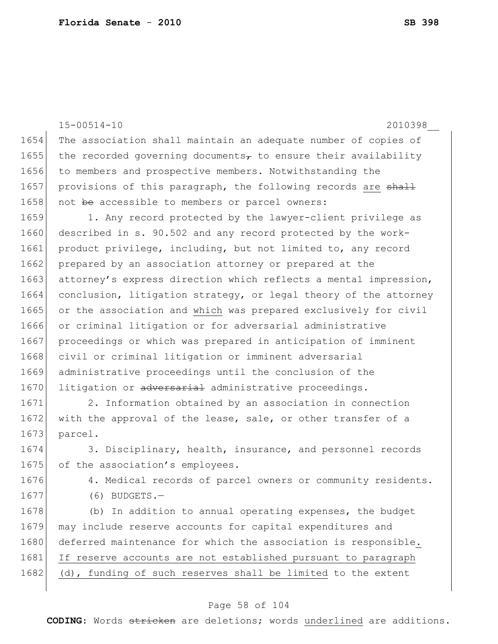15-00514-10 2010398\_\_ 1654 The association shall maintain an adequate number of copies of 1655 the recorded governing documents, to ensure their availability 1656 to members and prospective members. Notwithstanding the 1657 provisions of this paragraph, the following records are shall 1658 not be accessible to members or parcel owners: 1659 1. Any record protected by the lawyer-client privilege as 1660 described in s. 90.502 and any record protected by the work-1661 product privilege, including, but not limited to, any record 1662 prepared by an association attorney or prepared at the 1663 attorney's express direction which reflects a mental impression, 1664 conclusion, litigation strategy, or legal theory of the attorney 1665 or the association and which was prepared exclusively for civil 1666 or criminal litigation or for adversarial administrative 1667 proceedings or which was prepared in anticipation of imminent 1668 civil or criminal litigation or imminent adversarial 1669 administrative proceedings until the conclusion of the 1670 litigation or adversarial administrative proceedings. 1671 2. Information obtained by an association in connection 1672 with the approval of the lease, sale, or other transfer of a 1673 parcel. 1674 3. Disciplinary, health, insurance, and personnel records 1675 of the association's employees. 1676 4. Medical records of parcel owners or community residents. 1677 (6) BUDGETS.-

1678 (b) In addition to annual operating expenses, the budget 1679 may include reserve accounts for capital expenditures and 1680 deferred maintenance for which the association is responsible. 1681 If reserve accounts are not established pursuant to paragraph 1682 (d), funding of such reserves shall be limited to the extent

#### Page 58 of 104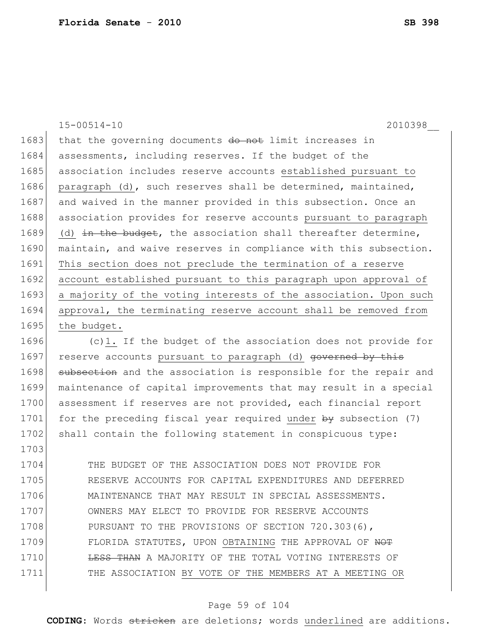1703

15-00514-10 2010398\_\_ 1683 that the governing documents do not limit increases in 1684 assessments, including reserves. If the budget of the 1685 association includes reserve accounts established pursuant to 1686 paragraph (d), such reserves shall be determined, maintained, 1687 and waived in the manner provided in this subsection. Once an 1688 association provides for reserve accounts pursuant to paragraph 1689 (d) in the budget, the association shall thereafter determine, 1690 maintain, and waive reserves in compliance with this subsection. 1691 This section does not preclude the termination of a reserve 1692 account established pursuant to this paragraph upon approval of 1693 a majority of the voting interests of the association. Upon such 1694 approval, the terminating reserve account shall be removed from 1695 the budget. 1696 (c)1. If the budget of the association does not provide for 1697 reserve accounts pursuant to paragraph (d) governed by this 1698 subsection and the association is responsible for the repair and 1699 maintenance of capital improvements that may result in a special

1700 assessment if reserves are not provided, each financial report 1701 for the preceding fiscal year required under by subsection (7) 1702 shall contain the following statement in conspicuous type:

1704 THE BUDGET OF THE ASSOCIATION DOES NOT PROVIDE FOR 1705 RESERVE ACCOUNTS FOR CAPITAL EXPENDITURES AND DEFERRED 1706 MAINTENANCE THAT MAY RESULT IN SPECIAL ASSESSMENTS. 1707 OWNERS MAY ELECT TO PROVIDE FOR RESERVE ACCOUNTS 1708 PURSUANT TO THE PROVISIONS OF SECTION 720.303(6), 1709 FLORIDA STATUTES, UPON OBTAINING THE APPROVAL OF NOT 1710 **LESS THAN** A MAJORITY OF THE TOTAL VOTING INTERESTS OF 1711 THE ASSOCIATION BY VOTE OF THE MEMBERS AT A MEETING OR

#### Page 59 of 104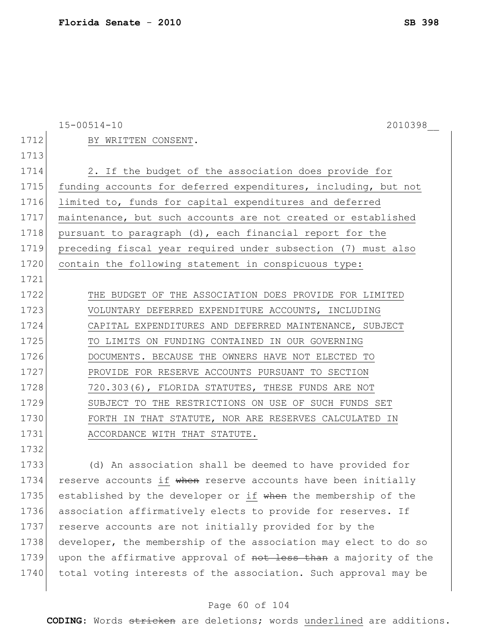|      | $15 - 00514 - 10$<br>2010398                                   |
|------|----------------------------------------------------------------|
| 1712 | BY WRITTEN CONSENT.                                            |
| 1713 |                                                                |
| 1714 | 2. If the budget of the association does provide for           |
| 1715 | funding accounts for deferred expenditures, including, but not |
| 1716 | limited to, funds for capital expenditures and deferred        |
| 1717 | maintenance, but such accounts are not created or established  |
| 1718 | pursuant to paragraph (d), each financial report for the       |
| 1719 | preceding fiscal year required under subsection (7) must also  |
| 1720 | contain the following statement in conspicuous type:           |
| 1721 |                                                                |
| 1722 | THE BUDGET OF THE ASSOCIATION DOES PROVIDE FOR LIMITED         |
| 1723 | VOLUNTARY DEFERRED EXPENDITURE ACCOUNTS, INCLUDING             |
| 1724 | CAPITAL EXPENDITURES AND DEFERRED MAINTENANCE, SUBJECT         |
| 1725 | TO LIMITS ON FUNDING CONTAINED IN OUR GOVERNING                |
| 1726 | DOCUMENTS. BECAUSE THE OWNERS HAVE NOT ELECTED TO              |
| 1727 | PROVIDE FOR RESERVE ACCOUNTS PURSUANT TO SECTION               |
| 1728 | 720.303(6), FLORIDA STATUTES, THESE FUNDS ARE NOT              |
| 1729 | SUBJECT TO THE RESTRICTIONS ON USE OF SUCH FUNDS SET           |
| 1730 | FORTH IN THAT STATUTE, NOR ARE RESERVES CALCULATED IN          |
| 1731 | ACCORDANCE WITH THAT STATUTE.                                  |
| 1732 |                                                                |
| 1733 | (d) An association shall be deemed to have provided for        |
| 1734 | reserve accounts if when reserve accounts have been initially  |

1735 established by the developer or if when the membership of the 1736 association affirmatively elects to provide for reserves. If 1737 reserve accounts are not initially provided for by the 1738 developer, the membership of the association may elect to do so 1739 upon the affirmative approval of not less than a majority of the 1740 total voting interests of the association. Such approval may be

#### Page 60 of 104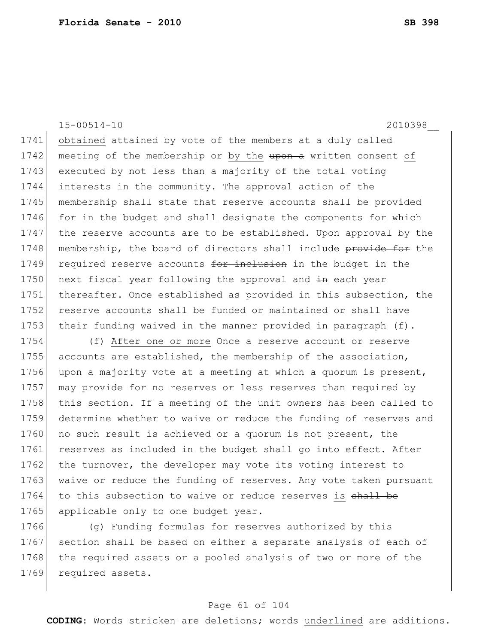15-00514-10 2010398\_\_

1741 obtained attained by vote of the members at a duly called 1742 meeting of the membership or by the upon a written consent of 1743 executed by not less than a majority of the total voting 1744 interests in the community. The approval action of the 1745 membership shall state that reserve accounts shall be provided 1746 for in the budget and shall designate the components for which 1747 the reserve accounts are to be established. Upon approval by the 1748 membership, the board of directors shall include provide for the 1749 required reserve accounts for inclusion in the budget in the 1750 next fiscal year following the approval and  $\pm n$  each year 1751 thereafter. Once established as provided in this subsection, the 1752 reserve accounts shall be funded or maintained or shall have 1753 their funding waived in the manner provided in paragraph (f).

1754 (f) After one or more  $\theta$ nee a reserve account or reserve 1755 accounts are established, the membership of the association, 1756 upon a majority vote at a meeting at which a quorum is present, 1757 may provide for no reserves or less reserves than required by 1758 this section. If a meeting of the unit owners has been called to 1759 determine whether to waive or reduce the funding of reserves and 1760 no such result is achieved or a quorum is not present, the 1761 reserves as included in the budget shall go into effect. After 1762 the turnover, the developer may vote its voting interest to 1763 waive or reduce the funding of reserves. Any vote taken pursuant 1764 to this subsection to waive or reduce reserves is shall be 1765 applicable only to one budget year.

1766 (g) Funding formulas for reserves authorized by this 1767 section shall be based on either a separate analysis of each of 1768 the required assets or a pooled analysis of two or more of the 1769 required assets.

#### Page 61 of 104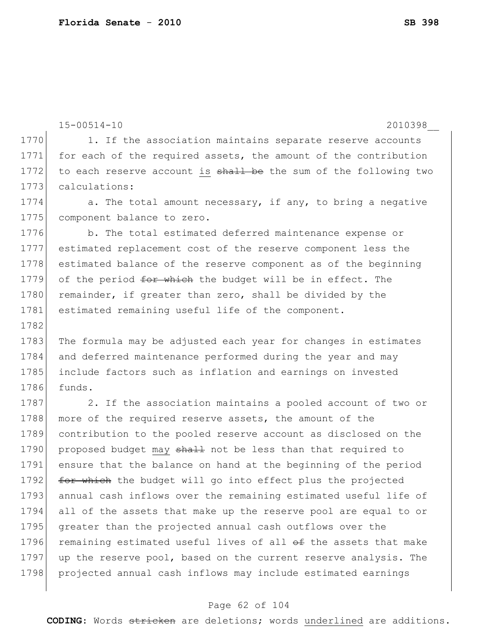```
15-00514-10 2010398__
1770 1. If the association maintains separate reserve accounts
1771 for each of the required assets, the amount of the contribution
1772 to each reserve account is shall be the sum of the following two
1773 calculations:
1774 a. The total amount necessary, if any, to bring a negative
1775 component balance to zero.
1776 b. The total estimated deferred maintenance expense or
1777 estimated replacement cost of the reserve component less the 
1778 estimated balance of the reserve component as of the beginning 
1779 of the period for which the budget will be in effect. The
1780 remainder, if greater than zero, shall be divided by the
1781 estimated remaining useful life of the component.
1782
1783 The formula may be adjusted each year for changes in estimates
1784 and deferred maintenance performed during the year and may 
1785 include factors such as inflation and earnings on invested 
1786 funds.
1787 2. If the association maintains a pooled account of two or
1788 more of the required reserve assets, the amount of the
1789 contribution to the pooled reserve account as disclosed on the 
1790 proposed budget may shall not be less than that required to
1791 ensure that the balance on hand at the beginning of the period 
1792 for which the budget will go into effect plus the projected
1793 annual cash inflows over the remaining estimated useful life of
1794 all of the assets that make up the reserve pool are equal to or 
1795 greater than the projected annual cash outflows over the
1796 remaining estimated useful lives of all \Theta the assets that make
1797 up the reserve pool, based on the current reserve analysis. The
```
1798 projected annual cash inflows may include estimated earnings

### Page 62 of 104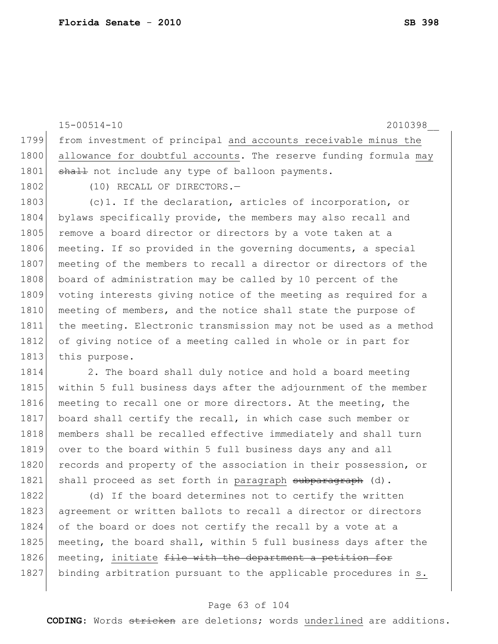15-00514-10 2010398\_\_ 1799 from investment of principal and accounts receivable minus the 1800 allowance for doubtful accounts. The reserve funding formula may 1801 shall not include any type of balloon payments. 1802 (10) RECALL OF DIRECTORS.-1803 (c)1. If the declaration, articles of incorporation, or 1804 bylaws specifically provide, the members may also recall and 1805 remove a board director or directors by a vote taken at a 1806 meeting. If so provided in the governing documents, a special 1807 meeting of the members to recall a director or directors of the 1808 board of administration may be called by 10 percent of the 1809 voting interests giving notice of the meeting as required for a 1810 meeting of members, and the notice shall state the purpose of 1811 the meeting. Electronic transmission may not be used as a method 1812 of giving notice of a meeting called in whole or in part for 1813 this purpose. 1814 2. The board shall duly notice and hold a board meeting 1815 within 5 full business days after the adjournment of the member 1816 meeting to recall one or more directors. At the meeting, the 1817 board shall certify the recall, in which case such member or 1818 members shall be recalled effective immediately and shall turn 1819 over to the board within 5 full business days any and all 1820 records and property of the association in their possession, or 1821 shall proceed as set forth in paragraph subparagraph (d). 1822 (d) If the board determines not to certify the written

1823 agreement or written ballots to recall a director or directors 1824 of the board or does not certify the recall by a vote at a 1825 meeting, the board shall, within 5 full business days after the 1826 meeting, initiate file with the department a petition for 1827 binding arbitration pursuant to the applicable procedures in s.

#### Page 63 of 104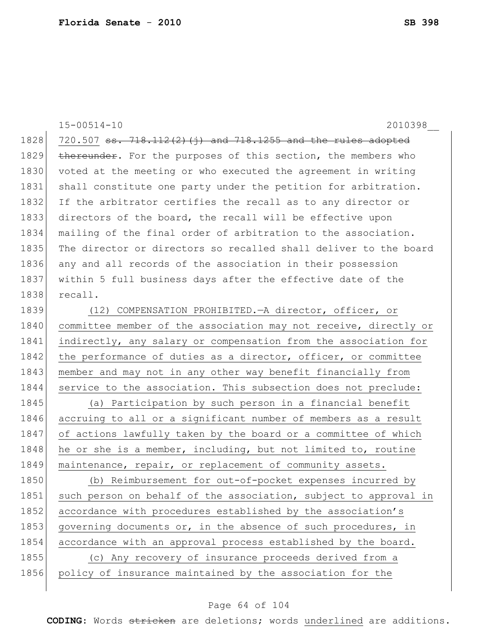|      | $15 - 00514 - 10$<br>2010398                                     |
|------|------------------------------------------------------------------|
| 1828 | 720.507 ss. 718.112(2)(j) and 718.1255 and the rules adopted     |
| 1829 | thereunder. For the purposes of this section, the members who    |
| 1830 | voted at the meeting or who executed the agreement in writing    |
| 1831 | shall constitute one party under the petition for arbitration.   |
| 1832 | If the arbitrator certifies the recall as to any director or     |
| 1833 | directors of the board, the recall will be effective upon        |
|      |                                                                  |
| 1834 | mailing of the final order of arbitration to the association.    |
| 1835 | The director or directors so recalled shall deliver to the board |
| 1836 | any and all records of the association in their possession       |
| 1837 | within 5 full business days after the effective date of the      |
| 1838 | recall.                                                          |
| 1839 | (12) COMPENSATION PROHIBITED. - A director, officer, or          |
| 1840 | committee member of the association may not receive, directly or |
| 1841 | indirectly, any salary or compensation from the association for  |
| 1842 | the performance of duties as a director, officer, or committee   |
| 1843 | member and may not in any other way benefit financially from     |
| 1844 | service to the association. This subsection does not preclude:   |
| 1845 | (a) Participation by such person in a financial benefit          |
| 1846 | accruing to all or a significant number of members as a result   |
| 1847 | of actions lawfully taken by the board or a committee of which   |
| 1848 | he or she is a member, including, but not limited to, routine    |
| 1849 | maintenance, repair, or replacement of community assets.         |
| 1850 | (b) Reimbursement for out-of-pocket expenses incurred by         |
| 1851 | such person on behalf of the association, subject to approval in |
| 1852 | accordance with procedures established by the association's      |
| 1853 | governing documents or, in the absence of such procedures, in    |
| 1854 | accordance with an approval process established by the board.    |
| 1855 | (c) Any recovery of insurance proceeds derived from a            |
| 1856 | policy of insurance maintained by the association for the        |
|      |                                                                  |

# Page 64 of 104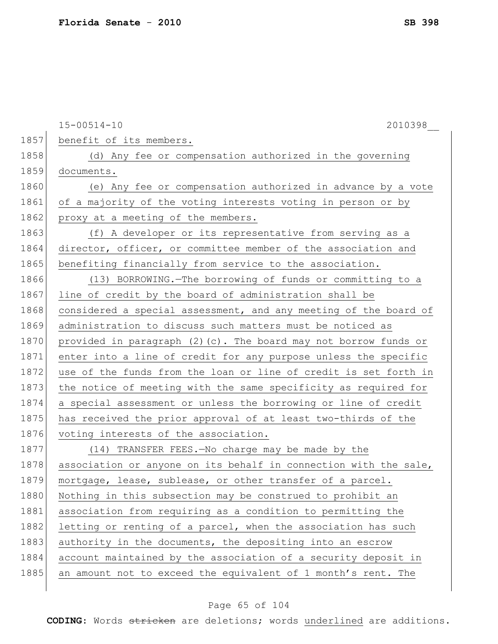15-00514-10 2010398\_\_ 1857 benefit of its members. 1858 (d) Any fee or compensation authorized in the governing 1859 documents. 1860 (e) Any fee or compensation authorized in advance by a vote 1861 of a majority of the voting interests voting in person or by 1862 proxy at a meeting of the members. 1863 (f) A developer or its representative from serving as a 1864 director, officer, or committee member of the association and 1865 benefiting financially from service to the association. 1866 (13) BORROWING.—The borrowing of funds or committing to a 1867 line of credit by the board of administration shall be 1868 considered a special assessment, and any meeting of the board of 1869 administration to discuss such matters must be noticed as 1870 provided in paragraph  $(2)$  (c). The board may not borrow funds or 1871 enter into a line of credit for any purpose unless the specific 1872 use of the funds from the loan or line of credit is set forth in 1873 the notice of meeting with the same specificity as required for 1874 a special assessment or unless the borrowing or line of credit 1875 has received the prior approval of at least two-thirds of the 1876 voting interests of the association. 1877 (14) TRANSFER FEES.—No charge may be made by the 1878 association or anyone on its behalf in connection with the sale, 1879 mortgage, lease, sublease, or other transfer of a parcel. 1880 Nothing in this subsection may be construed to prohibit an 1881 association from requiring as a condition to permitting the 1882 letting or renting of a parcel, when the association has such 1883 authority in the documents, the depositing into an escrow 1884 account maintained by the association of a security deposit in 1885 an amount not to exceed the equivalent of 1 month's rent. The

### Page 65 of 104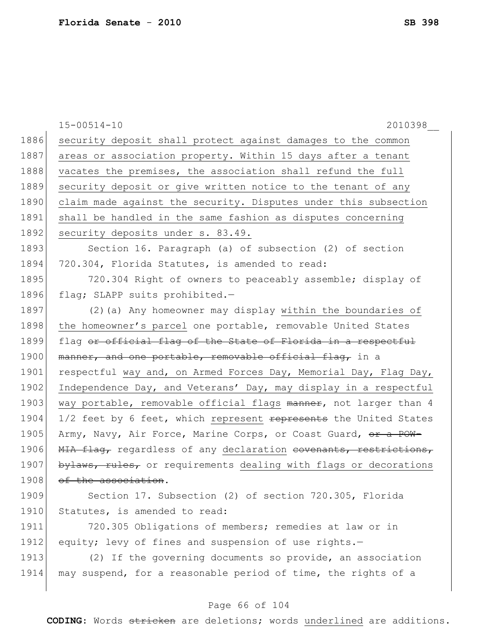|      | $15 - 00514 - 10$<br>2010398                                     |
|------|------------------------------------------------------------------|
| 1886 | security deposit shall protect against damages to the common     |
| 1887 | areas or association property. Within 15 days after a tenant     |
| 1888 | vacates the premises, the association shall refund the full      |
| 1889 | security deposit or give written notice to the tenant of any     |
| 1890 | claim made against the security. Disputes under this subsection  |
| 1891 | shall be handled in the same fashion as disputes concerning      |
| 1892 | security deposits under s. 83.49.                                |
| 1893 | Section 16. Paragraph (a) of subsection (2) of section           |
| 1894 | 720.304, Florida Statutes, is amended to read:                   |
| 1895 | 720.304 Right of owners to peaceably assemble; display of        |
| 1896 | flag; SLAPP suits prohibited.-                                   |
| 1897 | (2) (a) Any homeowner may display within the boundaries of       |
| 1898 | the homeowner's parcel one portable, removable United States     |
| 1899 | flag or official flag of the State of Florida in a respectful    |
| 1900 | manner, and one portable, removable official flag, in a          |
| 1901 | respectful way and, on Armed Forces Day, Memorial Day, Flag Day, |
| 1902 | Independence Day, and Veterans' Day, may display in a respectful |
| 1903 | way portable, removable official flags manner, not larger than 4 |
| 1904 | 1/2 feet by 6 feet, which represent represents the United States |
| 1905 | Army, Navy, Air Force, Marine Corps, or Coast Guard, or a POW-   |
| 1906 | MIA flag, regardless of any declaration covenants, restrictions, |
| 1907 | bylaws, rules, or requirements dealing with flags or decorations |
| 1908 | <del>of the association</del> .                                  |
| 1909 | Section 17. Subsection (2) of section 720.305, Florida           |
| 1910 | Statutes, is amended to read:                                    |
| 1911 | 720.305 Obligations of members; remedies at law or in            |
| 1912 | equity; levy of fines and suspension of use rights.-             |
| 1913 | (2) If the governing documents so provide, an association        |
| 1914 | may suspend, for a reasonable period of time, the rights of a    |
|      |                                                                  |

# Page 66 of 104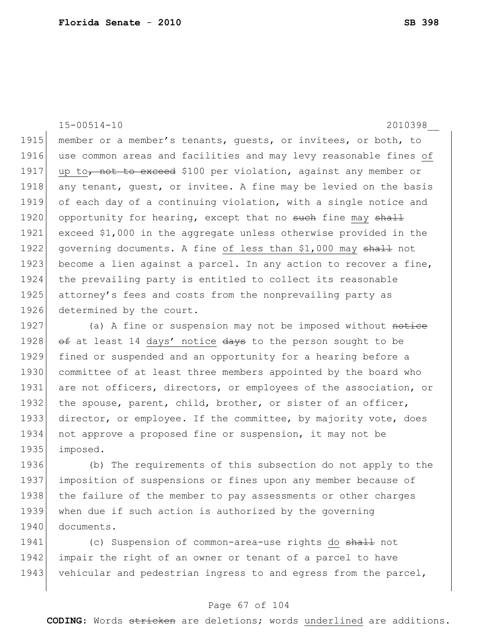15-00514-10 2010398\_\_

1915 member or a member's tenants, quests, or invitees, or both, to 1916 use common areas and facilities and may levy reasonable fines of 1917 | up to, not to exceed \$100 per violation, against any member or 1918 any tenant, quest, or invitee. A fine may be levied on the basis 1919 of each day of a continuing violation, with a single notice and 1920 opportunity for hearing, except that no such fine may shall 1921 exceed \$1,000 in the aggregate unless otherwise provided in the 1922 governing documents. A fine of less than \$1,000 may shall not 1923 become a lien against a parcel. In any action to recover a fine, 1924 the prevailing party is entitled to collect its reasonable 1925 attorney's fees and costs from the nonprevailing party as 1926 determined by the court.

1927 (a) A fine or suspension may not be imposed without notice 1928  $\leftrightarrow$  at least 14 days' notice  $\leftrightarrow$  to the person sought to be 1929 fined or suspended and an opportunity for a hearing before a 1930 committee of at least three members appointed by the board who 1931 are not officers, directors, or employees of the association, or 1932 the spouse, parent, child, brother, or sister of an officer, 1933 director, or employee. If the committee, by majority vote, does 1934 not approve a proposed fine or suspension, it may not be 1935 imposed.

 (b) The requirements of this subsection do not apply to the imposition of suspensions or fines upon any member because of 1938 the failure of the member to pay assessments or other charges when due if such action is authorized by the governing documents.

1941 (c) Suspension of common-area-use rights do shall not 1942 impair the right of an owner or tenant of a parcel to have 1943 vehicular and pedestrian ingress to and egress from the parcel,

#### Page 67 of 104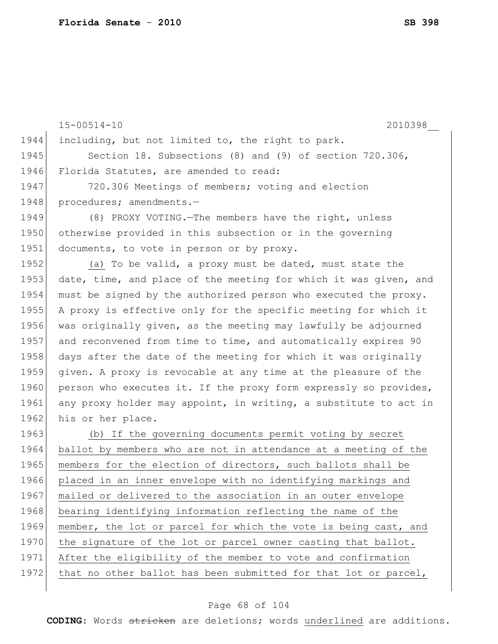15-00514-10 2010398\_\_ 1944 including, but not limited to, the right to park. 1945 Section 18. Subsections (8) and (9) of section 720.306, 1946 Florida Statutes, are amended to read: 1947 720.306 Meetings of members; voting and election 1948 procedures; amendments.-1949 (8) PROXY VOTING.—The members have the right, unless 1950 otherwise provided in this subsection or in the governing 1951 documents, to vote in person or by proxy. 1952 (a) To be valid, a proxy must be dated, must state the 1953 date, time, and place of the meeting for which it was given, and 1954 must be signed by the authorized person who executed the proxy. 1955 A proxy is effective only for the specific meeting for which it 1956 was originally given, as the meeting may lawfully be adjourned 1957 and reconvened from time to time, and automatically expires 90 1958 days after the date of the meeting for which it was originally 1959 given. A proxy is revocable at any time at the pleasure of the 1960 person who executes it. If the proxy form expressly so provides, 1961 any proxy holder may appoint, in writing, a substitute to act in 1962 his or her place. 1963 (b) If the governing documents permit voting by secret 1964 ballot by members who are not in attendance at a meeting of the 1965 members for the election of directors, such ballots shall be 1966 placed in an inner envelope with no identifying markings and 1967 mailed or delivered to the association in an outer envelope 1968 bearing identifying information reflecting the name of the 1969 member, the lot or parcel for which the vote is being cast, and 1970 the signature of the lot or parcel owner casting that ballot. 1971 After the eligibility of the member to vote and confirmation 1972 that no other ballot has been submitted for that lot or parcel,

#### Page 68 of 104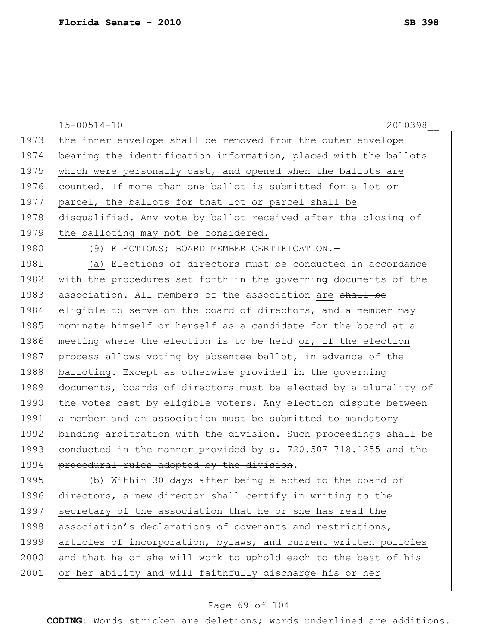|      | $15 - 00514 - 10$<br>2010398                                     |
|------|------------------------------------------------------------------|
| 1973 | the inner envelope shall be removed from the outer envelope      |
| 1974 | bearing the identification information, placed with the ballots  |
| 1975 | which were personally cast, and opened when the ballots are      |
| 1976 | counted. If more than one ballot is submitted for a lot or       |
| 1977 | parcel, the ballots for that lot or parcel shall be              |
| 1978 | disqualified. Any vote by ballot received after the closing of   |
| 1979 | the balloting may not be considered.                             |
| 1980 | (9) ELECTIONS; BOARD MEMBER CERTIFICATION.-                      |
| 1981 | (a) Elections of directors must be conducted in accordance       |
| 1982 | with the procedures set forth in the governing documents of the  |
| 1983 | association. All members of the association are shall be         |
| 1984 | eligible to serve on the board of directors, and a member may    |
| 1985 | nominate himself or herself as a candidate for the board at a    |
| 1986 | meeting where the election is to be held or, if the election     |
| 1987 | process allows voting by absentee ballot, in advance of the      |
| 1988 | balloting. Except as otherwise provided in the governing         |
| 1989 | documents, boards of directors must be elected by a plurality of |
| 1990 | the votes cast by eligible voters. Any election dispute between  |
| 1991 | a member and an association must be submitted to mandatory       |
| 1992 | binding arbitration with the division. Such proceedings shall be |
| 1993 | conducted in the manner provided by s. 720.507 718.1255 and the  |
| 1994 | procedural rules adopted by the division.                        |
| 1995 | (b) Within 30 days after being elected to the board of           |
| 1996 | directors, a new director shall certify in writing to the        |
| 1997 | secretary of the association that he or she has read the         |
| 1998 | association's declarations of covenants and restrictions,        |
| 1999 | articles of incorporation, bylaws, and current written policies  |
| 2000 | and that he or she will work to uphold each to the best of his   |
| 2001 | or her ability and will faithfully discharge his or her          |
|      |                                                                  |

# Page 69 of 104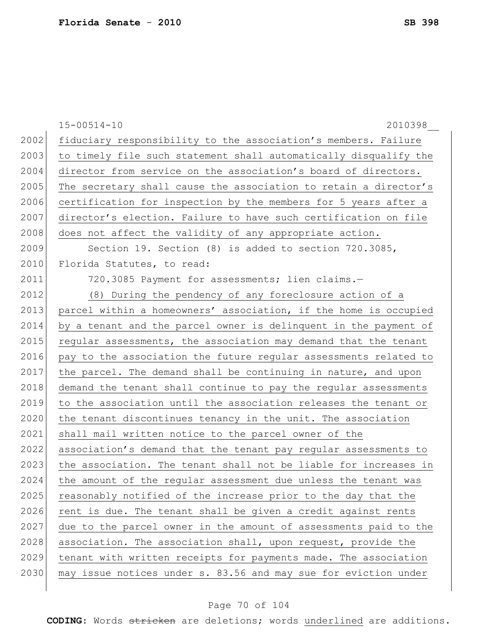|      | $15 - 00514 - 10$<br>2010398                                     |
|------|------------------------------------------------------------------|
| 2002 | fiduciary responsibility to the association's members. Failure   |
| 2003 | to timely file such statement shall automatically disqualify the |
| 2004 | director from service on the association's board of directors.   |
| 2005 | The secretary shall cause the association to retain a director's |
| 2006 | certification for inspection by the members for 5 years after a  |
| 2007 | director's election. Failure to have such certification on file  |
| 2008 | does not affect the validity of any appropriate action.          |
| 2009 | Section 19. Section (8) is added to section 720.3085,            |
| 2010 | Florida Statutes, to read:                                       |
| 2011 | 720.3085 Payment for assessments; lien claims.-                  |
| 2012 | (8) During the pendency of any foreclosure action of a           |
| 2013 | parcel within a homeowners' association, if the home is occupied |
| 2014 | by a tenant and the parcel owner is delinquent in the payment of |
| 2015 | regular assessments, the association may demand that the tenant  |
| 2016 | pay to the association the future regular assessments related to |
| 2017 | the parcel. The demand shall be continuing in nature, and upon   |
| 2018 | demand the tenant shall continue to pay the regular assessments  |
| 2019 | to the association until the association releases the tenant or  |
| 2020 | the tenant discontinues tenancy in the unit. The association     |
| 2021 | shall mail written notice to the parcel owner of the             |
| 2022 | association's demand that the tenant pay regular assessments to  |
| 2023 | the association. The tenant shall not be liable for increases in |
| 2024 | the amount of the regular assessment due unless the tenant was   |
| 2025 | reasonably notified of the increase prior to the day that the    |
| 2026 | rent is due. The tenant shall be given a credit against rents    |
| 2027 | due to the parcel owner in the amount of assessments paid to the |
| 2028 | association. The association shall, upon request, provide the    |
| 2029 | tenant with written receipts for payments made. The association  |
| 2030 | may issue notices under s. 83.56 and may sue for eviction under  |
|      |                                                                  |

# Page 70 of 104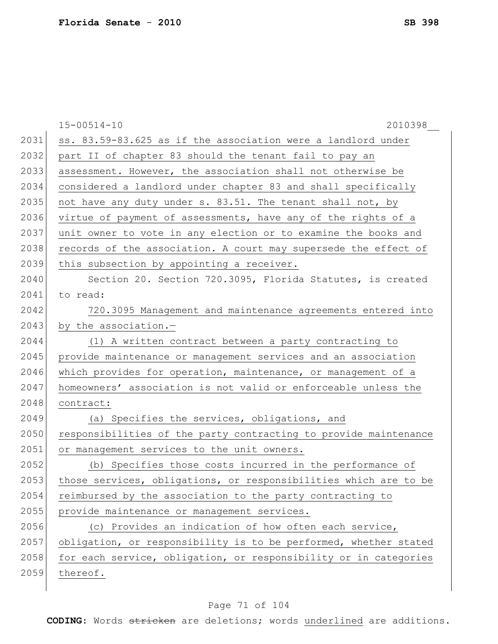|      | $15 - 00514 - 10$<br>2010398                                     |
|------|------------------------------------------------------------------|
| 2031 | ss. 83.59-83.625 as if the association were a landlord under     |
| 2032 | part II of chapter 83 should the tenant fail to pay an           |
| 2033 | assessment. However, the association shall not otherwise be      |
| 2034 | considered a landlord under chapter 83 and shall specifically    |
| 2035 | not have any duty under s. 83.51. The tenant shall not, by       |
| 2036 | virtue of payment of assessments, have any of the rights of a    |
| 2037 | unit owner to vote in any election or to examine the books and   |
| 2038 | records of the association. A court may supersede the effect of  |
| 2039 | this subsection by appointing a receiver.                        |
| 2040 | Section 20. Section 720.3095, Florida Statutes, is created       |
| 2041 | to read:                                                         |
| 2042 | 720.3095 Management and maintenance agreements entered into      |
| 2043 | by the association.-                                             |
| 2044 | (1) A written contract between a party contracting to            |
| 2045 | provide maintenance or management services and an association    |
| 2046 | which provides for operation, maintenance, or management of a    |
| 2047 | homeowners' association is not valid or enforceable unless the   |
| 2048 | contract:                                                        |
| 2049 | (a) Specifies the services, obligations, and                     |
| 2050 | responsibilities of the party contracting to provide maintenance |
| 2051 | or management services to the unit owners.                       |
| 2052 | (b) Specifies those costs incurred in the performance of         |
| 2053 | those services, obligations, or responsibilities which are to be |
| 2054 | reimbursed by the association to the party contracting to        |
| 2055 | provide maintenance or management services.                      |
| 2056 | (c) Provides an indication of how often each service,            |
| 2057 | obligation, or responsibility is to be performed, whether stated |
| 2058 | for each service, obligation, or responsibility or in categories |
| 2059 | thereof.                                                         |
|      |                                                                  |

# Page 71 of 104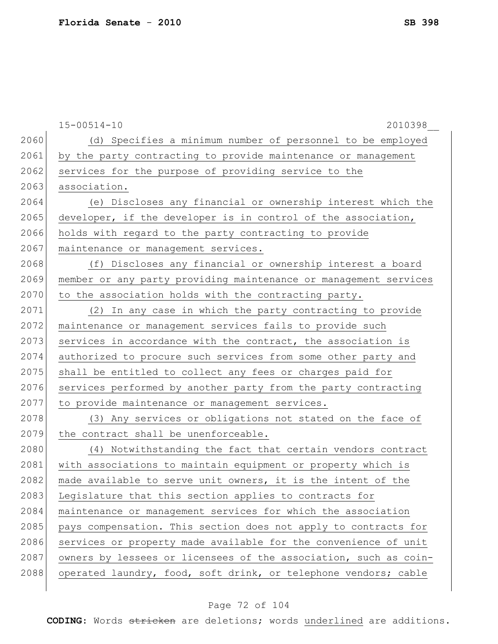|      | $15 - 00514 - 10$<br>2010398                                     |
|------|------------------------------------------------------------------|
| 2060 | (d) Specifies a minimum number of personnel to be employed       |
| 2061 | by the party contracting to provide maintenance or management    |
| 2062 | services for the purpose of providing service to the             |
| 2063 | association.                                                     |
| 2064 | (e) Discloses any financial or ownership interest which the      |
| 2065 | developer, if the developer is in control of the association,    |
| 2066 | holds with regard to the party contracting to provide            |
| 2067 | maintenance or management services.                              |
| 2068 | (f) Discloses any financial or ownership interest a board        |
| 2069 | member or any party providing maintenance or management services |
| 2070 | to the association holds with the contracting party.             |
| 2071 | (2) In any case in which the party contracting to provide        |
| 2072 | maintenance or management services fails to provide such         |
| 2073 | services in accordance with the contract, the association is     |
| 2074 | authorized to procure such services from some other party and    |
| 2075 | shall be entitled to collect any fees or charges paid for        |
| 2076 | services performed by another party from the party contracting   |
| 2077 | to provide maintenance or management services.                   |
| 2078 | (3) Any services or obligations not stated on the face of        |
| 2079 | the contract shall be unenforceable.                             |
| 2080 | (4) Notwithstanding the fact that certain vendors contract       |
| 2081 | with associations to maintain equipment or property which is     |
| 2082 | made available to serve unit owners, it is the intent of the     |
| 2083 | Legislature that this section applies to contracts for           |
| 2084 | maintenance or management services for which the association     |
| 2085 | pays compensation. This section does not apply to contracts for  |
| 2086 | services or property made available for the convenience of unit  |
| 2087 | owners by lessees or licensees of the association, such as coin- |
| 2088 | operated laundry, food, soft drink, or telephone vendors; cable  |
|      |                                                                  |

# Page 72 of 104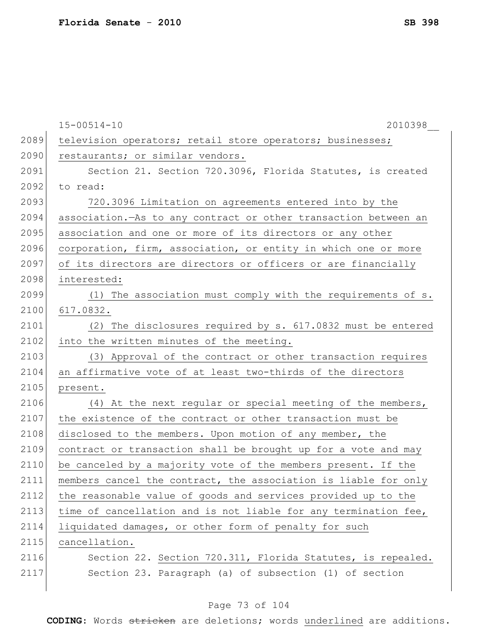|      | $15 - 00514 - 10$<br>2010398                                    |
|------|-----------------------------------------------------------------|
| 2089 | television operators; retail store operators; businesses;       |
| 2090 | restaurants; or similar vendors.                                |
| 2091 | Section 21. Section 720.3096, Florida Statutes, is created      |
| 2092 | to read:                                                        |
| 2093 | 720.3096 Limitation on agreements entered into by the           |
| 2094 | association. As to any contract or other transaction between an |
| 2095 | association and one or more of its directors or any other       |
| 2096 | corporation, firm, association, or entity in which one or more  |
| 2097 | of its directors are directors or officers or are financially   |
| 2098 | interested:                                                     |
| 2099 | (1) The association must comply with the requirements of s.     |
| 2100 | 617.0832.                                                       |
| 2101 | (2) The disclosures required by s. 617.0832 must be entered     |
| 2102 | into the written minutes of the meeting.                        |
| 2103 | (3) Approval of the contract or other transaction requires      |
| 2104 | an affirmative vote of at least two-thirds of the directors     |
| 2105 | present.                                                        |
| 2106 | (4) At the next regular or special meeting of the members,      |
| 2107 | the existence of the contract or other transaction must be      |
| 2108 | disclosed to the members. Upon motion of any member, the        |
| 2109 | contract or transaction shall be brought up for a vote and may  |
| 2110 | be canceled by a majority vote of the members present. If the   |
| 2111 | members cancel the contract, the association is liable for only |
| 2112 | the reasonable value of goods and services provided up to the   |
| 2113 | time of cancellation and is not liable for any termination fee, |
| 2114 | liquidated damages, or other form of penalty for such           |
| 2115 | cancellation.                                                   |
| 2116 | Section 22. Section 720.311, Florida Statutes, is repealed.     |
| 2117 | Section 23. Paragraph (a) of subsection (1) of section          |
|      |                                                                 |

# Page 73 of 104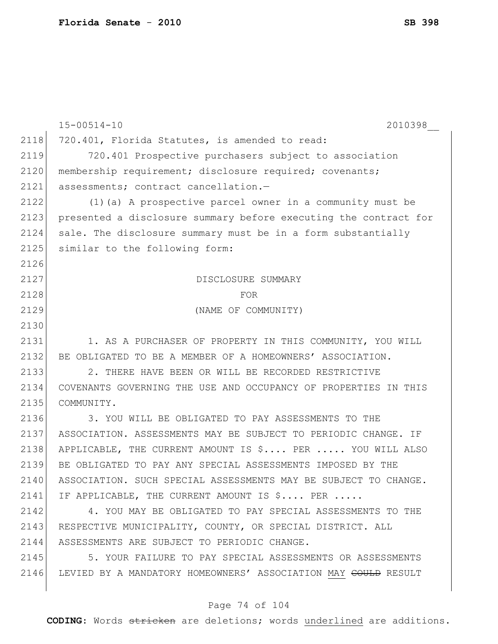|      | $15 - 00514 - 10$<br>2010398                                              |
|------|---------------------------------------------------------------------------|
| 2118 | 720.401, Florida Statutes, is amended to read:                            |
| 2119 | 720.401 Prospective purchasers subject to association                     |
| 2120 | membership requirement; disclosure required; covenants;                   |
| 2121 | assessments; contract cancellation.-                                      |
| 2122 | (1) (a) A prospective parcel owner in a community must be                 |
| 2123 | presented a disclosure summary before executing the contract for          |
| 2124 | sale. The disclosure summary must be in a form substantially              |
| 2125 | similar to the following form:                                            |
| 2126 |                                                                           |
| 2127 | DISCLOSURE SUMMARY                                                        |
| 2128 | FOR                                                                       |
| 2129 | (NAME OF COMMUNITY)                                                       |
| 2130 |                                                                           |
| 2131 | 1. AS A PURCHASER OF PROPERTY IN THIS COMMUNITY, YOU WILL                 |
| 2132 | BE OBLIGATED TO BE A MEMBER OF A HOMEOWNERS' ASSOCIATION.                 |
| 2133 | 2. THERE HAVE BEEN OR WILL BE RECORDED RESTRICTIVE                        |
| 2134 | COVENANTS GOVERNING THE USE AND OCCUPANCY OF PROPERTIES IN THIS           |
| 2135 | COMMUNITY.                                                                |
| 2136 | 3. YOU WILL BE OBLIGATED TO PAY ASSESSMENTS TO THE                        |
| 2137 | ASSOCIATION. ASSESSMENTS MAY BE SUBJECT TO PERIODIC CHANGE. IF            |
| 2138 | APPLICABLE, THE CURRENT AMOUNT IS \$ PER  YOU WILL ALSO                   |
| 2139 | BE OBLIGATED TO PAY ANY SPECIAL ASSESSMENTS IMPOSED BY THE                |
| 2140 | ASSOCIATION. SUCH SPECIAL ASSESSMENTS MAY BE SUBJECT TO CHANGE.           |
| 2141 | IF APPLICABLE, THE CURRENT AMOUNT IS \$ PER                               |
| 2142 | 4. YOU MAY BE OBLIGATED TO PAY SPECIAL ASSESSMENTS TO THE                 |
| 2143 | RESPECTIVE MUNICIPALITY, COUNTY, OR SPECIAL DISTRICT. ALL                 |
| 2144 | ASSESSMENTS ARE SUBJECT TO PERIODIC CHANGE.                               |
| 2145 | 5. YOUR FAILURE TO PAY SPECIAL ASSESSMENTS OR ASSESSMENTS                 |
| 2146 | LEVIED BY A MANDATORY HOMEOWNERS' ASSOCIATION MAY <del>COULD</del> RESULT |
|      |                                                                           |

# Page 74 of 104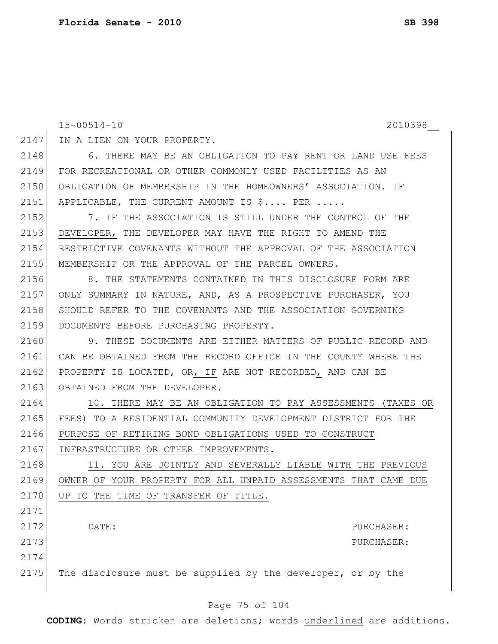15-00514-10 2010398\_\_ 2147 IN A LIEN ON YOUR PROPERTY. 2148 6. THERE MAY BE AN OBLIGATION TO PAY RENT OR LAND USE FEES 2149 FOR RECREATIONAL OR OTHER COMMONLY USED FACILITIES AS AN 2150 OBLIGATION OF MEMBERSHIP IN THE HOMEOWNERS' ASSOCIATION. IF 2151 APPLICABLE, THE CURRENT AMOUNT IS \$.... PER ..... 2152 7. IF THE ASSOCIATION IS STILL UNDER THE CONTROL OF THE 2153 DEVELOPER, THE DEVELOPER MAY HAVE THE RIGHT TO AMEND THE 2154 RESTRICTIVE COVENANTS WITHOUT THE APPROVAL OF THE ASSOCIATION 2155 MEMBERSHIP OR THE APPROVAL OF THE PARCEL OWNERS. 2156 6. THE STATEMENTS CONTAINED IN THIS DISCLOSURE FORM ARE 2157 ONLY SUMMARY IN NATURE, AND, AS A PROSPECTIVE PURCHASER, YOU 2158 SHOULD REFER TO THE COVENANTS AND THE ASSOCIATION GOVERNING 2159 DOCUMENTS BEFORE PURCHASING PROPERTY. 2160 9. THESE DOCUMENTS ARE <del>EITHER</del> MATTERS OF PUBLIC RECORD AND 2161 CAN BE OBTAINED FROM THE RECORD OFFICE IN THE COUNTY WHERE THE 2162 PROPERTY IS LOCATED, OR, IF ARE NOT RECORDED, AND CAN BE 2163 OBTAINED FROM THE DEVELOPER. 2164 10. THERE MAY BE AN OBLIGATION TO PAY ASSESSMENTS (TAXES OR 2165 FEES) TO A RESIDENTIAL COMMUNITY DEVELOPMENT DISTRICT FOR THE 2166 PURPOSE OF RETIRING BOND OBLIGATIONS USED TO CONSTRUCT 2167 INFRASTRUCTURE OR OTHER IMPROVEMENTS. 2168 11. YOU ARE JOINTLY AND SEVERALLY LIABLE WITH THE PREVIOUS 2169 OWNER OF YOUR PROPERTY FOR ALL UNPAID ASSESSMENTS THAT CAME DUE 2170 UP TO THE TIME OF TRANSFER OF TITLE. 2171 2172 DATE: DATE: 2173 PURCHASER: 2174 2175 The disclosure must be supplied by the developer, or by the

### Page 75 of 104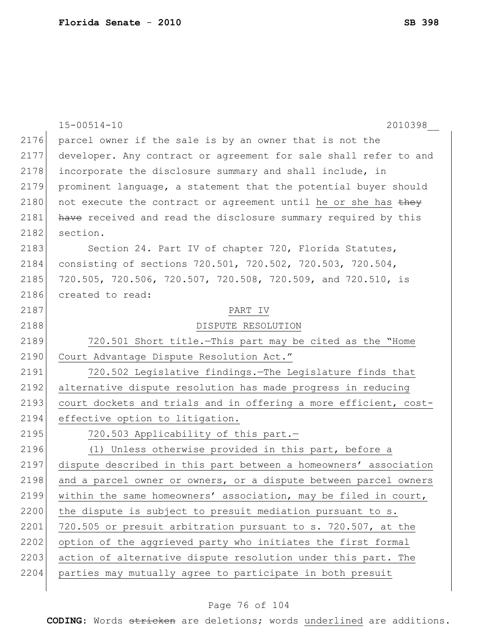|      | $15 - 00514 - 10$<br>2010398                                     |
|------|------------------------------------------------------------------|
| 2176 | parcel owner if the sale is by an owner that is not the          |
| 2177 | developer. Any contract or agreement for sale shall refer to and |
| 2178 | incorporate the disclosure summary and shall include, in         |
| 2179 | prominent language, a statement that the potential buyer should  |
| 2180 | not execute the contract or agreement until he or she has they   |
| 2181 | have received and read the disclosure summary required by this   |
| 2182 | section.                                                         |
| 2183 | Section 24. Part IV of chapter 720, Florida Statutes,            |
| 2184 | consisting of sections 720.501, 720.502, 720.503, 720.504,       |
| 2185 | 720.505, 720.506, 720.507, 720.508, 720.509, and 720.510, is     |
| 2186 | created to read:                                                 |
| 2187 | PART IV                                                          |
| 2188 | DISPUTE RESOLUTION                                               |
| 2189 | 720.501 Short title. This part may be cited as the "Home         |
| 2190 | Court Advantage Dispute Resolution Act."                         |
| 2191 | 720.502 Legislative findings. The Legislature finds that         |
| 2192 | alternative dispute resolution has made progress in reducing     |
| 2193 | court dockets and trials and in offering a more efficient, cost- |
| 2194 | effective option to litigation.                                  |
| 2195 | 720.503 Applicability of this part.-                             |
| 2196 | (1) Unless otherwise provided in this part, before a             |
| 2197 | dispute described in this part between a homeowners' association |
| 2198 | and a parcel owner or owners, or a dispute between parcel owners |
| 2199 | within the same homeowners' association, may be filed in court,  |
| 2200 | the dispute is subject to presuit mediation pursuant to s.       |
| 2201 | 720.505 or presuit arbitration pursuant to s. 720.507, at the    |
| 2202 | option of the aggrieved party who initiates the first formal     |
| 2203 | action of alternative dispute resolution under this part. The    |
| 2204 | parties may mutually agree to participate in both presuit        |
|      |                                                                  |

# Page 76 of 104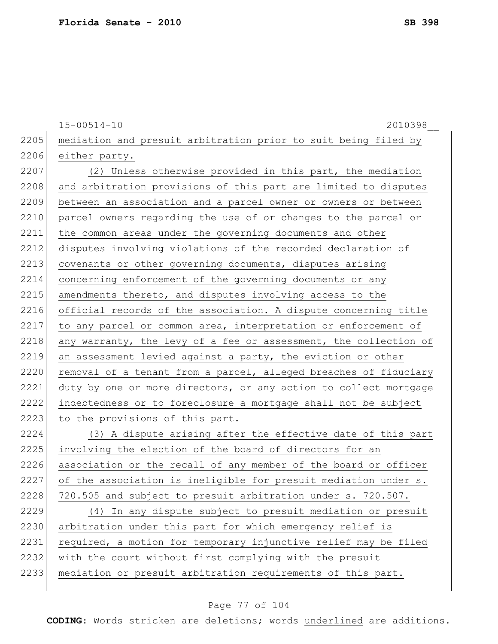15-00514-10 2010398\_\_ 2205 mediation and presuit arbitration prior to suit being filed by 2206 either party. 2207 (2) Unless otherwise provided in this part, the mediation 2208 and arbitration provisions of this part are limited to disputes 2209 between an association and a parcel owner or owners or between 2210 parcel owners regarding the use of or changes to the parcel or 2211 the common areas under the governing documents and other 2212 disputes involving violations of the recorded declaration of 2213 covenants or other governing documents, disputes arising 2214 concerning enforcement of the governing documents or any 2215 amendments thereto, and disputes involving access to the 2216 official records of the association. A dispute concerning title 2217 to any parcel or common area, interpretation or enforcement of 2218 any warranty, the levy of a fee or assessment, the collection of 2219 an assessment levied against a party, the eviction or other 2220 removal of a tenant from a parcel, alleged breaches of fiduciary 2221 duty by one or more directors, or any action to collect mortgage 2222 indebtedness or to foreclosure a mortgage shall not be subject 2223 to the provisions of this part. 2224 (3) A dispute arising after the effective date of this part 2225 involving the election of the board of directors for an 2226 association or the recall of any member of the board or officer  $2227$  of the association is ineligible for presuit mediation under s. 2228 720.505 and subject to presuit arbitration under s. 720.507. 2229 (4) In any dispute subject to presuit mediation or presuit 2230 arbitration under this part for which emergency relief is 2231 required, a motion for temporary injunctive relief may be filed 2232 with the court without first complying with the presuit 2233 | mediation or presuit arbitration requirements of this part.

#### Page 77 of 104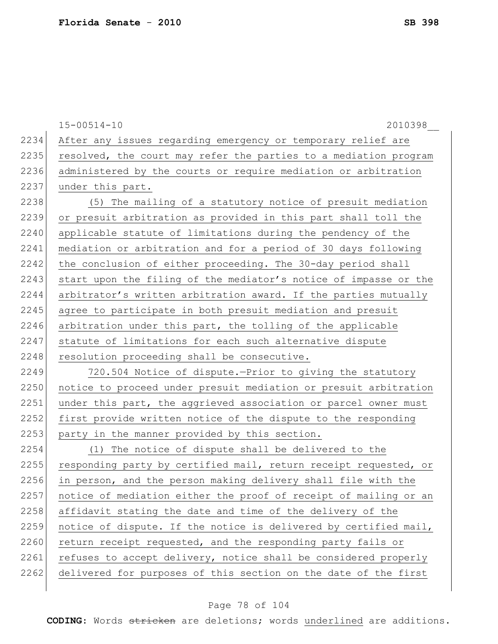15-00514-10 2010398\_\_

2234 After any issues regarding emergency or temporary relief are 2235 resolved, the court may refer the parties to a mediation program 2236 administered by the courts or require mediation or arbitration 2237 under this part.

2238 (5) The mailing of a statutory notice of presuit mediation 2239 or presuit arbitration as provided in this part shall toll the 2240 applicable statute of limitations during the pendency of the 2241 mediation or arbitration and for a period of 30 days following 2242 the conclusion of either proceeding. The 30-day period shall 2243 start upon the filing of the mediator's notice of impasse or the 2244 arbitrator's written arbitration award. If the parties mutually 2245 agree to participate in both presuit mediation and presuit 2246 arbitration under this part, the tolling of the applicable 2247 statute of limitations for each such alternative dispute 2248 resolution proceeding shall be consecutive.

2249 720.504 Notice of dispute.—Prior to giving the statutory 2250 notice to proceed under presuit mediation or presuit arbitration 2251 under this part, the aggrieved association or parcel owner must 2252 first provide written notice of the dispute to the responding 2253 party in the manner provided by this section.

2254 (1) The notice of dispute shall be delivered to the 2255 responding party by certified mail, return receipt requested, or 2256 in person, and the person making delivery shall file with the 2257 notice of mediation either the proof of receipt of mailing or an 2258 affidavit stating the date and time of the delivery of the 2259 notice of dispute. If the notice is delivered by certified mail, 2260 return receipt requested, and the responding party fails or 2261 refuses to accept delivery, notice shall be considered properly 2262 delivered for purposes of this section on the date of the first

#### Page 78 of 104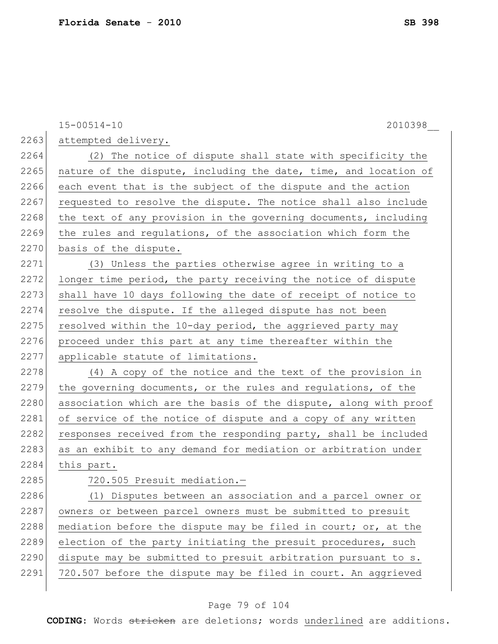15-00514-10 2010398\_\_ 2263 attempted delivery. 2264 (2) The notice of dispute shall state with specificity the 2265 nature of the dispute, including the date, time, and location of  $2266$  each event that is the subject of the dispute and the action 2267 requested to resolve the dispute. The notice shall also include 2268 the text of any provision in the governing documents, including 2269 the rules and regulations, of the association which form the 2270 basis of the dispute. 2271 (3) Unless the parties otherwise agree in writing to a 2272 longer time period, the party receiving the notice of dispute 2273 shall have 10 days following the date of receipt of notice to 2274 resolve the dispute. If the alleged dispute has not been 2275 resolved within the 10-day period, the aggrieved party may 2276 proceed under this part at any time thereafter within the 2277 applicable statute of limitations. 2278  $(4)$  A copy of the notice and the text of the provision in 2279 the governing documents, or the rules and regulations, of the 2280 association which are the basis of the dispute, along with proof 2281 of service of the notice of dispute and a copy of any written 2282 responses received from the responding party, shall be included 2283 as an exhibit to any demand for mediation or arbitration under 2284 this part. 2285 720.505 Presuit mediation.-2286 (1) Disputes between an association and a parcel owner or 2287 owners or between parcel owners must be submitted to presuit 2288 mediation before the dispute may be filed in court; or, at the 2289 election of the party initiating the presuit procedures, such 2290 dispute may be submitted to presuit arbitration pursuant to s. 2291 720.507 before the dispute may be filed in court. An aggrieved

### Page 79 of 104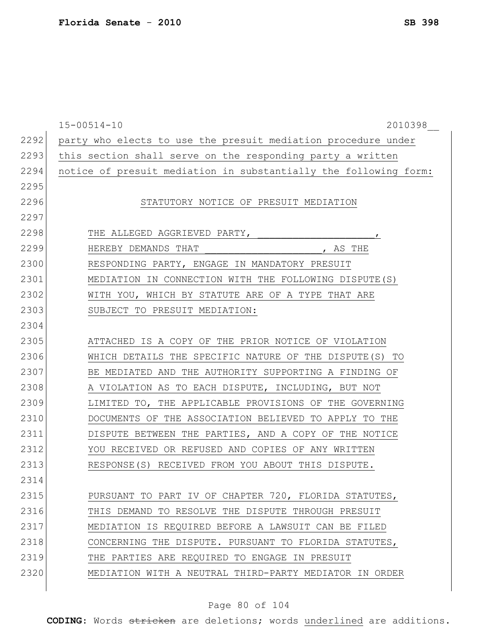|      | $15 - 00514 - 10$<br>2010398                                     |
|------|------------------------------------------------------------------|
| 2292 | party who elects to use the presuit mediation procedure under    |
| 2293 | this section shall serve on the responding party a written       |
| 2294 | notice of presuit mediation in substantially the following form: |
| 2295 |                                                                  |
| 2296 | STATUTORY NOTICE OF PRESUIT MEDIATION                            |
| 2297 |                                                                  |
| 2298 | THE ALLEGED AGGRIEVED PARTY,<br>$\mathbf{r}$                     |
| 2299 | HEREBY DEMANDS THAT<br>, AS THE                                  |
| 2300 | RESPONDING PARTY, ENGAGE IN MANDATORY PRESUIT                    |
| 2301 | MEDIATION IN CONNECTION WITH THE FOLLOWING DISPUTE (S)           |
| 2302 | WITH YOU, WHICH BY STATUTE ARE OF A TYPE THAT ARE                |
| 2303 | SUBJECT TO PRESUIT MEDIATION:                                    |
| 2304 |                                                                  |
| 2305 | ATTACHED IS A COPY OF THE PRIOR NOTICE OF VIOLATION              |
| 2306 | WHICH DETAILS THE SPECIFIC NATURE OF THE DISPUTE (S) TO          |
| 2307 | BE MEDIATED AND THE AUTHORITY SUPPORTING A FINDING OF            |
| 2308 | A VIOLATION AS TO EACH DISPUTE, INCLUDING, BUT NOT               |
| 2309 | LIMITED TO, THE APPLICABLE PROVISIONS OF THE GOVERNING           |
| 2310 | DOCUMENTS OF THE ASSOCIATION BELIEVED TO APPLY TO THE            |
| 2311 | DISPUTE BETWEEN THE PARTIES, AND A COPY OF THE NOTICE            |
| 2312 | YOU RECEIVED OR REFUSED AND COPIES OF ANY WRITTEN                |
| 2313 | RESPONSE(S) RECEIVED FROM YOU ABOUT THIS DISPUTE.                |
| 2314 |                                                                  |
| 2315 | PURSUANT TO PART IV OF CHAPTER 720, FLORIDA STATUTES,            |
| 2316 | THIS DEMAND TO RESOLVE THE DISPUTE THROUGH PRESUIT               |
| 2317 | MEDIATION IS REQUIRED BEFORE A LAWSUIT CAN BE FILED              |
| 2318 | CONCERNING THE DISPUTE. PURSUANT TO FLORIDA STATUTES,            |
| 2319 | THE PARTIES ARE REQUIRED TO ENGAGE IN PRESUIT                    |
| 2320 | MEDIATION WITH A NEUTRAL THIRD-PARTY MEDIATOR IN ORDER           |
|      |                                                                  |

# Page 80 of 104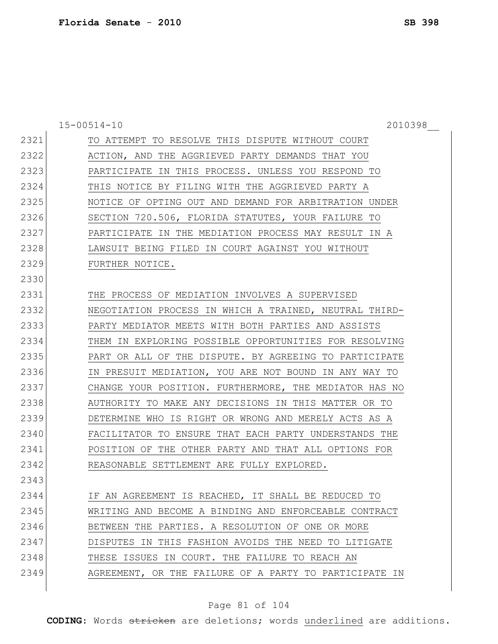|      | $15 - 00514 - 10$<br>2010398                           |
|------|--------------------------------------------------------|
| 2321 | TO ATTEMPT TO RESOLVE THIS DISPUTE WITHOUT COURT       |
| 2322 | ACTION, AND THE AGGRIEVED PARTY DEMANDS THAT YOU       |
| 2323 | PARTICIPATE IN THIS PROCESS. UNLESS YOU RESPOND TO     |
| 2324 | THIS NOTICE BY FILING WITH THE AGGRIEVED PARTY A       |
| 2325 | NOTICE OF OPTING OUT AND DEMAND FOR ARBITRATION UNDER  |
| 2326 | SECTION 720.506, FLORIDA STATUTES, YOUR FAILURE TO     |
| 2327 | PARTICIPATE IN THE MEDIATION PROCESS MAY RESULT IN A   |
| 2328 | LAWSUIT BEING FILED IN COURT AGAINST YOU WITHOUT       |
| 2329 | FURTHER NOTICE.                                        |
| 2330 |                                                        |
| 2331 | THE PROCESS OF MEDIATION INVOLVES A SUPERVISED         |
| 2332 | NEGOTIATION PROCESS IN WHICH A TRAINED, NEUTRAL THIRD- |
| 2333 | PARTY MEDIATOR MEETS WITH BOTH PARTIES AND ASSISTS     |
| 2334 | THEM IN EXPLORING POSSIBLE OPPORTUNITIES FOR RESOLVING |
| 2335 | PART OR ALL OF THE DISPUTE. BY AGREEING TO PARTICIPATE |
| 2336 | IN PRESUIT MEDIATION, YOU ARE NOT BOUND IN ANY WAY TO  |
| 2337 | CHANGE YOUR POSITION. FURTHERMORE, THE MEDIATOR HAS NO |
| 2338 | AUTHORITY TO MAKE ANY DECISIONS IN THIS MATTER OR TO   |
| 2339 | DETERMINE WHO IS RIGHT OR WRONG AND MERELY ACTS AS A   |
| 2340 | FACILITATOR TO ENSURE THAT EACH PARTY UNDERSTANDS THE  |
| 2341 | POSITION OF THE OTHER PARTY AND THAT ALL OPTIONS FOR   |
| 2342 | REASONABLE SETTLEMENT ARE FULLY EXPLORED.              |
| 2343 |                                                        |
| 2344 | IF AN AGREEMENT IS REACHED, IT SHALL BE REDUCED TO     |
| 2345 | WRITING AND BECOME A BINDING AND ENFORCEABLE CONTRACT  |
| 2346 | BETWEEN THE PARTIES. A RESOLUTION OF ONE OR MORE       |
| 2347 | DISPUTES IN THIS FASHION AVOIDS THE NEED TO LITIGATE   |
| 2348 | THESE ISSUES IN COURT. THE FAILURE TO REACH AN         |
| 2349 | AGREEMENT, OR THE FAILURE OF A PARTY TO PARTICIPATE IN |
|      |                                                        |

# Page 81 of 104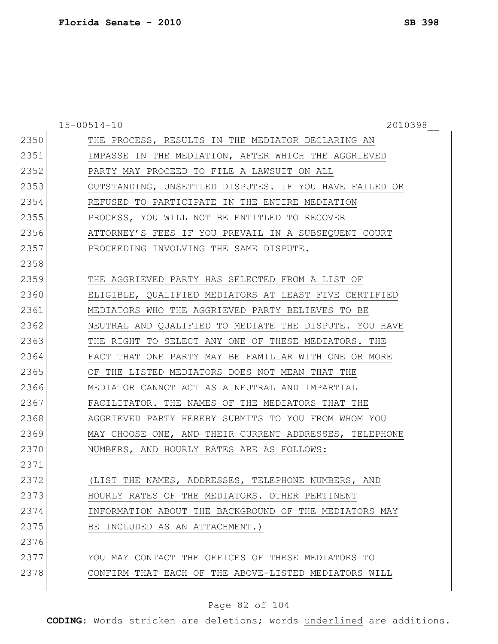|      | $15 - 00514 - 10$<br>2010398                           |  |
|------|--------------------------------------------------------|--|
| 2350 | THE PROCESS, RESULTS IN THE MEDIATOR DECLARING AN      |  |
| 2351 | IMPASSE IN THE MEDIATION, AFTER WHICH THE AGGRIEVED    |  |
| 2352 | PARTY MAY PROCEED TO FILE A LAWSUIT ON ALL             |  |
| 2353 | OUTSTANDING, UNSETTLED DISPUTES. IF YOU HAVE FAILED OR |  |
| 2354 | REFUSED TO PARTICIPATE IN THE ENTIRE MEDIATION         |  |
| 2355 | PROCESS, YOU WILL NOT BE ENTITLED TO RECOVER           |  |
| 2356 | ATTORNEY'S FEES IF YOU PREVAIL IN A SUBSEQUENT COURT   |  |
| 2357 | PROCEEDING INVOLVING THE SAME DISPUTE.                 |  |
| 2358 |                                                        |  |
| 2359 | THE AGGRIEVED PARTY HAS SELECTED FROM A LIST OF        |  |
| 2360 | ELIGIBLE, QUALIFIED MEDIATORS AT LEAST FIVE CERTIFIED  |  |
| 2361 | MEDIATORS WHO THE AGGRIEVED PARTY BELIEVES TO BE       |  |
| 2362 | NEUTRAL AND QUALIFIED TO MEDIATE THE DISPUTE. YOU HAVE |  |
| 2363 | THE RIGHT TO SELECT ANY ONE OF THESE MEDIATORS. THE    |  |
| 2364 | FACT THAT ONE PARTY MAY BE FAMILIAR WITH ONE OR MORE   |  |
| 2365 | OF THE LISTED MEDIATORS DOES NOT MEAN THAT THE         |  |
| 2366 | MEDIATOR CANNOT ACT AS A NEUTRAL AND IMPARTIAL         |  |
| 2367 | FACILITATOR. THE NAMES OF THE MEDIATORS THAT THE       |  |
| 2368 | AGGRIEVED PARTY HEREBY SUBMITS TO YOU FROM WHOM YOU    |  |
| 2369 | MAY CHOOSE ONE, AND THEIR CURRENT ADDRESSES, TELEPHONE |  |
| 2370 | NUMBERS, AND HOURLY RATES ARE AS FOLLOWS:              |  |
| 2371 |                                                        |  |
| 2372 | (LIST THE NAMES, ADDRESSES, TELEPHONE NUMBERS, AND     |  |
| 2373 | HOURLY RATES OF THE MEDIATORS. OTHER PERTINENT         |  |
| 2374 | INFORMATION ABOUT THE BACKGROUND OF THE MEDIATORS MAY  |  |
| 2375 | BE INCLUDED AS AN ATTACHMENT.)                         |  |
| 2376 |                                                        |  |
| 2377 | YOU MAY CONTACT THE OFFICES OF THESE MEDIATORS TO      |  |
| 2378 | CONFIRM THAT EACH OF THE ABOVE-LISTED MEDIATORS WILL   |  |

# Page 82 of 104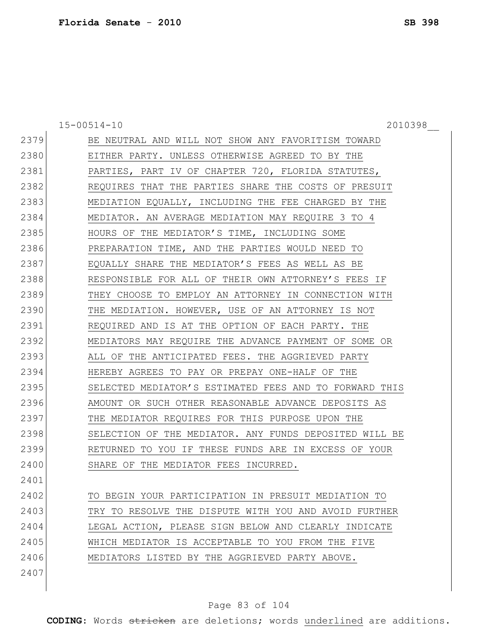15-00514-10 2010398\_\_

| 2379 | BE NEUTRAL AND WILL NOT SHOW ANY FAVORITISM TOWARD     |
|------|--------------------------------------------------------|
| 2380 | EITHER PARTY. UNLESS OTHERWISE AGREED TO BY THE        |
| 2381 | PARTIES, PART IV OF CHAPTER 720, FLORIDA STATUTES,     |
| 2382 | REQUIRES THAT THE PARTIES SHARE THE COSTS OF PRESUIT   |
| 2383 | MEDIATION EQUALLY, INCLUDING THE FEE CHARGED BY THE    |
| 2384 | MEDIATOR. AN AVERAGE MEDIATION MAY REQUIRE 3 TO 4      |
| 2385 | HOURS OF THE MEDIATOR'S TIME, INCLUDING SOME           |
| 2386 | PREPARATION TIME, AND THE PARTIES WOULD NEED TO        |
| 2387 | EQUALLY SHARE THE MEDIATOR'S FEES AS WELL AS BE        |
| 2388 | RESPONSIBLE FOR ALL OF THEIR OWN ATTORNEY'S FEES IF    |
| 2389 | THEY CHOOSE TO EMPLOY AN ATTORNEY IN CONNECTION WITH   |
| 2390 | THE MEDIATION. HOWEVER, USE OF AN ATTORNEY IS NOT      |
| 2391 | REQUIRED AND IS AT THE OPTION OF EACH PARTY. THE       |
| 2392 | MEDIATORS MAY REQUIRE THE ADVANCE PAYMENT OF SOME OR   |
| 2393 | ALL OF THE ANTICIPATED FEES. THE AGGRIEVED PARTY       |
|      |                                                        |
| 2394 | HEREBY AGREES TO PAY OR PREPAY ONE-HALF OF THE         |
| 2395 | SELECTED MEDIATOR'S ESTIMATED FEES AND TO FORWARD THIS |
| 2396 | AMOUNT OR SUCH OTHER REASONABLE ADVANCE DEPOSITS AS    |
| 2397 | THE MEDIATOR REQUIRES FOR THIS PURPOSE UPON THE        |
| 2398 | SELECTION OF THE MEDIATOR. ANY FUNDS DEPOSITED WILL BE |
| 2399 | RETURNED TO YOU IF THESE FUNDS ARE IN EXCESS OF YOUR   |
| 2400 | SHARE OF THE MEDIATOR FEES INCURRED.                   |
| 2401 |                                                        |
| 2402 | TO BEGIN YOUR PARTICIPATION IN PRESUIT MEDIATION TO    |
| 2403 | TRY TO RESOLVE THE DISPUTE WITH YOU AND AVOID FURTHER  |
| 2404 | LEGAL ACTION, PLEASE SIGN BELOW AND CLEARLY INDICATE   |
| 2405 | WHICH MEDIATOR IS ACCEPTABLE TO YOU FROM THE FIVE      |
| 2406 | MEDIATORS LISTED BY THE AGGRIEVED PARTY ABOVE.         |
| 2407 |                                                        |

# Page 83 of 104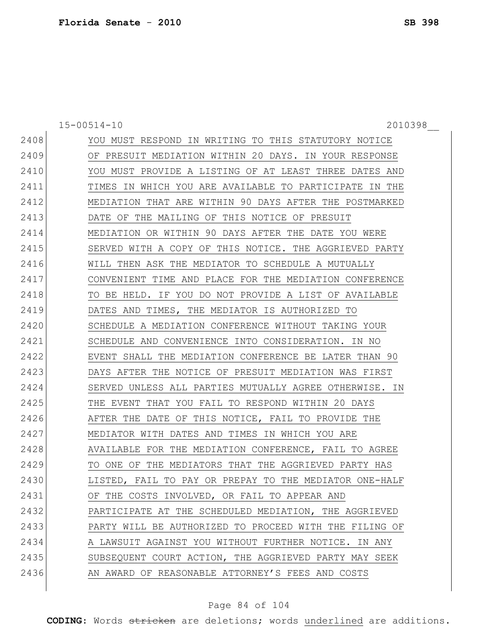15-00514-10 2010398\_\_

| 2408 | YOU MUST RESPOND IN WRITING TO THIS STATUTORY NOTICE   |
|------|--------------------------------------------------------|
| 2409 | OF PRESUIT MEDIATION WITHIN 20 DAYS. IN YOUR RESPONSE  |
| 2410 | YOU MUST PROVIDE A LISTING OF AT LEAST THREE DATES AND |
| 2411 | TIMES IN WHICH YOU ARE AVAILABLE TO PARTICIPATE IN THE |
| 2412 | MEDIATION THAT ARE WITHIN 90 DAYS AFTER THE POSTMARKED |
| 2413 | THE MAILING OF THIS NOTICE OF PRESUIT<br>DATE OF       |
| 2414 | MEDIATION OR WITHIN 90 DAYS AFTER THE DATE YOU WERE    |
| 2415 | SERVED WITH A COPY OF THIS NOTICE. THE AGGRIEVED PARTY |
| 2416 | WILL THEN ASK THE MEDIATOR TO SCHEDULE A MUTUALLY      |
| 2417 | CONVENIENT TIME AND PLACE FOR THE MEDIATION CONFERENCE |
| 2418 | TO BE HELD. IF YOU DO NOT PROVIDE A LIST OF AVAILABLE  |
| 2419 | DATES AND TIMES, THE MEDIATOR IS AUTHORIZED TO         |
| 2420 | SCHEDULE A MEDIATION CONFERENCE WITHOUT TAKING YOUR    |
| 2421 | SCHEDULE AND CONVENIENCE INTO CONSIDERATION. IN NO     |
| 2422 | EVENT SHALL THE MEDIATION CONFERENCE BE LATER THAN 90  |
| 2423 | DAYS AFTER THE NOTICE OF PRESUIT MEDIATION WAS FIRST   |
| 2424 | SERVED UNLESS ALL PARTIES MUTUALLY AGREE OTHERWISE. IN |
| 2425 | THE EVENT THAT YOU FAIL TO RESPOND WITHIN 20 DAYS      |
| 2426 | AFTER THE DATE OF THIS NOTICE, FAIL TO PROVIDE THE     |
| 2427 | MEDIATOR WITH DATES AND TIMES IN WHICH YOU ARE         |
| 2428 | AVAILABLE FOR THE MEDIATION CONFERENCE, FAIL TO AGREE  |
| 2429 | TO ONE OF THE MEDIATORS THAT THE AGGRIEVED PARTY HAS   |
| 2430 | LISTED, FAIL TO PAY OR PREPAY TO THE MEDIATOR ONE-HALF |
| 2431 | OF THE COSTS INVOLVED, OR FAIL TO APPEAR AND           |
| 2432 | PARTICIPATE AT THE SCHEDULED MEDIATION, THE AGGRIEVED  |
| 2433 | PARTY WILL BE AUTHORIZED TO PROCEED WITH THE FILING OF |
| 2434 | A LAWSUIT AGAINST YOU WITHOUT FURTHER NOTICE. IN ANY   |
| 2435 | SUBSEQUENT COURT ACTION, THE AGGRIEVED PARTY MAY SEEK  |
| 2436 | AN AWARD OF REASONABLE ATTORNEY'S FEES AND COSTS       |
|      |                                                        |

# Page 84 of 104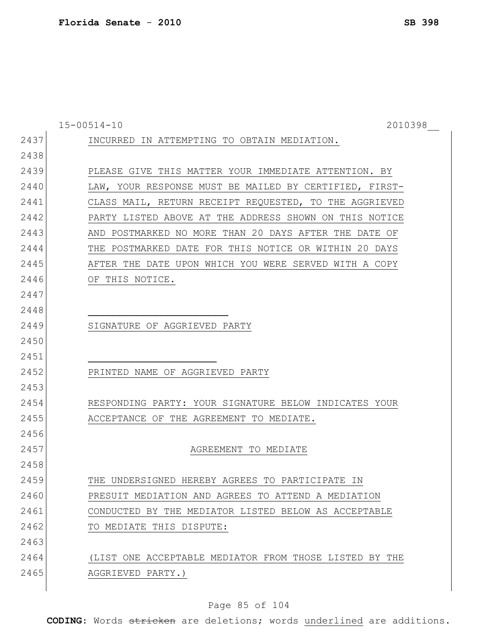|      | $15 - 00514 - 10$<br>2010398                           |
|------|--------------------------------------------------------|
| 2437 | INCURRED IN ATTEMPTING TO OBTAIN MEDIATION.            |
| 2438 |                                                        |
| 2439 | PLEASE GIVE THIS MATTER YOUR IMMEDIATE ATTENTION. BY   |
| 2440 | LAW, YOUR RESPONSE MUST BE MAILED BY CERTIFIED, FIRST- |
| 2441 | CLASS MAIL, RETURN RECEIPT REQUESTED, TO THE AGGRIEVED |
| 2442 | PARTY LISTED ABOVE AT THE ADDRESS SHOWN ON THIS NOTICE |
| 2443 | AND POSTMARKED NO MORE THAN 20 DAYS AFTER THE DATE OF  |
| 2444 | THE POSTMARKED DATE FOR THIS NOTICE OR WITHIN 20 DAYS  |
| 2445 | AFTER THE DATE UPON WHICH YOU WERE SERVED WITH A COPY  |
| 2446 | OF THIS NOTICE.                                        |
| 2447 |                                                        |
| 2448 |                                                        |
| 2449 | SIGNATURE OF AGGRIEVED PARTY                           |
| 2450 |                                                        |
| 2451 |                                                        |
| 2452 | PRINTED NAME OF AGGRIEVED PARTY                        |
| 2453 |                                                        |
| 2454 | RESPONDING PARTY: YOUR SIGNATURE BELOW INDICATES YOUR  |
| 2455 | ACCEPTANCE OF THE AGREEMENT TO MEDIATE.                |
| 2456 |                                                        |
| 2457 | AGREEMENT TO MEDIATE                                   |
| 2458 |                                                        |
| 2459 | THE UNDERSIGNED HEREBY AGREES TO PARTICIPATE IN        |
| 2460 | PRESUIT MEDIATION AND AGREES TO ATTEND A MEDIATION     |
| 2461 | CONDUCTED BY THE MEDIATOR LISTED BELOW AS ACCEPTABLE   |
| 2462 | TO MEDIATE THIS DISPUTE:                               |
| 2463 |                                                        |
| 2464 | (LIST ONE ACCEPTABLE MEDIATOR FROM THOSE LISTED BY THE |
| 2465 | AGGRIEVED PARTY.)                                      |
|      |                                                        |

# Page 85 of 104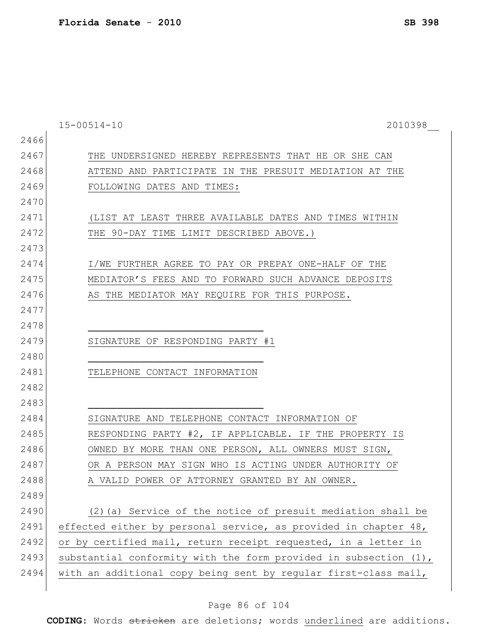|      | $15 - 00514 - 10$<br>2010398                                     |
|------|------------------------------------------------------------------|
| 2466 |                                                                  |
| 2467 | THE UNDERSIGNED HEREBY REPRESENTS THAT HE OR SHE CAN             |
| 2468 | ATTEND AND PARTICIPATE IN THE PRESUIT MEDIATION AT THE           |
| 2469 | FOLLOWING DATES AND TIMES:                                       |
| 2470 |                                                                  |
| 2471 | (LIST AT LEAST THREE AVAILABLE DATES AND TIMES WITHIN            |
| 2472 | THE 90-DAY TIME LIMIT DESCRIBED ABOVE.)                          |
| 2473 |                                                                  |
| 2474 | I/WE FURTHER AGREE TO PAY OR PREPAY ONE-HALF OF THE              |
| 2475 | MEDIATOR'S FEES AND TO FORWARD SUCH ADVANCE DEPOSITS             |
| 2476 | AS THE MEDIATOR MAY REQUIRE FOR THIS PURPOSE.                    |
| 2477 |                                                                  |
| 2478 |                                                                  |
| 2479 | SIGNATURE OF RESPONDING PARTY #1                                 |
| 2480 |                                                                  |
| 2481 | TELEPHONE CONTACT INFORMATION                                    |
| 2482 |                                                                  |
| 2483 |                                                                  |
| 2484 | SIGNATURE AND TELEPHONE CONTACT INFORMATION OF                   |
| 2485 | RESPONDING PARTY #2, IF APPLICABLE. IF THE PROPERTY IS           |
| 2486 | OWNED BY MORE THAN ONE PERSON, ALL OWNERS MUST SIGN,             |
| 2487 | OR A PERSON MAY SIGN WHO IS ACTING UNDER AUTHORITY OF            |
| 2488 | A VALID POWER OF ATTORNEY GRANTED BY AN OWNER.                   |
| 2489 |                                                                  |
| 2490 | (2) (a) Service of the notice of presuit mediation shall be      |
| 2491 | effected either by personal service, as provided in chapter 48,  |
| 2492 | or by certified mail, return receipt requested, in a letter in   |
| 2493 | substantial conformity with the form provided in subsection (1), |
| 2494 | with an additional copy being sent by regular first-class mail,  |
|      |                                                                  |

# Page 86 of 104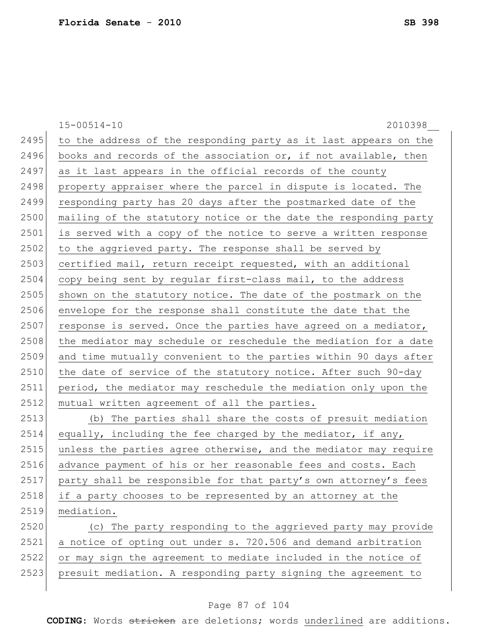15-00514-10 2010398\_\_ 2495 to the address of the responding party as it last appears on the 2496 books and records of the association or, if not available, then 2497 as it last appears in the official records of the county 2498 property appraiser where the parcel in dispute is located. The 2499 responding party has 20 days after the postmarked date of the 2500 mailing of the statutory notice or the date the responding party 2501 is served with a copy of the notice to serve a written response 2502 to the aggrieved party. The response shall be served by 2503 certified mail, return receipt requested, with an additional 2504 copy being sent by regular first-class mail, to the address 2505 shown on the statutory notice. The date of the postmark on the 2506 envelope for the response shall constitute the date that the 2507 response is served. Once the parties have agreed on a mediator, 2508 the mediator may schedule or reschedule the mediation for a date 2509 and time mutually convenient to the parties within 90 days after 2510 the date of service of the statutory notice. After such 90-day 2511 period, the mediator may reschedule the mediation only upon the 2512 mutual written agreement of all the parties. 2513 (b) The parties shall share the costs of presuit mediation  $2514$  equally, including the fee charged by the mediator, if any, 2515 unless the parties agree otherwise, and the mediator may require 2516 advance payment of his or her reasonable fees and costs. Each  $2517$  party shall be responsible for that party's own attorney's fees 2518 if a party chooses to be represented by an attorney at the 2519 mediation. 2520 (c) The party responding to the aggrieved party may provide 2521 a notice of opting out under s. 720.506 and demand arbitration 2522 or may sign the agreement to mediate included in the notice of 2523 presuit mediation. A responding party signing the agreement to

### Page 87 of 104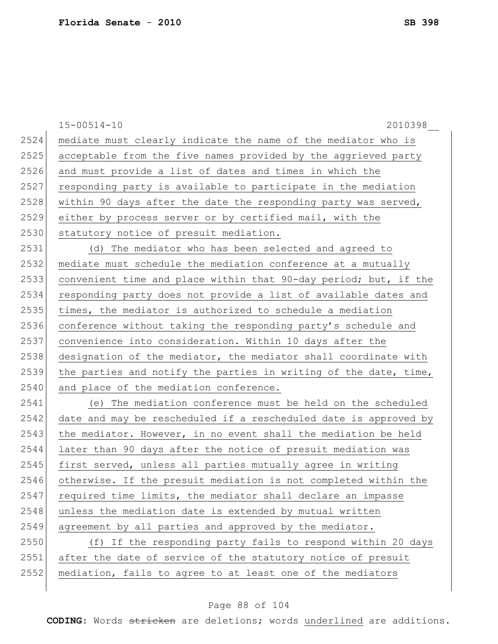|      | $15 - 00514 - 10$<br>2010398                                     |
|------|------------------------------------------------------------------|
| 2524 | mediate must clearly indicate the name of the mediator who is    |
| 2525 | acceptable from the five names provided by the aggrieved party   |
| 2526 | and must provide a list of dates and times in which the          |
| 2527 | responding party is available to participate in the mediation    |
| 2528 | within 90 days after the date the responding party was served,   |
| 2529 | either by process server or by certified mail, with the          |
| 2530 | statutory notice of presuit mediation.                           |
| 2531 | (d) The mediator who has been selected and agreed to             |
| 2532 | mediate must schedule the mediation conference at a mutually     |
| 2533 | convenient time and place within that 90-day period; but, if the |
| 2534 | responding party does not provide a list of available dates and  |
| 2535 | times, the mediator is authorized to schedule a mediation        |
| 2536 | conference without taking the responding party's schedule and    |
| 2537 | convenience into consideration. Within 10 days after the         |
| 2538 | designation of the mediator, the mediator shall coordinate with  |
| 2539 | the parties and notify the parties in writing of the date, time, |
| 2540 | and place of the mediation conference.                           |
| 2541 | (e) The mediation conference must be held on the scheduled       |
| 2542 | date and may be rescheduled if a rescheduled date is approved by |
| 2543 | the mediator. However, in no event shall the mediation be held   |
| 2544 | later than 90 days after the notice of presuit mediation was     |
| 2545 | first served, unless all parties mutually agree in writing       |
| 2546 | otherwise. If the presuit mediation is not completed within the  |
| 2547 | required time limits, the mediator shall declare an impasse      |
| 2548 | unless the mediation date is extended by mutual written          |
| 2549 | agreement by all parties and approved by the mediator.           |
| 2550 | (f) If the responding party fails to respond within 20 days      |
| 2551 | after the date of service of the statutory notice of presuit     |
| 2552 | mediation, fails to agree to at least one of the mediators       |
|      |                                                                  |

# Page 88 of 104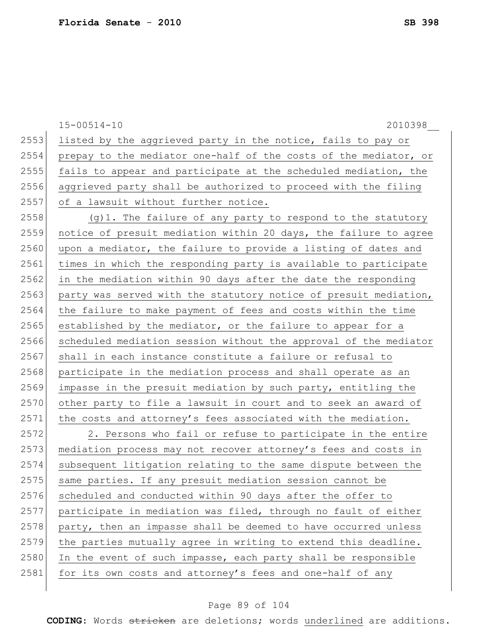15-00514-10 2010398\_\_ 2553 listed by the aggrieved party in the notice, fails to pay or 2554 prepay to the mediator one-half of the costs of the mediator, or 2555 fails to appear and participate at the scheduled mediation, the 2556 aggrieved party shall be authorized to proceed with the filing 2557 of a lawsuit without further notice.  $2558$  (g)1. The failure of any party to respond to the statutory 2559 notice of presuit mediation within 20 days, the failure to agree 2560 upon a mediator, the failure to provide a listing of dates and 2561 times in which the responding party is available to participate 2562 in the mediation within 90 days after the date the responding 2563 party was served with the statutory notice of presuit mediation, 2564 the failure to make payment of fees and costs within the time  $2565$  established by the mediator, or the failure to appear for a 2566 scheduled mediation session without the approval of the mediator 2567 shall in each instance constitute a failure or refusal to 2568 participate in the mediation process and shall operate as an 2569 impasse in the presuit mediation by such party, entitling the 2570 other party to file a lawsuit in court and to seek an award of 2571 the costs and attorney's fees associated with the mediation.  $2572$  2. Persons who fail or refuse to participate in the entire 2573 mediation process may not recover attorney's fees and costs in 2574 subsequent litigation relating to the same dispute between the 2575 same parties. If any presuit mediation session cannot be 2576 scheduled and conducted within 90 days after the offer to 2577 participate in mediation was filed, through no fault of either  $2578$  party, then an impasse shall be deemed to have occurred unless 2579 the parties mutually agree in writing to extend this deadline. 2580 In the event of such impasse, each party shall be responsible 2581 for its own costs and attorney's fees and one-half of any

#### Page 89 of 104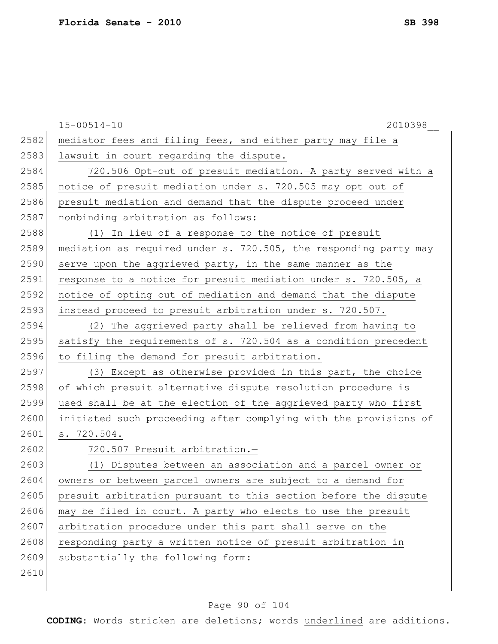|      | $15 - 00514 - 10$<br>2010398                                     |
|------|------------------------------------------------------------------|
| 2582 | mediator fees and filing fees, and either party may file a       |
| 2583 | lawsuit in court regarding the dispute.                          |
| 2584 | 720.506 Opt-out of presuit mediation. - A party served with a    |
| 2585 | notice of presuit mediation under s. 720.505 may opt out of      |
| 2586 | presuit mediation and demand that the dispute proceed under      |
| 2587 | nonbinding arbitration as follows:                               |
| 2588 | (1) In lieu of a response to the notice of presuit               |
| 2589 | mediation as required under s. 720.505, the responding party may |
| 2590 | serve upon the aggrieved party, in the same manner as the        |
| 2591 | response to a notice for presuit mediation under s. 720.505, a   |
| 2592 | notice of opting out of mediation and demand that the dispute    |
| 2593 | instead proceed to presuit arbitration under s. 720.507.         |
| 2594 | (2) The aggrieved party shall be relieved from having to         |
| 2595 | satisfy the requirements of s. 720.504 as a condition precedent  |
| 2596 | to filing the demand for presuit arbitration.                    |
| 2597 | (3) Except as otherwise provided in this part, the choice        |
| 2598 | of which presuit alternative dispute resolution procedure is     |
| 2599 | used shall be at the election of the aggrieved party who first   |
| 2600 | initiated such proceeding after complying with the provisions of |
| 2601 | s. 720.504.                                                      |
| 2602 | 720.507 Presuit arbitration.-                                    |
| 2603 | (1) Disputes between an association and a parcel owner or        |
| 2604 | owners or between parcel owners are subject to a demand for      |
| 2605 | presuit arbitration pursuant to this section before the dispute  |
| 2606 | may be filed in court. A party who elects to use the presuit     |
| 2607 | arbitration procedure under this part shall serve on the         |
| 2608 | responding party a written notice of presuit arbitration in      |
| 2609 | substantially the following form:                                |
| 2610 |                                                                  |
|      |                                                                  |

# Page 90 of 104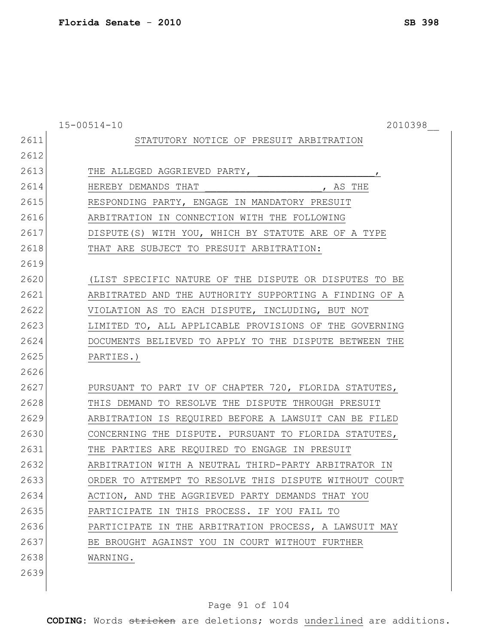15-00514-10 2010398\_\_ STATUTORY NOTICE OF PRESUIT ARBITRATION 2613 THE ALLEGED AGGRIEVED PARTY, HEREBY DEMANDS THAT \_\_\_\_\_\_\_\_\_\_\_\_\_\_\_\_\_\_\_\_, AS THE RESPONDING PARTY, ENGAGE IN MANDATORY PRESUIT ARBITRATION IN CONNECTION WITH THE FOLLOWING DISPUTE(S) WITH YOU, WHICH BY STATUTE ARE OF A TYPE 2618 THAT ARE SUBJECT TO PRESUIT ARBITRATION: (LIST SPECIFIC NATURE OF THE DISPUTE OR DISPUTES TO BE ARBITRATED AND THE AUTHORITY SUPPORTING A FINDING OF A VIOLATION AS TO EACH DISPUTE, INCLUDING, BUT NOT LIMITED TO, ALL APPLICABLE PROVISIONS OF THE GOVERNING DOCUMENTS BELIEVED TO APPLY TO THE DISPUTE BETWEEN THE PARTIES.) PURSUANT TO PART IV OF CHAPTER 720, FLORIDA STATUTES, THIS DEMAND TO RESOLVE THE DISPUTE THROUGH PRESUIT ARBITRATION IS REQUIRED BEFORE A LAWSUIT CAN BE FILED CONCERNING THE DISPUTE. PURSUANT TO FLORIDA STATUTES, THE PARTIES ARE REQUIRED TO ENGAGE IN PRESUIT ARBITRATION WITH A NEUTRAL THIRD-PARTY ARBITRATOR IN ORDER TO ATTEMPT TO RESOLVE THIS DISPUTE WITHOUT COURT ACTION, AND THE AGGRIEVED PARTY DEMANDS THAT YOU PARTICIPATE IN THIS PROCESS. IF YOU FAIL TO PARTICIPATE IN THE ARBITRATION PROCESS, A LAWSUIT MAY BE BROUGHT AGAINST YOU IN COURT WITHOUT FURTHER WARNING. 

### Page 91 of 104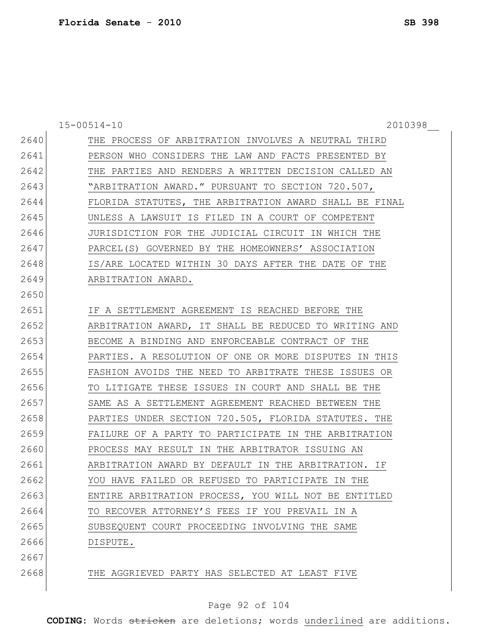|      | $15 - 00514 - 10$<br>2010398                           |
|------|--------------------------------------------------------|
| 2640 | THE PROCESS OF ARBITRATION INVOLVES A NEUTRAL THIRD    |
| 2641 | PERSON WHO CONSIDERS THE LAW AND FACTS PRESENTED BY    |
| 2642 | THE PARTIES AND RENDERS A WRITTEN DECISION CALLED AN   |
| 2643 | "ARBITRATION AWARD." PURSUANT TO SECTION 720.507,      |
| 2644 | FLORIDA STATUTES, THE ARBITRATION AWARD SHALL BE FINAL |
| 2645 | UNLESS A LAWSUIT IS FILED IN A COURT OF COMPETENT      |
| 2646 | JURISDICTION FOR THE JUDICIAL CIRCUIT IN WHICH THE     |
| 2647 | PARCEL(S) GOVERNED BY THE HOMEOWNERS' ASSOCIATION      |
| 2648 | IS/ARE LOCATED WITHIN 30 DAYS AFTER THE DATE OF THE    |
| 2649 | ARBITRATION AWARD.                                     |
| 2650 |                                                        |
| 2651 | IF A SETTLEMENT AGREEMENT IS REACHED BEFORE THE        |
| 2652 | ARBITRATION AWARD, IT SHALL BE REDUCED TO WRITING AND  |
| 2653 | BECOME A BINDING AND ENFORCEABLE CONTRACT OF THE       |
| 2654 | PARTIES. A RESOLUTION OF ONE OR MORE DISPUTES IN THIS  |
| 2655 | FASHION AVOIDS THE NEED TO ARBITRATE THESE ISSUES OR   |
| 2656 | TO LITIGATE THESE ISSUES IN COURT AND SHALL BE THE     |
| 2657 | SAME AS A SETTLEMENT AGREEMENT REACHED BETWEEN THE     |
| 2658 | PARTIES UNDER SECTION 720.505, FLORIDA STATUTES. THE   |
| 2659 | FAILURE OF A PARTY TO PARTICIPATE IN THE ARBITRATION   |
| 2660 | PROCESS MAY RESULT IN THE ARBITRATOR ISSUING AN        |
| 2661 | ARBITRATION AWARD BY DEFAULT IN THE ARBITRATION. IF    |
| 2662 | YOU HAVE FAILED OR REFUSED TO PARTICIPATE IN THE       |
| 2663 | ENTIRE ARBITRATION PROCESS, YOU WILL NOT BE ENTITLED   |
| 2664 | TO RECOVER ATTORNEY'S FEES IF YOU PREVAIL IN A         |
| 2665 | SUBSEQUENT COURT PROCEEDING INVOLVING THE SAME         |
| 2666 | DISPUTE.                                               |
| 2667 |                                                        |
| 2668 | THE AGGRIEVED PARTY HAS SELECTED AT LEAST FIVE         |

# Page 92 of 104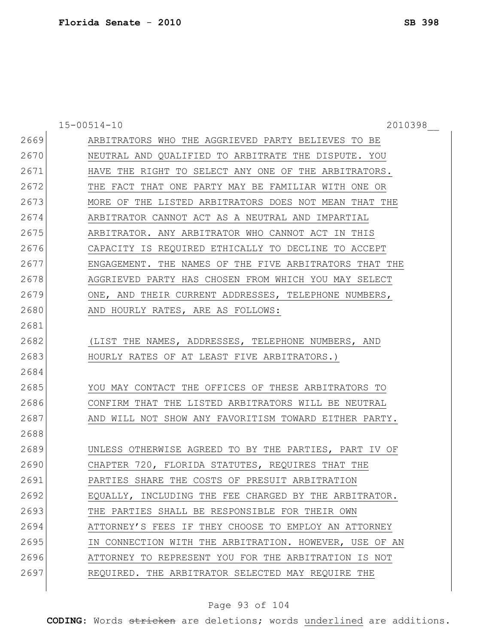15-00514-10 2010398\_\_ ARBITRATORS WHO THE AGGRIEVED PARTY BELIEVES TO BE NEUTRAL AND QUALIFIED TO ARBITRATE THE DISPUTE. YOU 2671 HAVE THE RIGHT TO SELECT ANY ONE OF THE ARBITRATORS. 2672 THE FACT THAT ONE PARTY MAY BE FAMILIAR WITH ONE OR MORE OF THE LISTED ARBITRATORS DOES NOT MEAN THAT THE ARBITRATOR CANNOT ACT AS A NEUTRAL AND IMPARTIAL ARBITRATOR. ANY ARBITRATOR WHO CANNOT ACT IN THIS CAPACITY IS REQUIRED ETHICALLY TO DECLINE TO ACCEPT ENGAGEMENT. THE NAMES OF THE FIVE ARBITRATORS THAT THE AGGRIEVED PARTY HAS CHOSEN FROM WHICH YOU MAY SELECT 2679 ONE, AND THEIR CURRENT ADDRESSES, TELEPHONE NUMBERS, 2680 AND HOURLY RATES, ARE AS FOLLOWS: 2682 (LIST THE NAMES, ADDRESSES, TELEPHONE NUMBERS, AND 2683 HOURLY RATES OF AT LEAST FIVE ARBITRATORS.) YOU MAY CONTACT THE OFFICES OF THESE ARBITRATORS TO CONFIRM THAT THE LISTED ARBITRATORS WILL BE NEUTRAL 2687 | AND WILL NOT SHOW ANY FAVORITISM TOWARD EITHER PARTY. UNLESS OTHERWISE AGREED TO BY THE PARTIES, PART IV OF CHAPTER 720, FLORIDA STATUTES, REQUIRES THAT THE PARTIES SHARE THE COSTS OF PRESUIT ARBITRATION 2692 EQUALLY, INCLUDING THE FEE CHARGED BY THE ARBITRATOR. THE PARTIES SHALL BE RESPONSIBLE FOR THEIR OWN ATTORNEY'S FEES IF THEY CHOOSE TO EMPLOY AN ATTORNEY IN CONNECTION WITH THE ARBITRATION. HOWEVER, USE OF AN ATTORNEY TO REPRESENT YOU FOR THE ARBITRATION IS NOT REQUIRED. THE ARBITRATOR SELECTED MAY REQUIRE THE

### Page 93 of 104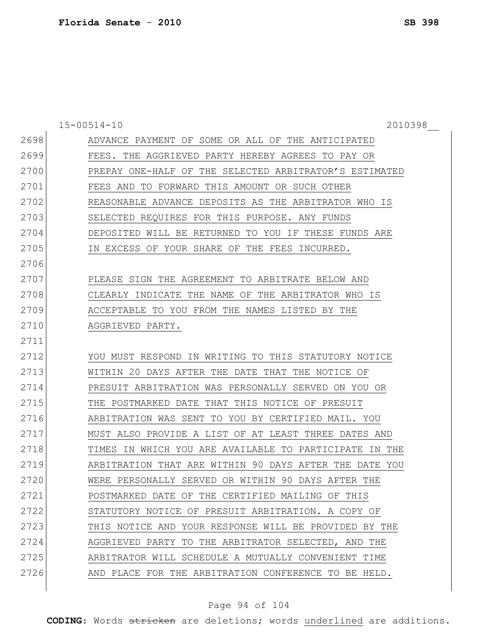|      | $15 - 00514 - 10$<br>2010398                           |
|------|--------------------------------------------------------|
| 2698 | ADVANCE PAYMENT OF SOME OR ALL OF THE ANTICIPATED      |
| 2699 | FEES. THE AGGRIEVED PARTY HEREBY AGREES TO PAY OR      |
| 2700 | PREPAY ONE-HALF OF THE SELECTED ARBITRATOR'S ESTIMATED |
| 2701 | FEES AND TO FORWARD THIS AMOUNT OR SUCH OTHER          |
| 2702 | REASONABLE ADVANCE DEPOSITS AS THE ARBITRATOR WHO IS   |
| 2703 | SELECTED REQUIRES FOR THIS PURPOSE. ANY FUNDS          |
| 2704 | DEPOSITED WILL BE RETURNED TO YOU IF THESE FUNDS ARE   |
| 2705 | IN EXCESS OF YOUR SHARE OF THE FEES INCURRED.          |
| 2706 |                                                        |
| 2707 | PLEASE SIGN THE AGREEMENT TO ARBITRATE BELOW AND       |
| 2708 | CLEARLY INDICATE THE NAME OF THE ARBITRATOR WHO IS     |
| 2709 | ACCEPTABLE TO YOU FROM THE NAMES LISTED BY THE         |
| 2710 | AGGRIEVED PARTY.                                       |
| 2711 |                                                        |
| 2712 | YOU MUST RESPOND IN WRITING TO THIS STATUTORY NOTICE   |
| 2713 | WITHIN 20 DAYS AFTER THE DATE THAT THE NOTICE OF       |
| 2714 | PRESUIT ARBITRATION WAS PERSONALLY SERVED ON YOU OR    |
| 2715 | THE POSTMARKED DATE THAT THIS NOTICE OF PRESUIT        |
| 2716 | ARBITRATION WAS SENT TO YOU BY CERTIFIED MAIL. YOU     |
| 2717 | MUST ALSO PROVIDE A LIST OF AT LEAST THREE DATES AND   |
| 2718 | TIMES IN WHICH YOU ARE AVAILABLE TO PARTICIPATE IN THE |
| 2719 | ARBITRATION THAT ARE WITHIN 90 DAYS AFTER THE DATE YOU |
| 2720 | WERE PERSONALLY SERVED OR WITHIN 90 DAYS AFTER THE     |
| 2721 | POSTMARKED DATE OF THE CERTIFIED MAILING OF THIS       |
| 2722 | STATUTORY NOTICE OF PRESUIT ARBITRATION. A COPY OF     |
| 2723 | THIS NOTICE AND YOUR RESPONSE WILL BE PROVIDED BY THE  |
| 2724 | AGGRIEVED PARTY TO THE ARBITRATOR SELECTED, AND THE    |
| 2725 | ARBITRATOR WILL SCHEDULE A MUTUALLY CONVENIENT TIME    |
| 2726 | AND PLACE FOR THE ARBITRATION CONFERENCE TO BE HELD.   |

# Page 94 of 104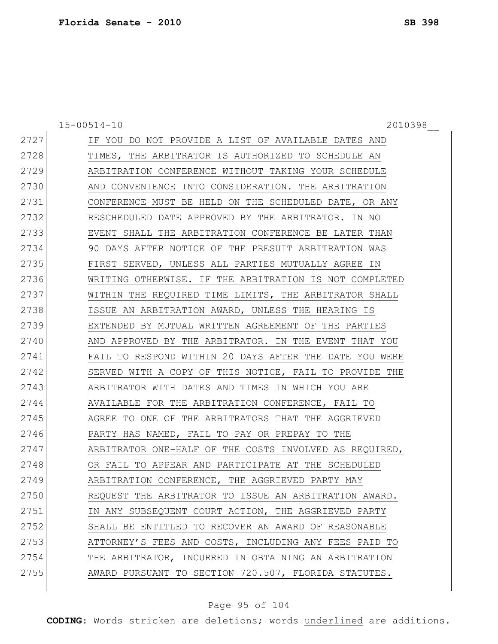15-00514-10 2010398\_\_ IF YOU DO NOT PROVIDE A LIST OF AVAILABLE DATES AND 2728 TIMES, THE ARBITRATOR IS AUTHORIZED TO SCHEDULE AN ARBITRATION CONFERENCE WITHOUT TAKING YOUR SCHEDULE 2730 AND CONVENIENCE INTO CONSIDERATION. THE ARBITRATION CONFERENCE MUST BE HELD ON THE SCHEDULED DATE, OR ANY RESCHEDULED DATE APPROVED BY THE ARBITRATOR. IN NO EVENT SHALL THE ARBITRATION CONFERENCE BE LATER THAN 90 DAYS AFTER NOTICE OF THE PRESUIT ARBITRATION WAS FIRST SERVED, UNLESS ALL PARTIES MUTUALLY AGREE IN WRITING OTHERWISE. IF THE ARBITRATION IS NOT COMPLETED 2737 WITHIN THE REQUIRED TIME LIMITS, THE ARBITRATOR SHALL ISSUE AN ARBITRATION AWARD, UNLESS THE HEARING IS EXTENDED BY MUTUAL WRITTEN AGREEMENT OF THE PARTIES 2740 AND APPROVED BY THE ARBITRATOR. IN THE EVENT THAT YOU FAIL TO RESPOND WITHIN 20 DAYS AFTER THE DATE YOU WERE 2742 SERVED WITH A COPY OF THIS NOTICE, FAIL TO PROVIDE THE ARBITRATOR WITH DATES AND TIMES IN WHICH YOU ARE AVAILABLE FOR THE ARBITRATION CONFERENCE, FAIL TO AGREE TO ONE OF THE ARBITRATORS THAT THE AGGRIEVED PARTY HAS NAMED, FAIL TO PAY OR PREPAY TO THE 2747 ARBITRATOR ONE-HALF OF THE COSTS INVOLVED AS REQUIRED, OR FAIL TO APPEAR AND PARTICIPATE AT THE SCHEDULED 2749 ARBITRATION CONFERENCE, THE AGGRIEVED PARTY MAY REQUEST THE ARBITRATOR TO ISSUE AN ARBITRATION AWARD. 2751 IN ANY SUBSEQUENT COURT ACTION, THE AGGRIEVED PARTY 2752 SHALL BE ENTITLED TO RECOVER AN AWARD OF REASONABLE 2753 ATTORNEY'S FEES AND COSTS, INCLUDING ANY FEES PAID TO THE ARBITRATOR, INCURRED IN OBTAINING AN ARBITRATION AWARD PURSUANT TO SECTION 720.507, FLORIDA STATUTES.

### Page 95 of 104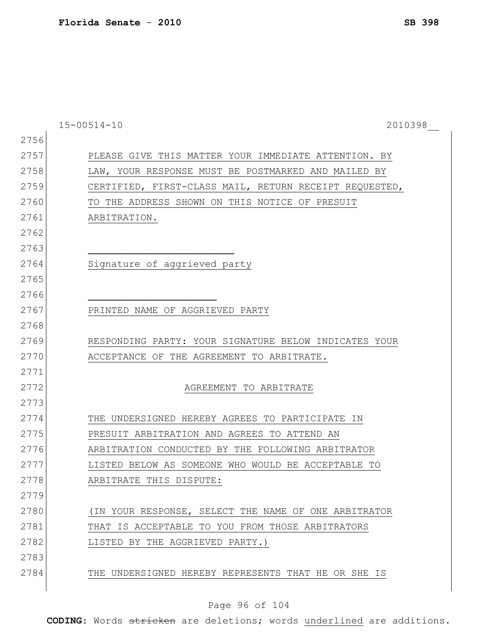|      | $15 - 00514 - 10$<br>2010398                           |
|------|--------------------------------------------------------|
| 2756 |                                                        |
| 2757 | PLEASE GIVE THIS MATTER YOUR IMMEDIATE ATTENTION. BY   |
| 2758 | LAW, YOUR RESPONSE MUST BE POSTMARKED AND MAILED BY    |
| 2759 | CERTIFIED, FIRST-CLASS MAIL, RETURN RECEIPT REQUESTED, |
| 2760 | TO THE ADDRESS SHOWN ON THIS NOTICE OF PRESUIT         |
| 2761 | ARBITRATION.                                           |
| 2762 |                                                        |
| 2763 |                                                        |
| 2764 | Signature of aggrieved party                           |
| 2765 |                                                        |
| 2766 |                                                        |
| 2767 | PRINTED NAME OF AGGRIEVED PARTY                        |
| 2768 |                                                        |
| 2769 | RESPONDING PARTY: YOUR SIGNATURE BELOW INDICATES YOUR  |
| 2770 | ACCEPTANCE OF THE AGREEMENT TO ARBITRATE.              |
| 2771 |                                                        |
| 2772 | AGREEMENT TO ARBITRATE                                 |
| 2773 |                                                        |
| 2774 | THE UNDERSIGNED HEREBY AGREES TO PARTICIPATE IN        |
| 2775 | PRESUIT ARBITRATION AND AGREES TO ATTEND AN            |
| 2776 | ARBITRATION CONDUCTED BY THE FOLLOWING ARBITRATOR      |
| 2777 | LISTED BELOW AS SOMEONE WHO WOULD BE ACCEPTABLE TO     |
| 2778 | ARBITRATE THIS DISPUTE:                                |
| 2779 |                                                        |
| 2780 | (IN YOUR RESPONSE, SELECT THE NAME OF ONE ARBITRATOR   |
| 2781 | THAT IS ACCEPTABLE TO YOU FROM THOSE ARBITRATORS       |
| 2782 | LISTED BY THE AGGRIEVED PARTY.)                        |
| 2783 |                                                        |
| 2784 | THE UNDERSIGNED HEREBY REPRESENTS THAT HE OR SHE IS    |
|      |                                                        |

# Page 96 of 104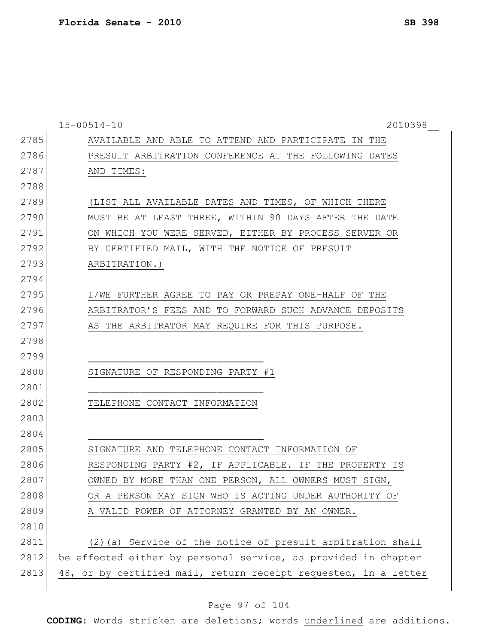|      | $15 - 00514 - 10$<br>2010398                                    |
|------|-----------------------------------------------------------------|
| 2785 | AVAILABLE AND ABLE TO ATTEND AND PARTICIPATE IN THE             |
| 2786 | PRESUIT ARBITRATION CONFERENCE AT THE FOLLOWING DATES           |
| 2787 | AND TIMES:                                                      |
| 2788 |                                                                 |
| 2789 | (LIST ALL AVAILABLE DATES AND TIMES, OF WHICH THERE             |
| 2790 | MUST BE AT LEAST THREE, WITHIN 90 DAYS AFTER THE DATE           |
| 2791 | ON WHICH YOU WERE SERVED, EITHER BY PROCESS SERVER OR           |
| 2792 | BY CERTIFIED MAIL, WITH THE NOTICE OF PRESUIT                   |
| 2793 | ARBITRATION.)                                                   |
| 2794 |                                                                 |
| 2795 | I/WE FURTHER AGREE TO PAY OR PREPAY ONE-HALF OF THE             |
| 2796 | ARBITRATOR'S FEES AND TO FORWARD SUCH ADVANCE DEPOSITS          |
| 2797 | AS THE ARBITRATOR MAY REQUIRE FOR THIS PURPOSE.                 |
| 2798 |                                                                 |
| 2799 |                                                                 |
| 2800 | SIGNATURE OF RESPONDING PARTY #1                                |
| 2801 |                                                                 |
| 2802 | TELEPHONE CONTACT INFORMATION                                   |
| 2803 |                                                                 |
| 2804 |                                                                 |
| 2805 | SIGNATURE AND TELEPHONE CONTACT INFORMATION OF                  |
| 2806 | RESPONDING PARTY #2, IF APPLICABLE. IF THE PROPERTY IS          |
| 2807 | OWNED BY MORE THAN ONE PERSON, ALL OWNERS MUST SIGN,            |
| 2808 | OR A PERSON MAY SIGN WHO IS ACTING UNDER AUTHORITY OF           |
| 2809 | A VALID POWER OF ATTORNEY GRANTED BY AN OWNER.                  |
| 2810 |                                                                 |
| 2811 | (2) (a) Service of the notice of presuit arbitration shall      |
| 2812 | be effected either by personal service, as provided in chapter  |
| 2813 | 48, or by certified mail, return receipt requested, in a letter |
|      |                                                                 |

# Page 97 of 104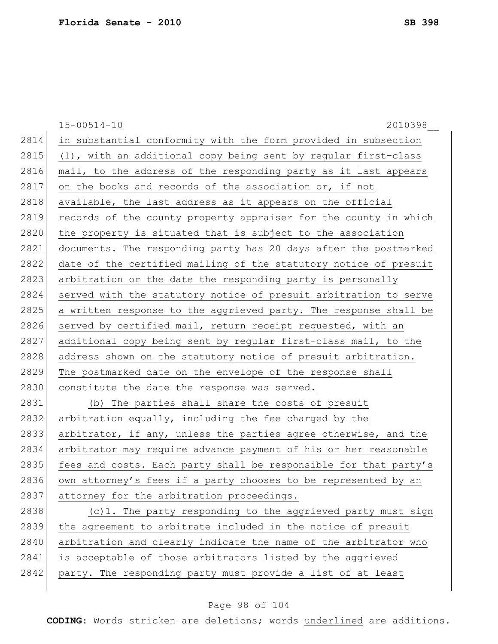|      | $15 - 00514 - 10$<br>2010398                                     |
|------|------------------------------------------------------------------|
| 2814 | in substantial conformity with the form provided in subsection   |
| 2815 | (1), with an additional copy being sent by regular first-class   |
| 2816 | mail, to the address of the responding party as it last appears  |
| 2817 | on the books and records of the association or, if not           |
| 2818 | available, the last address as it appears on the official        |
| 2819 | records of the county property appraiser for the county in which |
| 2820 | the property is situated that is subject to the association      |
| 2821 | documents. The responding party has 20 days after the postmarked |
| 2822 | date of the certified mailing of the statutory notice of presuit |
| 2823 | arbitration or the date the responding party is personally       |
| 2824 | served with the statutory notice of presuit arbitration to serve |
| 2825 | a written response to the aggrieved party. The response shall be |
| 2826 | served by certified mail, return receipt requested, with an      |
| 2827 | additional copy being sent by regular first-class mail, to the   |
| 2828 | address shown on the statutory notice of presuit arbitration.    |
| 2829 | The postmarked date on the envelope of the response shall        |
| 2830 | constitute the date the response was served.                     |
| 2831 | (b) The parties shall share the costs of presuit                 |
| 2832 | arbitration equally, including the fee charged by the            |
| 2833 | arbitrator, if any, unless the parties agree otherwise, and the  |
| 2834 | arbitrator may require advance payment of his or her reasonable  |
| 2835 | fees and costs. Each party shall be responsible for that party's |
| 2836 | own attorney's fees if a party chooses to be represented by an   |
| 2837 | attorney for the arbitration proceedings.                        |
| 2838 | (c)1. The party responding to the aggrieved party must sign      |
| 2839 | the agreement to arbitrate included in the notice of presuit     |
| 2840 | arbitration and clearly indicate the name of the arbitrator who  |
| 2841 | is acceptable of those arbitrators listed by the aggrieved       |
| 2842 | party. The responding party must provide a list of at least      |

# Page 98 of 104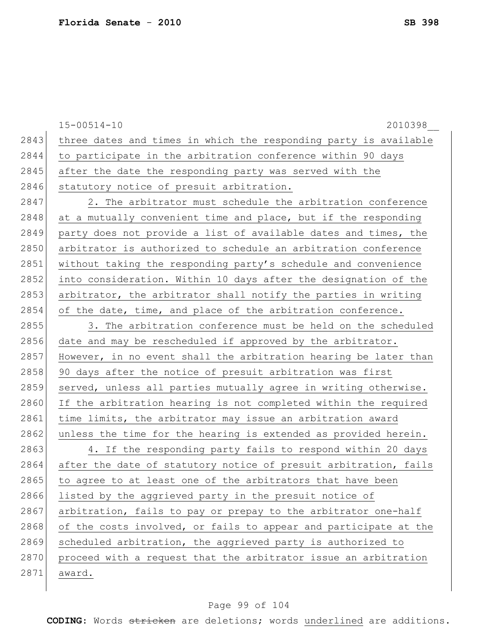|      | $15 - 00514 - 10$<br>2010398                                     |
|------|------------------------------------------------------------------|
| 2843 | three dates and times in which the responding party is available |
| 2844 | to participate in the arbitration conference within 90 days      |
| 2845 | after the date the responding party was served with the          |
| 2846 | statutory notice of presuit arbitration.                         |
| 2847 | 2. The arbitrator must schedule the arbitration conference       |
| 2848 | at a mutually convenient time and place, but if the responding   |
| 2849 | party does not provide a list of available dates and times, the  |
| 2850 | arbitrator is authorized to schedule an arbitration conference   |
| 2851 | without taking the responding party's schedule and convenience   |
| 2852 | into consideration. Within 10 days after the designation of the  |
| 2853 | arbitrator, the arbitrator shall notify the parties in writing   |
| 2854 | of the date, time, and place of the arbitration conference.      |
| 2855 | 3. The arbitration conference must be held on the scheduled      |
| 2856 | date and may be rescheduled if approved by the arbitrator.       |
| 2857 | However, in no event shall the arbitration hearing be later than |
| 2858 | 90 days after the notice of presuit arbitration was first        |
| 2859 | served, unless all parties mutually agree in writing otherwise.  |
| 2860 | If the arbitration hearing is not completed within the required  |
| 2861 | time limits, the arbitrator may issue an arbitration award       |
| 2862 | unless the time for the hearing is extended as provided herein.  |
| 2863 | 4. If the responding party fails to respond within 20 days       |
| 2864 | after the date of statutory notice of presuit arbitration, fails |
| 2865 | to agree to at least one of the arbitrators that have been       |
| 2866 | listed by the aggrieved party in the presuit notice of           |
| 2867 | arbitration, fails to pay or prepay to the arbitrator one-half   |
| 2868 | of the costs involved, or fails to appear and participate at the |
| 2869 | scheduled arbitration, the aggrieved party is authorized to      |
| 2870 | proceed with a request that the arbitrator issue an arbitration  |
| 2871 | award.                                                           |
|      |                                                                  |

# Page 99 of 104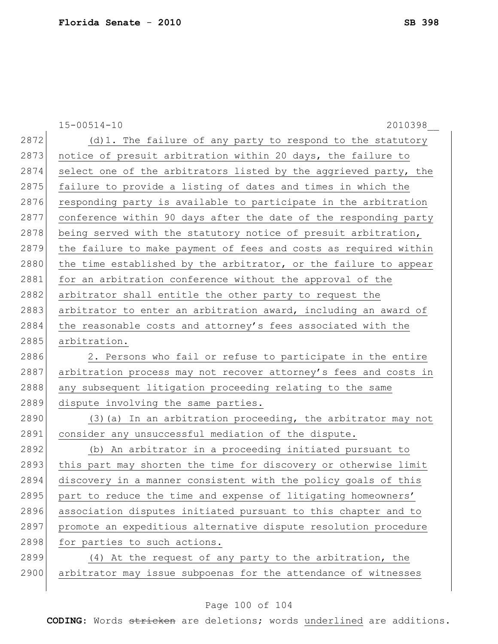|      | $15 - 00514 - 10$<br>2010398                                     |
|------|------------------------------------------------------------------|
| 2872 | (d) 1. The failure of any party to respond to the statutory      |
| 2873 | notice of presuit arbitration within 20 days, the failure to     |
| 2874 | select one of the arbitrators listed by the aggrieved party, the |
| 2875 | failure to provide a listing of dates and times in which the     |
| 2876 | responding party is available to participate in the arbitration  |
| 2877 | conference within 90 days after the date of the responding party |
| 2878 | being served with the statutory notice of presuit arbitration,   |
| 2879 | the failure to make payment of fees and costs as required within |
| 2880 | the time established by the arbitrator, or the failure to appear |
| 2881 | for an arbitration conference without the approval of the        |
| 2882 | arbitrator shall entitle the other party to request the          |
| 2883 | arbitrator to enter an arbitration award, including an award of  |
| 2884 | the reasonable costs and attorney's fees associated with the     |
| 2885 | arbitration.                                                     |
| 2886 | 2. Persons who fail or refuse to participate in the entire       |
| 2887 | arbitration process may not recover attorney's fees and costs in |
| 2888 | any subsequent litigation proceeding relating to the same        |
| 2889 | dispute involving the same parties.                              |
| 2890 | (3) (a) In an arbitration proceeding, the arbitrator may not     |
| 2891 | consider any unsuccessful mediation of the dispute.              |
| 2892 | (b) An arbitrator in a proceeding initiated pursuant to          |
| 2893 | this part may shorten the time for discovery or otherwise limit  |
| 2894 | discovery in a manner consistent with the policy goals of this   |
| 2895 | part to reduce the time and expense of litigating homeowners'    |
| 2896 | association disputes initiated pursuant to this chapter and to   |
| 2897 | promote an expeditious alternative dispute resolution procedure  |
| 2898 | for parties to such actions.                                     |
| 2899 | (4) At the request of any party to the arbitration, the          |
| 2900 | arbitrator may issue subpoenas for the attendance of witnesses   |
|      |                                                                  |

# Page 100 of 104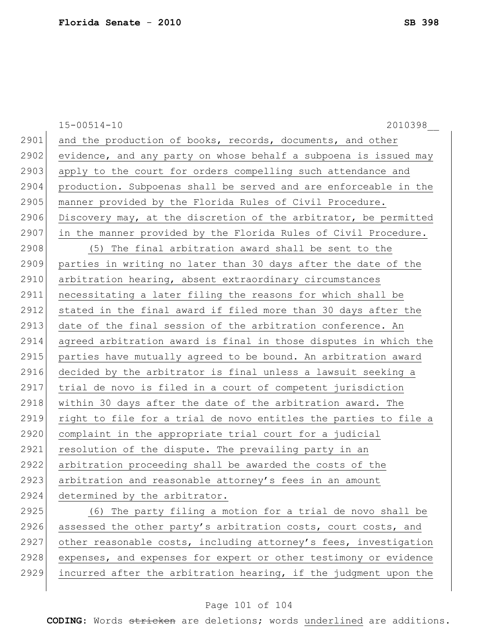$\overline{\phantom{a}}$ 

|      | $15 - 00514 - 10$<br>2010398                                     |
|------|------------------------------------------------------------------|
| 2901 | and the production of books, records, documents, and other       |
| 2902 | evidence, and any party on whose behalf a subpoena is issued may |
| 2903 | apply to the court for orders compelling such attendance and     |
| 2904 | production. Subpoenas shall be served and are enforceable in the |
| 2905 | manner provided by the Florida Rules of Civil Procedure.         |
| 2906 | Discovery may, at the discretion of the arbitrator, be permitted |
| 2907 | in the manner provided by the Florida Rules of Civil Procedure.  |
| 2908 | (5) The final arbitration award shall be sent to the             |
| 2909 | parties in writing no later than 30 days after the date of the   |
| 2910 | arbitration hearing, absent extraordinary circumstances          |
| 2911 | necessitating a later filing the reasons for which shall be      |
| 2912 | stated in the final award if filed more than 30 days after the   |
| 2913 | date of the final session of the arbitration conference. An      |
| 2914 | agreed arbitration award is final in those disputes in which the |
| 2915 | parties have mutually agreed to be bound. An arbitration award   |
| 2916 | decided by the arbitrator is final unless a lawsuit seeking a    |
| 2917 | trial de novo is filed in a court of competent jurisdiction      |
| 2918 | within 30 days after the date of the arbitration award. The      |
| 2919 | right to file for a trial de novo entitles the parties to file a |
| 2920 | complaint in the appropriate trial court for a judicial          |
| 2921 | resolution of the dispute. The prevailing party in an            |
| 2922 | arbitration proceeding shall be awarded the costs of the         |
| 2923 | arbitration and reasonable attorney's fees in an amount          |
| 2924 | determined by the arbitrator.                                    |
| 2925 | (6) The party filing a motion for a trial de novo shall be       |
| 2926 | assessed the other party's arbitration costs, court costs, and   |
| 2927 | other reasonable costs, including attorney's fees, investigation |
| 2928 | expenses, and expenses for expert or other testimony or evidence |
| 2929 | incurred after the arbitration hearing, if the judgment upon the |

# Page 101 of 104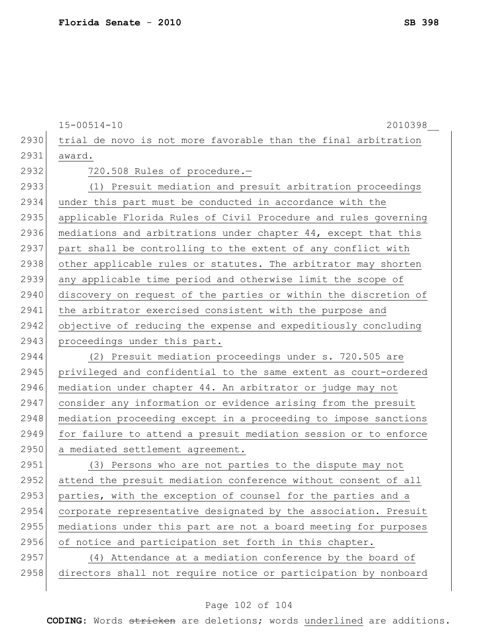15-00514-10 2010398\_\_ 2930 trial de novo is not more favorable than the final arbitration 2931 award. 2932 720.508 Rules of procedure.— 2933 (1) Presuit mediation and presuit arbitration proceedings 2934 under this part must be conducted in accordance with the 2935 applicable Florida Rules of Civil Procedure and rules governing 2936 mediations and arbitrations under chapter 44, except that this 2937 part shall be controlling to the extent of any conflict with 2938 other applicable rules or statutes. The arbitrator may shorten 2939 any applicable time period and otherwise limit the scope of 2940 discovery on request of the parties or within the discretion of 2941 the arbitrator exercised consistent with the purpose and 2942 objective of reducing the expense and expeditiously concluding 2943 proceedings under this part. 2944 (2) Presuit mediation proceedings under s. 720.505 are 2945 | privileged and confidential to the same extent as court-ordered 2946 mediation under chapter 44. An arbitrator or judge may not 2947 consider any information or evidence arising from the presuit 2948 mediation proceeding except in a proceeding to impose sanctions 2949 for failure to attend a presuit mediation session or to enforce 2950 a mediated settlement agreement. 2951 (3) Persons who are not parties to the dispute may not 2952 attend the presuit mediation conference without consent of all 2953 parties, with the exception of counsel for the parties and a 2954 corporate representative designated by the association. Presuit 2955 mediations under this part are not a board meeting for purposes 2956 of notice and participation set forth in this chapter. 2957 (4) Attendance at a mediation conference by the board of 2958 directors shall not require notice or participation by nonboard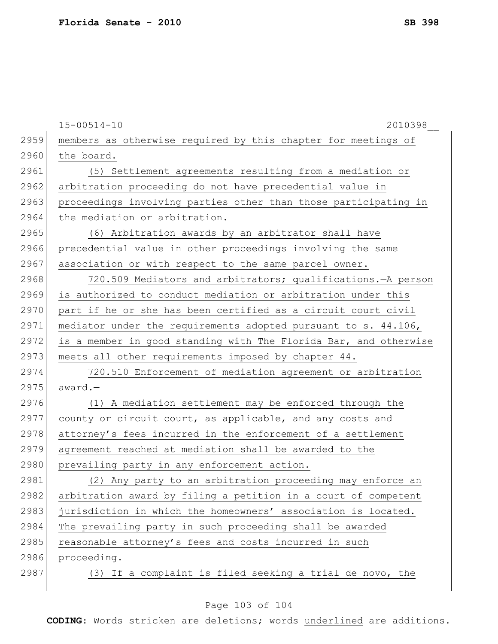$\overline{\phantom{a}}$ 

|      | $15 - 00514 - 10$<br>2010398                                     |
|------|------------------------------------------------------------------|
| 2959 | members as otherwise required by this chapter for meetings of    |
| 2960 | the board.                                                       |
| 2961 | (5) Settlement agreements resulting from a mediation or          |
| 2962 | arbitration proceeding do not have precedential value in         |
| 2963 | proceedings involving parties other than those participating in  |
| 2964 | the mediation or arbitration.                                    |
| 2965 | (6) Arbitration awards by an arbitrator shall have               |
| 2966 | precedential value in other proceedings involving the same       |
| 2967 | association or with respect to the same parcel owner.            |
| 2968 | 720.509 Mediators and arbitrators; qualifications. - A person    |
| 2969 | is authorized to conduct mediation or arbitration under this     |
| 2970 | part if he or she has been certified as a circuit court civil    |
| 2971 | mediator under the requirements adopted pursuant to s. 44.106,   |
| 2972 | is a member in good standing with The Florida Bar, and otherwise |
| 2973 | meets all other requirements imposed by chapter 44.              |
| 2974 | 720.510 Enforcement of mediation agreement or arbitration        |
| 2975 | award.-                                                          |
| 2976 | (1) A mediation settlement may be enforced through the           |
| 2977 | county or circuit court, as applicable, and any costs and        |
| 2978 | attorney's fees incurred in the enforcement of a settlement      |
| 2979 | agreement reached at mediation shall be awarded to the           |
| 2980 | prevailing party in any enforcement action.                      |
| 2981 | (2) Any party to an arbitration proceeding may enforce an        |
| 2982 | arbitration award by filing a petition in a court of competent   |
| 2983 | jurisdiction in which the homeowners' association is located.    |
| 2984 | The prevailing party in such proceeding shall be awarded         |
| 2985 | reasonable attorney's fees and costs incurred in such            |
| 2986 | proceeding.                                                      |
| 2987 | (3) If a complaint is filed seeking a trial de novo, the         |

# Page 103 of 104